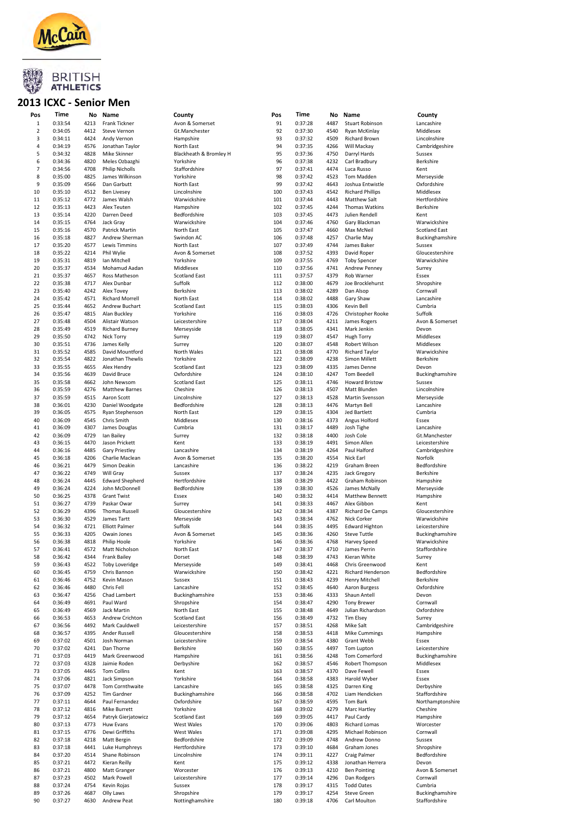

#### 2013 ICXC - Senior Men

| Pos            | Time               | No           | Name                                    | County                             |
|----------------|--------------------|--------------|-----------------------------------------|------------------------------------|
| 1              | 0:33:54            | 4213         | Frank Tickner                           | Avon & Somerset                    |
| 2<br>3         | 0:34:05<br>0:34:11 | 4412<br>4424 | <b>Steve Vernon</b>                     | Gt.Manchester                      |
| 4              | 0:34:19            | 4576         | Andy Vernon<br>Jonathan Taylor          | Hampshire<br>North East            |
| 5              | 0:34:32            | 4828         | Mike Skinner                            | Blackheath & Bromley H             |
| 6              | 0:34:36            | 4820         | Meles Ozbazghi                          | Yorkshire                          |
| $\overline{7}$ | 0:34:56            | 4708         | <b>Philip Nicholls</b>                  | Staffordshire                      |
| 8<br>9         | 0:35:00            | 4825         | James Wilkinson                         | Yorkshire                          |
| 10             | 0:35:09<br>0:35:10 | 4566<br>4512 | Dan Garbutt<br><b>Ben Livesey</b>       | North East<br>Lincolnshire         |
| 11             | 0:35:12            | 4772         | James Walsh                             | Warwickshire                       |
| 12             | 0:35:13            | 4423         | Alex Teuten                             | Hampshire                          |
| 13             | 0:35:14            | 4220         | Darren Deed                             | Bedfordshire                       |
| 14             | 0:35:15            | 4764         | Jack Gray                               | Warwickshire                       |
| 15<br>16       | 0:35:16<br>0:35:18 | 4570<br>4827 | Patrick Martin<br>Andrew Sherman        | North East<br>Swindon AC           |
| 17             | 0:35:20            | 4577         | <b>Lewis Timmins</b>                    | North East                         |
| 18             | 0:35:22            | 4214         | Phil Wylie                              | Avon & Somerset                    |
| 19             | 0:35:31            | 4819         | Ian Mitchell                            | Yorkshire                          |
| 20<br>21       | 0:35:37<br>0:35:37 | 4534<br>4657 | Mohamud Aadan<br>Ross Matheson          | Middlesex<br><b>Scotland East</b>  |
| 22             | 0:35:38            | 4717         | Alex Dunbar                             | Suffolk                            |
| 23             | 0:35:40            | 4242         | <b>Alex Tovey</b>                       | <b>Berkshire</b>                   |
| 24             | 0:35:42            | 4571         | <b>Richard Morrell</b>                  | North East                         |
| 25             | 0:35:44            | 4652         | Andrew Buchart                          | <b>Scotland East</b>               |
| 26<br>27       | 0:35:47<br>0:35:48 | 4815<br>4504 | Alan Buckley<br>Alistair Watson         | Yorkshire<br>Leicestershire        |
| 28             | 0:35:49            | 4519         | <b>Richard Burney</b>                   | Merseyside                         |
| 29             | 0:35:50            | 4742         | Nick Torry                              | Surrey                             |
| 30             | 0:35:51            | 4736         | James Kelly                             | Surrey                             |
| 31             | 0:35:52            | 4585         | David Mountford                         | North Wales                        |
| 32<br>33       | 0:35:54<br>0:35:55 | 4822<br>4655 | Jonathan Thewlis<br>Alex Hendry         | Yorkshire<br><b>Scotland East</b>  |
| 34             | 0:35:56            | 4639         | David Bruce                             | Oxfordshire                        |
| 35             | 0:35:58            | 4662         | John Newsom                             | <b>Scotland East</b>               |
| 36             | 0:35:59            | 4276         | <b>Matthew Barnes</b>                   | Cheshire                           |
| 37             | 0:35:59            | 4515         | Aaron Scott                             | Lincolnshire                       |
| 38<br>39       | 0:36:01<br>0:36:05 | 4230<br>4575 | Daniel Woodgate<br>Ryan Stephenson      | Bedfordshire<br>North East         |
| 40             | 0:36:09            | 4545         | Chris Smith                             | Middlesex                          |
| 41             | 0:36:09            | 4307         | James Douglas                           | Cumbria                            |
| 42             | 0:36:09            | 4729         | Ian Bailey                              | Surrey                             |
| 43             | 0:36:15            | 4470         | Jason Prickett                          | Kent                               |
| 44<br>45       | 0:36:16<br>0:36:18 | 4485<br>4206 | Gary Priestley<br>Charlie Maclean       | Lancashire<br>Avon & Somerset      |
| 46             | 0:36:21            | 4479         | Simon Deakin                            | Lancashire                         |
| 47             | 0:36:22            | 4749         | Will Gray                               | Sussex                             |
| 48             | 0:36:24            | 4445         | <b>Edward Shepherd</b>                  | Hertfordshire                      |
| 49             | 0:36:24            | 4224         | John McDonnell                          | Bedfordshire                       |
| 50<br>51       | 0:36:25<br>0:36:27 | 4378<br>4739 | <b>Grant Twist</b><br>Paskar Owar       | Essex<br>Surrey                    |
| 52             | 0:36:29            | 4396         | <b>Thomas Russell</b>                   | Gloucestershire                    |
| 53             | 0:36:30            | 4529         | James Tartt                             | Merseyside                         |
| 54             | 0:36:32            | 4721         | <b>Elliott Palmer</b>                   | Suffolk                            |
| 55<br>56       | 0:36:33<br>0:36:38 | 4205<br>4818 | Owain Jones<br>Philip Hoole             | Avon & Somerset<br>Yorkshire       |
| 57             | 0:36:41            | 4572         | Matt Nicholson                          | North East                         |
| 58             | 0:36:42            | 4344         | <b>Frank Bailey</b>                     | Dorset                             |
| 59             | 0:36:43            | 4522         | Toby Loveridge                          | Merseyside                         |
| 60             | 0:36:45            | 4759         | Chris Bannon                            | Warwickshire                       |
| 61<br>62       | 0:36:46<br>0:36:46 | 4752<br>4480 | Kevin Mason<br>Chris Fell               | Sussex<br>Lancashire               |
| 63             | 0:36:47            | 4256         | Chad Lambert                            | Buckinghamshire                    |
| 64             | 0:36:49            | 4691         | Paul Ward                               | Shropshire                         |
| 65             | 0:36:49            | 4569         | Jack Martin                             | North East                         |
| 66             | 0:36:53            | 4653         | Andrew Crichton<br>Mark Cauldwell       | <b>Scotland East</b>               |
| 67<br>68       | 0:36:56<br>0:36:57 | 4492<br>4395 | Ander Russell                           | Leicestershire<br>Gloucestershire  |
| 69             | 0:37:02            | 4501         | Josh Norman                             | Leicestershire                     |
| 70             | 0:37:02            | 4241         | Dan Thorne                              | Berkshire                          |
| 71             | 0:37:03            | 4419         | Mark Greenwood                          | Hampshire                          |
| 72             | 0:37:03            | 4328         | Jaimie Roden                            | Derbyshire                         |
| 73<br>74       | 0:37:05<br>0:37:06 | 4465<br>4821 | Tom Collins<br>Jack Simpson             | Kent<br>Yorkshire                  |
| 75             | 0:37:07            | 4478         | Tom Cornthwaite                         | Lancashire                         |
| 76             | 0:37:09            | 4252         | Tim Gardner                             | Buckinghamshire                    |
| 77             | 0:37:11            | 4644         | Paul Fernandez                          | Oxfordshire                        |
| 78             | 0:37:12            | 4816         | Mike Burrett                            | Yorkshire                          |
| 79<br>80       | 0:37:12<br>0:37:13 | 4654<br>4773 | Patryk Gierjatowicz<br><b>Huw Evans</b> | <b>Scotland East</b><br>West Wales |
| 81             | 0:37:15            | 4776         | Dewi Griffiths                          | West Wales                         |
| 82             | 0:37:18            | 4218         | Matt Bergin                             | Bedfordshire                       |
| 83             | 0:37:18            | 4441         | Luke Humphreys                          | Hertfordshire                      |
| 84             | 0:37:20            | 4514         | Shane Robinson                          | Lincolnshire                       |
| 85<br>86       | 0:37:21<br>0:37:21 | 4472<br>4800 | Kieran Reilly<br>Matt Granger           | Kent<br>Worcester                  |
| 87             | 0:37:23            | 4502         | Mark Powell                             | Leicestershire                     |
| 88             | 0:37:24            | 4754         | Kevin Rojas                             | Sussex                             |
| 89             | 0:37:26            | 4687         | Olly Laws                               | Shropshire                         |
| 90             | 0:37:27            | 4630         | Andrew Peat                             | Nottinghamshire                    |

| Pos            | Time               | No           | Name                                 | County                           | Pos        | Time               | No           | Name                                  | County                           |
|----------------|--------------------|--------------|--------------------------------------|----------------------------------|------------|--------------------|--------------|---------------------------------------|----------------------------------|
| $\mathbf{1}$   | 0:33:54            | 4213         | Frank Tickner                        | Avon & Somerset                  | 91         | 0:37:28            | 4487         | <b>Stuart Robinson</b>                | Lancashire                       |
| $\overline{2}$ | 0:34:05            | 4412         | <b>Steve Vernon</b>                  | Gt.Manchester                    | 92         | 0:37:30            | 4540         | Ryan McKinlay                         | Middlesex                        |
| 3              | 0:34:11            | 4424         | Andy Vernon                          | Hampshire                        | 93         | 0:37:32            | 4509         | <b>Richard Brown</b>                  | Lincolnshire                     |
| 4              | 0:34:19            | 4576         | Jonathan Taylor                      | North East                       | 94         | 0:37:35            | 4266         | Will Mackay                           | Cambridgeshire                   |
| 5              | 0:34:32            | 4828         | Mike Skinner                         | Blackheath & Bromley H           | 95         | 0:37:36            | 4750         | Darryl Hards                          | Sussex                           |
| 6              | 0:34:36            | 4820         | Meles Ozbazghi                       | Yorkshire                        | 96         | 0:37:38            | 4232         | Carl Bradbury                         | Berkshire                        |
| 7              | 0:34:56            | 4708         | <b>Philip Nicholls</b>               | Staffordshire                    | 97         | 0:37:41            | 4474         | Luca Russo                            | Kent                             |
| 8              | 0:35:00            | 4825         | James Wilkinson                      | Yorkshire                        | 98         | 0:37:42            | 4523         | Tom Madden                            | Merseyside                       |
| 9              | 0:35:09            | 4566         | Dan Garbutt                          | North East                       | 99         | 0:37:42            | 4643         | Joshua Entwistle                      | Oxfordshire                      |
| 10             | 0:35:10            | 4512         | <b>Ben Livesey</b>                   | Lincolnshire                     | 100        | 0:37:43            | 4542         | <b>Richard Phillips</b>               | Middlesex                        |
| 11             | 0:35:12            | 4772         | James Walsh                          | Warwickshire                     | 101        | 0:37:44            | 4443         | <b>Matthew Salt</b>                   | Hertfordshire                    |
| 12             | 0:35:13            | 4423         | Alex Teuten                          | Hampshire                        | 102        | 0:37:45            | 4244         | Thomas Watkins                        | Berkshire                        |
| 13             | 0:35:14            | 4220         | Darren Deed                          | Bedfordshire                     | 103        | 0:37:45            | 4473         | Julien Rendell                        | Kent                             |
| 14             | 0:35:15            | 4764         | Jack Gray                            | Warwickshire                     | 104        | 0:37:46            | 4760         | Gary Blackman                         | Warwickshire                     |
| 15             | 0:35:16            | 4570         | Patrick Martin                       | North East                       | 105        | 0:37:47            | 4660         | Max McNeil                            | <b>Scotland East</b>             |
| 16             | 0:35:18            | 4827         | Andrew Sherman                       | Swindon AC                       | 106        | 0:37:48            | 4257         | Charlie May                           | Buckinghamshire                  |
| 17             | 0:35:20            | 4577         | <b>Lewis Timmins</b>                 | North East                       | 107        | 0:37:49            | 4744         | James Baker                           | Sussex                           |
| 18             | 0:35:22            | 4214         | Phil Wylie                           | Avon & Somerset                  | 108        | 0:37:52            | 4393         | David Roper                           | Gloucestershire                  |
| 19             | 0:35:31            | 4819         | Ian Mitchell                         | Yorkshire                        | 109        | 0:37:55            | 4769         | <b>Toby Spencer</b>                   | Warwickshire                     |
| 20             | 0:35:37            | 4534         | Mohamud Aadan                        | Middlesex                        | 110        | 0:37:56            | 4741         | Andrew Penney                         | Surrey                           |
| 21             | 0:35:37            | 4657         | Ross Matheson                        | <b>Scotland East</b>             | 111        | 0:37:57            | 4379         | Rob Warner                            | Essex                            |
| 22             | 0:35:38            | 4717         | Alex Dunbar                          | Suffolk                          | 112        | 0:38:00            | 4679         | Joe Brocklehurst                      | Shropshire                       |
| 23             | 0:35:40            | 4242         | Alex Tovey                           | Berkshire                        | 113        | 0:38:02            | 4289         | Dan Alsop                             | Cornwall                         |
| 24             | 0:35:42            | 4571         | <b>Richard Morrell</b>               | North East                       | 114        | 0:38:02            | 4488         | Gary Shaw                             | Lancashire                       |
| 25             | 0:35:44            | 4652         | Andrew Buchart                       | <b>Scotland East</b>             | 115        | 0:38:03            | 4306         | Kevin Bell                            | Cumbria                          |
| 26             | 0:35:47            | 4815         | Alan Buckley                         | Yorkshire                        | 116        | 0:38:03            | 4726         | Christopher Rooke                     | Suffolk                          |
| 27             | 0:35:48            | 4504         | Alistair Watson                      | Leicestershire                   | 117        | 0:38:04            | 4211         | James Rogers                          | Avon & Somerset                  |
| 28<br>29       | 0:35:49            | 4519         | <b>Richard Burney</b><br>Nick Torry  | Merseyside                       | 118<br>119 | 0:38:05            | 4341         | Mark Jenkin                           | Devon<br>Middlesex               |
|                | 0:35:50            | 4742         |                                      | Surrey                           |            | 0:38:07            | 4547         | <b>Hugh Torry</b>                     |                                  |
| 30             | 0:35:51            | 4736         | James Kelly                          | Surrey                           | 120        | 0:38:07            | 4548         | Robert Wilson                         | Middlesex<br>Warwickshire        |
| 31             | 0:35:52            | 4585         | David Mountford                      | North Wales<br>Yorkshire         | 121<br>122 | 0:38:08            | 4770         | <b>Richard Taylor</b>                 |                                  |
| 32             | 0:35:54            | 4822         | Jonathan Thewlis                     |                                  |            | 0:38:09            | 4238         | Simon Millett                         | Berkshire                        |
| 33             | 0:35:55            | 4655         | Alex Hendry                          | <b>Scotland East</b>             | 123        | 0:38:09            | 4335         | James Denne                           | Devon                            |
| 34             | 0:35:56<br>0:35:58 | 4639         | David Bruce                          | Oxfordshire                      | 124        | 0:38:10            | 4247         | <b>Tom Beedell</b>                    | Buckinghamshire<br>Sussex        |
| 35             |                    | 4662<br>4276 | John Newsom<br><b>Matthew Barnes</b> | <b>Scotland East</b><br>Cheshire | 125<br>126 | 0:38:11            | 4746<br>4507 | <b>Howard Bristow</b><br>Matt Blunden | Lincolnshire                     |
| 36             | 0:35:59            | 4515         |                                      | Lincolnshire                     |            | 0:38:13            |              |                                       |                                  |
| 37<br>38       | 0:35:59<br>0:36:01 | 4230         | Aaron Scott<br>Daniel Woodgate       | Bedfordshire                     | 127<br>128 | 0:38:13<br>0:38:13 | 4528<br>4476 | <b>Martin Svensson</b><br>Martyn Bell | Merseyside<br>Lancashire         |
| 39             | 0:36:05            | 4575         | Ryan Stephenson                      | North East                       | 129        | 0:38:15            | 4304         | Jed Bartlett                          | Cumbria                          |
| 40             | 0:36:09            | 4545         | Chris Smith                          | Middlesex                        | 130        | 0:38:16            | 4373         | Angus Holford                         | Essex                            |
| 41             | 0:36:09            | 4307         | James Douglas                        | Cumbria                          | 131        | 0:38:17            | 4489         | Josh Tighe                            | Lancashire                       |
| 42             |                    | 4729         | Ian Bailey                           | Surrey                           | 132        | 0:38:18            | 4400         | Josh Cole                             | Gt.Manchester                    |
| 43             | 0:36:09<br>0:36:15 | 4470         |                                      | Kent                             | 133        | 0:38:19            | 4491         | Simon Allen                           |                                  |
| 44             | 0:36:16            | 4485         | Jason Prickett<br>Gary Priestley     | Lancashire                       | 134        | 0:38:19            | 4264         | Paul Halford                          | Leicestershire<br>Cambridgeshire |
| 45             | 0:36:18            | 4206         | Charlie Maclean                      | Avon & Somerset                  | 135        | 0:38:20            | 4554         | Nick Earl                             | Norfolk                          |
| 46             | 0:36:21            | 4479         | Simon Deakin                         | Lancashire                       | 136        | 0:38:22            | 4219         | Graham Breen                          | Bedfordshire                     |
| 47             | 0:36:22            | 4749         | Will Gray                            | Sussex                           | 137        | 0:38:24            | 4235         | Jack Gregory                          | Berkshire                        |
| 48             | 0:36:24            | 4445         | <b>Edward Shepherd</b>               | Hertfordshire                    | 138        | 0:38:29            | 4422         | Graham Robinson                       | Hampshire                        |
| 49             | 0:36:24            | 4224         | John McDonnell                       | Bedfordshire                     | 139        | 0:38:30            | 4526         | James McNally                         | Merseyside                       |
| 50             | 0:36:25            | 4378         | <b>Grant Twist</b>                   | Essex                            | 140        | 0:38:32            | 4414         | Matthew Bennett                       | Hampshire                        |
| 51             | 0:36:27            | 4739         | Paskar Owar                          | Surrey                           | 141        | 0:38:33            | 4467         | Alex Gibbon                           | Kent                             |
| 52             | 0:36:29            | 4396         | <b>Thomas Russell</b>                | Gloucestershire                  | 142        | 0:38:34            | 4387         | Richard De Camps                      | Gloucestershire                  |
| 53             | 0:36:30            | 4529         | James Tartt                          | Merseyside                       | 143        | 0:38:34            | 4762         | Nick Corker                           | Warwickshire                     |
| 54             | 0:36:32            | 4721         | <b>Elliott Palmer</b>                | Suffolk                          | 144        | 0:38:35            | 4495         | <b>Edward Highton</b>                 | Leicestershire                   |
| 55             | 0:36:33            | 4205         | Owain Jones                          | Avon & Somerset                  | 145        | 0:38:36            | 4260         | <b>Steve Tuttle</b>                   | Buckinghamshire                  |
| 56             | 0:36:38            | 4818         | Philip Hoole                         | Yorkshire                        | 146        | 0:38:36            | 4768         | Harvey Speed                          | Warwickshire                     |
| 57             | 0:36:41            | 4572         | Matt Nicholson                       | North East                       | 147        | 0:38:37            | 4710         | James Perrin                          | Staffordshire                    |
| 58             | 0:36:42            | 4344         | <b>Frank Bailey</b>                  | Dorset                           | 148        | 0:38:39            | 4743         | Kieran White                          | Surrey                           |
| 59             | 0:36:43            | 4522         | <b>Toby Loveridge</b>                | Merseyside                       | 149        | 0:38:41            | 4468         | Chris Greenwood                       | Kent                             |
| 60             | 0:36:45            | 4759         | Chris Bannon                         | Warwickshire                     | 150        | 0:38:42            | 4221         | Richard Henderson                     | Bedfordshire                     |
| 61             | 0:36:46            | 4752         | Kevin Mason                          | Sussex                           | 151        | 0:38:43            | 4239         | <b>Henry Mitchell</b>                 | Berkshire                        |
| 62             | 0:36:46            | 4480         | Chris Fell                           | Lancashire                       | 152        | 0:38:45            | 4640         | Aaron Burgess                         | Oxfordshire                      |
| 63             | 0:36:47            | 4256         | Chad Lambert                         | Buckinghamshire                  | 153        | 0:38:46            | 4333         | Shaun Antell                          | Devon                            |
| 64             | 0:36:49            | 4691         | Paul Ward                            | Shropshire                       | 154        | 0:38:47            | 4290         | <b>Tony Brewer</b>                    | Cornwall                         |
| 65             | 0:36:49            | 4569         | <b>Jack Martin</b>                   | North East                       | 155        | 0:38:48            | 4649         | Julian Richardson                     | Oxfordshire                      |
| 66             | 0:36:53            | 4653         | Andrew Crichton                      | <b>Scotland East</b>             | 156        | 0:38:49            | 4732         | <b>Tim Elsey</b>                      | Surrey                           |
| 67             | 0:36:56            | 4492         | Mark Cauldwell                       | Leicestershire                   | 157        | 0:38:51            | 4268         | Mike Salt                             | Cambridgeshire                   |
| 68             | 0:36:57            | 4395         | Ander Russell                        | Gloucestershire                  | 158        | 0:38:53            | 4418         | <b>Mike Cummings</b>                  | Hampshire                        |
| 69             | 0:37:02            | 4501         | Josh Norman                          | Leicestershire                   | 159        | 0:38:54            | 4380         | Grant Webb                            | Essex                            |
| 70             | 0:37:02            | 4241         | Dan Thorne                           | Berkshire                        | 160        | 0:38:55            | 4497         | Tom Lupton                            | Leicestershire                   |
| 71             | 0:37:03            | 4419         | Mark Greenwood                       | Hampshire                        | 161        | 0:38:56            | 4248         | Tom Comerford                         | Buckinghamshire                  |
| 72             | 0:37:03            | 4328         | Jaimie Roden                         | Derbyshire                       | 162        | 0:38:57            | 4546         | Robert Thompson                       | Middlesex                        |
| 73             | 0:37:05            | 4465         | <b>Tom Collins</b>                   | Kent                             | 163        | 0:38:57            | 4370         | Dave Fewell                           | Essex                            |
| 74             | 0:37:06            | 4821         | Jack Simpson                         | Yorkshire                        | 164        | 0:38:58            | 4383         | Harold Wyber                          | Essex                            |
| 75             | 0:37:07            | 4478         | Tom Cornthwaite                      | Lancashire                       | 165        | 0:38:58            | 4325         | Darren King                           | Derbyshire                       |
| 76             | 0:37:09            | 4252         | Tim Gardner                          | Buckinghamshire                  | 166        | 0:38:58            | 4702         | Liam Hendicken                        | Staffordshire                    |
| 77             | 0:37:11            | 4644         | Paul Fernandez                       | Oxfordshire                      | 167        | 0:38:59            | 4595         | Tom Bark                              | Northamptonshir                  |
| 78             | 0:37:12            | 4816         | Mike Burrett                         | Yorkshire                        | 168        | 0:39:02            | 4279         | Marc Hartley                          | Cheshire                         |
| 79             | 0:37:12            | 4654         | Patryk Gierjatowicz                  | <b>Scotland East</b>             | 169        | 0:39:05            | 4417         | Paul Cardy                            | Hampshire                        |
| 80             | 0:37:13            | 4773         | Huw Evans                            | West Wales                       | 170        | 0:39:06            | 4803         | Richard Lomas                         | Worcester                        |
| 81             | 0:37:15            | 4776         | Dewi Griffiths                       | West Wales                       | 171        | 0:39:08            | 4295         | Michael Robinson                      | Cornwall                         |
| 82             | 0:37:18            | 4218         | Matt Bergin                          | Bedfordshire                     | 172        | 0:39:09            | 4748         | Andrew Donno                          | Sussex                           |
| 83             | 0:37:18            | 4441         | Luke Humphreys                       | Hertfordshire                    | 173        | 0:39:10            | 4684         | Graham Jones                          | Shropshire                       |
| 84             | 0:37:20            | 4514         | Shane Robinson                       | Lincolnshire                     | 174        | 0:39:11            | 4227         | Craig Palmer                          | Bedfordshire                     |
| 85             | 0:37:21            | 4472         | Kieran Reilly                        | Kent                             | 175        | 0:39:12            | 4338         | Jonathan Herrera                      | Devon                            |
| 86             | 0:37:21            | 4800         | Matt Granger                         | Worcester                        | 176        | 0:39:13            | 4210         | <b>Ben Pointing</b>                   | Avon & Somerset                  |
| 87             | 0:37:23            | 4502         | Mark Powell                          | Leicestershire                   | 177        | 0:39:14            | 4296         | Dan Rodgers                           | Cornwall                         |
| 88             | 0:37:24            | 4754         | Kevin Rojas                          | Sussex                           | 178        | 0:39:17            | 4315         | <b>Todd Oates</b>                     | Cumbria                          |
| 89             | 0:37:26            | 4687         | Olly Laws                            | Shropshire                       | 179        | 0:39:17            | 4254         | <b>Steve Green</b>                    | Buckinghamshire                  |
| 90             | 0:37:27            | 4630         | Andrew Peat                          | Nottinghamshire                  | 180        | 0:39:18            | 4706         | Carl Moulton                          | Staffordshire                    |

Lancashire Middlesex Lincolnshire Cambridgeshire Berkshire<br>Kent Merseyside .<br>Oxfordshire **Middlesex** 101 0:32:44<br>Hertfordshire 102 0:33:45<br>Berkshire<br>Kent Warwickshire Scotland Fast **Buckinghamshire** Sussex<sup>-</sup> Gloucestershire Warwickshire 1111.<br>Shropshire .<br>Cornwall **Lancashire** cumon:<br>Suffolk 117 0:38:04 4211 James Rogers Avon & Somerset Devon Middlesex 120 0:38:07 4548 Robert Wilson Middlesex Warwickshire erkshire Devon Buckinghamshire 1111. Merseyside Lancashire Lancashire Gt.Manchester Leicestershire Cambridgeshire Bedfordshire **Berkshire** Hampshire Merseyside Hampshire<br>Kent Gloucestershire Warwickshire Leicestershire Staffordshire Surrey nem<br>Bedfordshire **Berkshire** Oxfordshire Devon Cornwall Oxfordshire Surrey .<br>Cambridgeshire Hampshire **Leicestershire** Buckinghamshire Middlesex<br>Essex 165 0:38:58 4325 Darren King Derbyshire 1664 years Northamptonshire Cheshire **Hampshire** Worcester Cornwall Sussex Shropshire Bedfordshire Avon & Somerset Cornwall Cumbria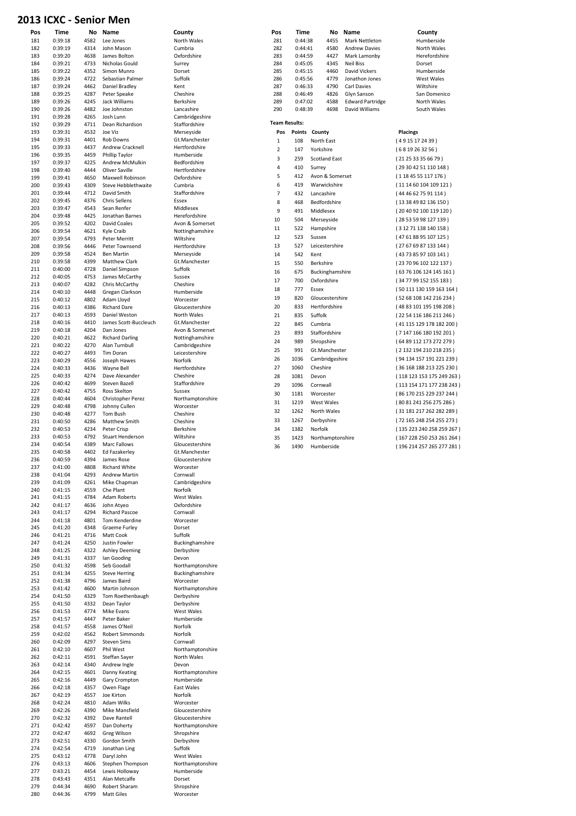#### 2013 ICXC - Senior Men

| 181<br>182 | 0:39:18            | 4582 |                         |                  |
|------------|--------------------|------|-------------------------|------------------|
|            |                    |      | Lee Jones               | North Wales      |
|            | 0:39:19            | 4314 | John Mason              | Cumbria          |
| 183        | 0:39:20            | 4638 | James Bolton            | Oxfordshire      |
| 184        | 0:39:21            | 4733 | Nicholas Gould          | Surrey           |
| 185        | 0:39:22            | 4352 | Simon Munro             | Dorset           |
| 186        | 0:39:24            | 4722 | Sebastian Palmer        | Suffolk          |
| 187        | 0:39:24            | 4462 | Daniel Bradley          | Kent             |
| 188        | 0:39:25            | 4287 | Peter Speake            | Cheshire         |
| 189        | 0:39:26            | 4245 | Jack Williams           | Berkshire        |
| 190        | 0:39:26            | 4482 | Joe Johnston            | Lancashire       |
| 191        | 0:39:28            | 4265 | Josh Lunn               | Cambridgeshire   |
| 192        | 0:39:29            | 4711 | Dean Richardson         | Staffordshire    |
| 193        | 0:39:31            | 4532 | Joe Viz                 | Merseyside       |
| 194        | 0:39:31            | 4401 | <b>Rob Downs</b>        | Gt.Manchester    |
| 195        | 0:39:33            | 4437 | Andrew Cracknell        | Hertfordshire    |
| 196        | 0:39:35            | 4459 | Phillip Taylor          | Humberside       |
| 197        | 0:39:37            | 4225 | <b>Andrew McMulkin</b>  | Bedfordshire     |
| 198        | 0:39:40            | 4444 | Oliver Saville          | Hertfordshire    |
| 199        | 0:39:41            | 4650 | Maxwell Robinson        | Oxfordshire      |
| 200        | 0:39:43            | 4309 | Steve Hebblethwaite     | Cumbria          |
| 201        | 0:39:44            | 4712 | David Smith             | Staffordshire    |
| 202        | 0:39:45            | 4376 | Chris Sellens           | Essex            |
| 203        | 0:39:47            | 4543 | Sean Renfer             | Middlesex        |
|            |                    |      |                         |                  |
| 204        | 0:39:48<br>0:39:52 | 4425 | Jonathan Barnes         | Herefordshire    |
| 205        |                    | 4202 | <b>David Coales</b>     | Avon & Somerset  |
| 206        | 0:39:54            | 4621 | Kyle Craib              | Nottinghamshire  |
| 207        | 0:39:54            | 4793 | Peter Merritt           | Wiltshire        |
| 208        | 0:39:56            | 4446 | Peter Townsend          | Hertfordshire    |
| 209        | 0:39:58            | 4524 | <b>Ben Martin</b>       | Merseyside       |
| 210        | 0:39:58            | 4399 | Matthew Clark           | Gt.Manchester    |
| 211        | 0:40:00            | 4728 | Daniel Simpson          | Suffolk          |
| 212        | 0:40:05            | 4753 | James McCarthy          | Sussex           |
| 213        | 0:40:07            | 4282 | Chris McCarthy          | Cheshire         |
| 214        | 0:40:10            | 4448 | Gregan Clarkson         | Humberside       |
| 215        | 0:40:12            | 4802 | Adam Lloyd              | Worcester        |
| 216        | 0:40:13            | 4386 | <b>Richard Dare</b>     | Gloucestershire  |
| 217        | 0:40:13            | 4593 | Daniel Weston           | North Wales      |
| 218        | 0:40:16            | 4410 | James Scott-Buccleuch   | Gt.Manchester    |
| 219        | 0:40:18            | 4204 | Dan Jones               | Avon & Somerset  |
| 220        | 0:40:21            | 4622 | <b>Richard Darling</b>  | Nottinghamshire  |
| 221        | 0:40:22            | 4270 | Alan Turnbull           | Cambridgeshire   |
| 222        | 0:40:27            | 4493 | Tim Doran               | Leicestershire   |
| 223        | 0:40:29            | 4556 | Joseph Hawes            | Norfolk          |
| 224        | 0:40:33            | 4436 | Wayne Bell              | Hertfordshire    |
| 225        | 0:40:33            | 4274 | Dave Alexander          | Cheshire         |
| 226        | 0:40:42            | 4699 | Steven Bazell           | Staffordshire    |
| 227        | 0:40:42            | 4755 | Ross Skelton            | Sussex           |
| 228        | 0:40:44            | 4604 | Christopher Perez       | Northamptonshire |
| 229        | 0:40:48            | 4798 | Johnny Cullen           | Worcester        |
| 230        | 0:40:48            | 4277 | Tom Bush                | Cheshire         |
| 231        | 0:40:50            | 4286 | Matthew Smith           | Cheshire         |
| 232        | 0:40:53            | 4234 | Peter Crisp             | Berkshire        |
|            | 0:40:53            | 4792 | <b>Stuart Henderson</b> | Wiltshire        |
| 233        |                    |      | Marc Fallows            |                  |
| 234        | 0:40:54            | 4389 |                         | Gloucestershire  |
| 235        | 0:40:58            | 4402 | Ed Fazakerley           | Gt.Manchester    |
| 236        | 0:40:59            | 4394 | James Rose              | Gloucestershire  |
| 237        | 0:41:00            | 4808 | <b>Richard White</b>    | Worcester        |
| 238        | 0:41:04            | 4293 | <b>Andrew Martin</b>    | Cornwall         |
| 239        | 0:41:09            | 4261 | Mike Chapman            | Cambridgeshire   |
| 240        | 0:41:15            | 4559 | Che Plant               | Norfolk          |
| 241        | 0:41:15            | 4784 | <b>Adam Roberts</b>     | West Wales       |
| 242        | 0:41:17            | 4636 | John Atveo              | Oxfordshire      |
| 243        | 0:41:17            | 4294 | <b>Richard Pascoe</b>   | Cornwall         |
| 244        | 0:41:18            | 4801 | Tom Kenderdine          | Worcester        |
| 245        | 0:41:20            | 4348 | <b>Graeme Furley</b>    | Dorset           |
| 246        | 0:41:21            | 4716 | Matt Cook               | Suffolk          |
| 247        | 0:41:24            | 4250 | Justin Fowler           | Buckinghamshire  |
| 248        | 0:41:25            | 4322 | <b>Ashley Deeming</b>   | Derbyshire       |
| 249        | 0:41:31            | 4337 | Ian Gooding             | Devon            |
| 250        | 0:41:32            | 4598 | Seb Goodall             | Northamptonshire |
| 251        | 0:41:34            | 4255 | <b>Steve Herring</b>    | Buckinghamshire  |
| 252        | 0:41:38            | 4796 | James Baird             | Worcester        |
| 253        | 0:41:42            | 4600 | Martin Johnson          | Northamptonshire |
| 254        | 0:41:50            | 4329 | Tom Roethenbaugh        | Derbyshire       |
| 255        | 0:41:50            | 4332 | Dean Taylor             | Derbyshire       |
| 256        | 0:41:53            | 4774 | Mike Evans              | West Wales       |
| 257        | 0:41:57            | 4447 | Peter Baker             | Humberside       |
| 258        | 0:41:57            | 4558 | James O'Neil            | Norfolk          |
| 259        | 0:42:02            | 4562 | <b>Robert Simmonds</b>  | Norfolk          |
| 260        | 0:42:09            | 4297 | <b>Steven Sims</b>      | Cornwall         |
| 261        | 0:42:10            | 4607 | Phil West               | Northamptonshire |
| 262        | 0:42:11            | 4591 | Steffan Sayer           | North Wales      |
| 263        | 0:42:14            | 4340 | Andrew Ingle            | Devon            |
| 264        | 0:42:15            | 4601 | Danny Keating           | Northamptonshire |
| 265        | 0:42:16            | 4449 | Gary Crompton           | Humberside       |
| 266        | 0:42:18            | 4357 | Owen Flage              | East Wales       |
| 267        | 0:42:19            | 4557 | Joe Kirton              | Norfolk          |
| 268        | 0:42:24            | 4810 | Adam Wilks              | Worcester        |
| 269        | 0:42:26            | 4390 | Mike Mansfield          | Gloucestershire  |
| 270        | 0:42:32            | 4392 | Dave Rantell            | Gloucestershire  |
| 271        | 0:42:42            | 4597 | Dan Doherty             | Northamptonshire |
| 272        | 0:42:47            | 4692 | Greg Wilson             | Shropshire       |
| 273        | 0:42:51            | 4330 | Gordon Smith            | Derbyshire       |
| 274        | 0:42:54            | 4719 | Jonathan Ling           | Suffolk          |
| 275        | 0:43:12            | 4778 | Daryl John              | West Wales       |
| 276        | 0:43:13            | 4606 | Stephen Thompson        | Northamptonshire |
| 277        | 0:43:21            | 4454 | Lewis Holloway          | Humberside       |
| 278        | 0:43:43            | 4351 | Alan Metcalfe           | Dorset           |
| 279        | 0:44:34            | 4690 | Robert Sharam           | Shropshire       |

|            |                    |              | 13 ICXC - Senior Men                 |                                |                      |                    |                           |                                          |                                                       |
|------------|--------------------|--------------|--------------------------------------|--------------------------------|----------------------|--------------------|---------------------------|------------------------------------------|-------------------------------------------------------|
| Pos        | Time               |              | No Name                              | County                         | Pos                  | Time               | No                        | Name                                     | County                                                |
| 181        | 0:39:18            | 4582         | Lee Jones                            | North Wales                    | 281                  | 0:44:38            | 4455                      | Mark Nettleton                           | Humberside                                            |
| 182        | 0:39:19            | 4314         | John Mason                           | Cumbria                        | 282                  | 0:44:41            | 4580                      | <b>Andrew Davies</b>                     | North Wales                                           |
| 183        | 0:39:20            | 4638         | James Bolton                         | Oxfordshire                    | 283                  | 0:44:59            | 4427                      | Mark Lamonby                             | Herefordshire                                         |
| 184        | 0:39:21<br>0:39:22 | 4733         | Nicholas Gould                       | Surrey                         | 284                  | 0:45:05            | 4345                      | <b>Neil Biss</b><br><b>David Vickers</b> | Dorset                                                |
| 185<br>186 | 0:39:24            | 4352<br>4722 | Simon Munro<br>Sebastian Palmer      | Dorset<br>Suffolk              | 285<br>286           | 0:45:15<br>0:45:56 | 4460<br>4779              | Jonathon Jones                           | Humberside<br>West Wales                              |
| 187        | 0:39:24            | 4462         | Daniel Bradley                       | Kent                           | 287                  | 0:46:33            | 4790                      | Carl Davies                              | Wiltshire                                             |
| 188        | 0:39:25            | 4287         | Peter Speake                         | Cheshire                       | 288<br>0:46:49       |                    | 4826                      | Glyn Sanson                              | San Domenico                                          |
| 189        | 0:39:26            | 4245         | Jack Williams                        | <b>Berkshire</b>               | 289                  | 0:47:02            | 4588                      | <b>Edward Partridge</b>                  | North Wales                                           |
| 190        | 0:39:26            | 4482         | Joe Johnston                         | Lancashire                     | 290                  | 0:48:39            | 4698                      | David Williams                           | South Wales                                           |
| 191        | 0:39:28            | 4265         | Josh Lunn                            | Cambridgeshire                 | <b>Team Results:</b> |                    |                           |                                          |                                                       |
| 192        | 0:39:29            | 4711         | Dean Richardson                      | Staffordshire                  |                      |                    |                           |                                          |                                                       |
| 193<br>194 | 0:39:31<br>0:39:31 | 4532<br>4401 | Joe Viz<br><b>Rob Downs</b>          | Merseyside<br>Gt.Manchester    | Pos                  | Points             | County                    |                                          | <b>Placings</b>                                       |
| 195        | 0:39:33            | 4437         | <b>Andrew Cracknell</b>              | Hertfordshire                  | 1<br>$\overline{2}$  | 108                | North East<br>Yorkshire   |                                          | (4915172439)                                          |
| 196        | 0:39:35            | 4459         | Phillip Taylor                       | Humberside                     | 3                    | 147                |                           |                                          | (6819263256)                                          |
| 197        | 0:39:37            | 4225         | Andrew McMulkin                      | Bedfordshire                   | 4                    | 259                | <b>Scotland East</b>      |                                          | (212533356679)                                        |
| 198        | 0:39:40            | 4444         | Oliver Saville                       | Hertfordshire                  | 5                    | 410<br>412         | Surrey<br>Avon & Somerset |                                          | (29 30 42 51 110 148)                                 |
| 199        | 0:39:41            | 4650         | Maxwell Robinson                     | Oxfordshire                    | 6                    | 419                | Warwickshire              |                                          | (1184555117176)                                       |
| 200<br>201 | 0:39:43<br>0:39:44 | 4309<br>4712 | Steve Hebblethwaite<br>David Smith   | Cumbria<br>Staffordshire       | $\overline{7}$       | 432                | Lancashire                |                                          | (111460104109121)<br>(4446627591114)                  |
| 202        | 0:39:45            | 4376         | <b>Chris Sellens</b>                 | Essex                          | 8                    | 468                | Bedfordshire              |                                          |                                                       |
| 203        | 0:39:47            | 4543         | Sean Renfer                          | Middlesex                      | 9                    | 491                | Middlesex                 |                                          | (13384982136150)                                      |
| 204        | 0:39:48            | 4425         | Jonathan Barnes                      | Herefordshire                  | 10                   | 504                |                           |                                          | (20 40 92 100 119 120)                                |
| 205        | 0:39:52            | 4202         | David Coales                         | Avon & Somerset                | 11                   | 522                | Merseyside                |                                          | (28535998127139)                                      |
| 206        | 0:39:54            | 4621         | Kyle Craib                           | Nottinghamshire                | 12                   |                    | Hampshire                 |                                          | (31271138140158)<br>(47 61 88 95 107 125)             |
| 207        | 0:39:54            | 4793         | Peter Merritt                        | Wiltshire                      |                      | 523                | Sussex<br>Leicestershire  |                                          |                                                       |
| 208        | 0:39:56<br>0:39:58 | 4446<br>4524 | Peter Townsend<br><b>Ben Martin</b>  | Hertfordshire                  | 13                   | 527                |                           |                                          | (27676987133144)                                      |
| 209<br>210 | 0:39:58            | 4399         | Matthew Clark                        | Merseyside<br>Gt.Manchester    | 14                   | 542                | Kent                      |                                          | (43 73 85 97 103 141)                                 |
| 211        | 0:40:00            | 4728         | Daniel Simpson                       | Suffolk                        | 15                   | 550                | Berkshire                 |                                          | (23 70 96 102 122 137)                                |
| 212        | 0:40:05            | 4753         | James McCarthy                       | Sussex                         | 16                   | 675                | Buckinghamshire           |                                          | (63 76 106 124 145 161)                               |
| 213        | 0:40:07            | 4282         | Chris McCarthy                       | Cheshire                       | 17                   | 700                | Oxfordshire               |                                          | (34 77 99 152 155 183)                                |
| 214        | 0:40:10            | 4448         | Gregan Clarkson                      | Humberside                     | 18                   | 777                | Essex                     |                                          | (50 111 130 159 163 164)                              |
| 215        | 0:40:12            | 4802         | Adam Lloyd                           | Worcester                      | 19                   | 820                | Gloucestershire           |                                          | (52 68 108 142 216 234)                               |
| 216<br>217 | 0:40:13<br>0:40:13 | 4386<br>4593 | <b>Richard Dare</b><br>Daniel Weston | Gloucestershire<br>North Wales | 20                   | 833                | Hertfordshire             |                                          | (48 83 101 195 198 208)                               |
| 218        | 0:40:16            | 4410         | James Scott-Buccleuch                | Gt.Manchester                  | 21                   | 835                | Suffolk                   |                                          | (22 54 116 186 211 246)                               |
| 219        | 0:40:18            | 4204         | Dan Jones                            | Avon & Somerset                | 22                   | 845                | Cumbria                   |                                          | (41 115 129 178 182 200)                              |
| 220        | 0:40:21            | 4622         | <b>Richard Darling</b>               | Nottinghamshire                | 23<br>24             | 893                | Staffordshire             |                                          | (7147166180192201)                                    |
| 221        | 0:40:22            | 4270         | Alan Turnbull                        | Cambridgeshire                 | 25                   | 989                | Shropshire                |                                          | (64 89 112 173 272 279)                               |
| 222        | 0:40:27            | 4493         | <b>Tim Doran</b>                     | Leicestershire                 | 26                   | 991                | Gt.Manchester             |                                          | (2 132 194 210 218 235)                               |
| 223        | 0:40:29            | 4556         | Joseph Hawes                         | Norfolk                        | 27                   | 1036               | Cambridgeshire            |                                          | (94 134 157 191 221 239)                              |
| 224<br>225 | 0:40:33<br>0:40:33 | 4436<br>4274 | <b>Wayne Bell</b><br>Dave Alexander  | Hertfordshire<br>Cheshire      | 28                   | 1060<br>1081       | Cheshire                  |                                          | (36 168 188 213 225 230)                              |
| 226        | 0:40:42            | 4699         | Steven Bazell                        | Staffordshire                  | 29                   | 1096               | Devon<br>Cornwall         |                                          | (118 123 153 175 249 263)                             |
| 227        | 0:40:42            | 4755         | Ross Skelton                         | Sussex                         | 30                   |                    | Worcester                 |                                          | (113 154 171 177 238 243)<br>(86 170 215 229 237 244) |
| 228        | 0:40:44            | 4604         | Christopher Perez                    | Northamptonshire               | 31                   | 1181<br>1219       | <b>West Wales</b>         |                                          | (80 81 241 256 275 286)                               |
| 229        | 0:40:48            | 4798         | Johnny Cullen                        | Worcester                      | 32                   | 1262               | North Wales               |                                          | (31 181 217 262 282 289)                              |
| 230        | 0:40:48            | 4277         | <b>Tom Bush</b>                      | Cheshire                       | 33                   | 1267               | Derbyshire                |                                          | (72 165 248 254 255 273)                              |
| 231<br>232 | 0:40:50<br>0:40:53 | 4286<br>4234 | Matthew Smith<br>Peter Crisp         | Cheshire<br>Berkshire          | 34                   | 1382               | Norfolk                   |                                          | (135 223 240 258 259 267)                             |
| 233        | 0:40:53            | 4792         | <b>Stuart Henderson</b>              | Wiltshire                      | 35                   | 1423               | Northamptonshire          |                                          | (167 228 250 253 261 264)                             |
| 234        | 0:40:54            | 4389         | Marc Fallows                         | Gloucestershire                | 36                   | 1490               | Humberside                |                                          | (196 214 257 265 277 281)                             |
| 235        | 0:40:58            | 4402         | Ed Fazakerley                        | Gt.Manchester                  |                      |                    |                           |                                          |                                                       |
| 236        | 0:40:59            | 4394         | James Rose                           | Gloucestershire                |                      |                    |                           |                                          |                                                       |
| 237        | 0:41:00            | 4808         | Richard White                        | Worcester                      |                      |                    |                           |                                          |                                                       |
| 238        | 0:41:04<br>0:41:09 | 4293         | <b>Andrew Martin</b><br>Mike Chapman | Cornwall                       |                      |                    |                           |                                          |                                                       |
| 239<br>240 | 0:41:15            | 4261<br>4559 | Che Plant                            | Cambridgeshire<br>Norfolk      |                      |                    |                           |                                          |                                                       |
| 241        | 0:41:15            | 4784         | <b>Adam Roberts</b>                  | West Wales                     |                      |                    |                           |                                          |                                                       |
| 242        | 0:41:17            | 4636         | John Atyeo                           | Oxfordshire                    |                      |                    |                           |                                          |                                                       |
| 243        | 0:41:17            | 4294         | Richard Pascoe                       | Cornwall                       |                      |                    |                           |                                          |                                                       |
| 244        | 0:41:18            | 4801         | Tom Kenderdine                       | Worcester                      |                      |                    |                           |                                          |                                                       |
| 245        | 0:41:20            | 4348         | <b>Graeme Furley</b>                 | Dorset                         |                      |                    |                           |                                          |                                                       |
| 246<br>247 | 0:41:21<br>0:41:24 | 4716<br>4250 | Matt Cook<br>Justin Fowler           | Suffolk<br>Buckinghamshire     |                      |                    |                           |                                          |                                                       |
| 248        | 0:41:25            | 4322         | <b>Ashley Deeming</b>                | Derbyshire                     |                      |                    |                           |                                          |                                                       |
| 249        | 0:41:31            | 4337         | Ian Gooding                          | Devon                          |                      |                    |                           |                                          |                                                       |
| 250        | 0:41:32            | 4598         | Seb Goodall                          | Northamptonshire               |                      |                    |                           |                                          |                                                       |
| 251        | 0:41:34            | 4255         | <b>Steve Herring</b>                 | Buckinghamshire                |                      |                    |                           |                                          |                                                       |
| 252        | 0:41:38            | 4796         | James Baird                          | Worcester                      |                      |                    |                           |                                          |                                                       |
| 253        | 0:41:42            | 4600         | Martin Johnson                       | Northamptonshire               |                      |                    |                           |                                          |                                                       |
| 254<br>255 | 0:41:50<br>0:41:50 | 4329<br>4332 | Tom Roethenbaugh<br>Dean Taylor      | Derbyshire<br>Derbyshire       |                      |                    |                           |                                          |                                                       |
| 256        | 0:41:53            | 4774         | Mike Evans                           | West Wales                     |                      |                    |                           |                                          |                                                       |
| 257        | 0:41:57            | 4447         | Peter Baker                          | Humberside                     |                      |                    |                           |                                          |                                                       |
| 258        | 0:41:57            | 4558         | James O'Neil                         | Norfolk                        |                      |                    |                           |                                          |                                                       |
| 259        | 0:42:02            | 4562         | Robert Simmonds                      | Norfolk                        |                      |                    |                           |                                          |                                                       |
| 260        | 0:42:09            | 4297         | <b>Steven Sims</b>                   | Cornwall                       |                      |                    |                           |                                          |                                                       |
| 261        | 0:42:10            | 4607         | Phil West                            | Northamptonshire               |                      |                    |                           |                                          |                                                       |
| 262<br>263 | 0:42:11<br>0:42:14 | 4591<br>4340 | Steffan Sayer<br>Andrew Ingle        | North Wales<br>Devon           |                      |                    |                           |                                          |                                                       |
| 264        | 0:42:15            | 4601         | Danny Keating                        | Northamptonshire               |                      |                    |                           |                                          |                                                       |
| 265        | 0:42:16            |              | 4449 Gary Crompton                   | Humberside                     |                      |                    |                           |                                          |                                                       |

| leton<br>avies<br>onby<br>ers<br>lones<br>ς<br>ρn<br>ırtridge | Humberside<br>North Wales<br>Herefordshire<br>Dorset<br>Humberside<br>West Wales<br>Wiltshire<br>San Domenico<br>North Wales                                                                                                                                                                                                             |
|---------------------------------------------------------------|------------------------------------------------------------------------------------------------------------------------------------------------------------------------------------------------------------------------------------------------------------------------------------------------------------------------------------------|
| iams                                                          | South Wales                                                                                                                                                                                                                                                                                                                              |
|                                                               | Placings<br>(4915172439)<br>(6819263256)<br>(21 25 33 35 66 79)<br>(29 30 42 51 110 148)<br>(118 45 55 117 176)<br>(11 14 60 104 109 121)<br>(44 46 62 75 91 114)<br>(13 38 49 82 136 150)<br>(20 40 92 100 119 120)<br>(28 53 59 98 127 139 )<br>(31271138140158)<br>(47 61 88 95 107 125)<br>(27676987133144)<br>(43 73 85 97 103 141) |
|                                                               | (23 70 96 102 122 137)<br>(63 76 106 124 145 161)<br>(34 77 99 152 155 183)<br>(50 111 130 159 163 164)<br>(52 68 108 142 216 234)<br>(48 83 101 195 198 208)<br>(22 54 116 186 211 246)                                                                                                                                                 |
|                                                               | (41 115 129 178 182 200)<br>(7147166180192201)<br>(64 89 112 173 272 279)<br>(2 132 194 210 218 235)<br>(94 134 157 191 221 239)<br>(36 168 188 213 225 230)<br>(118 123 153 175 249 263)<br>(113 154 171 177 238 243)<br>(86 170 215 229 237 244)                                                                                       |
|                                                               | (80 81 241 256 275 286)<br>(31 181 217 262 282 289)<br>(72 165 248 254 255 273)<br>(135 223 240 258 259 267)<br>(167 228 250 253 261 264)<br>(196 214 257 265 277 281)                                                                                                                                                                   |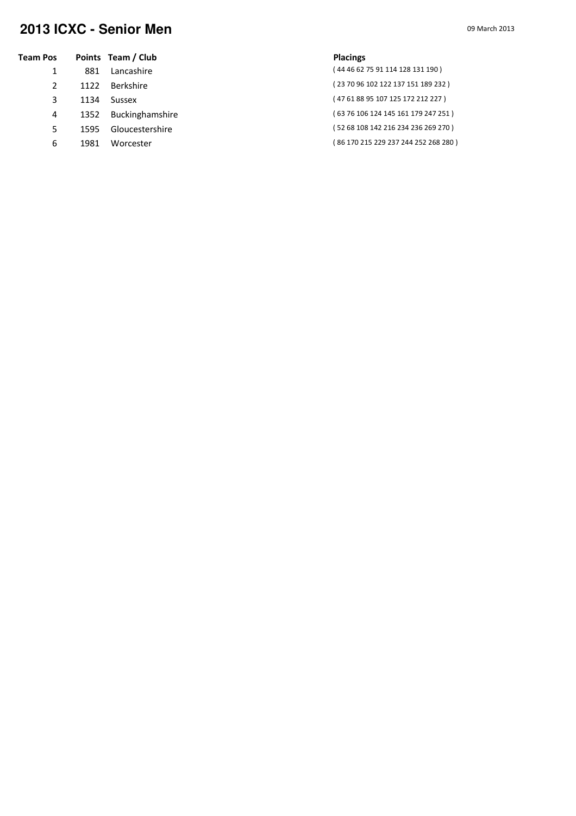### **2013 ICXC - Senior Men** 09 March 2013

| Team Pos |      | Points Team / Club     | <b>Placings</b>                      |
|----------|------|------------------------|--------------------------------------|
|          | 881  | Lancashire             | (44 46 62 75 91 114 128 131 190)     |
|          | 1122 | Berkshire              | (23 70 96 102 122 137 151 189 232 )  |
|          | 1134 | Sussex                 | (47 61 88 95 107 125 172 212 227)    |
| 4        | 1352 | <b>Buckinghamshire</b> | (63 76 106 124 145 161 179 247 251)  |
| 5.       | 1595 | Gloucestershire        | (52 68 108 142 216 234 236 269 270)  |
| 6        | 1981 | Worcester              | (86 170 215 229 237 244 252 268 280) |
|          |      |                        |                                      |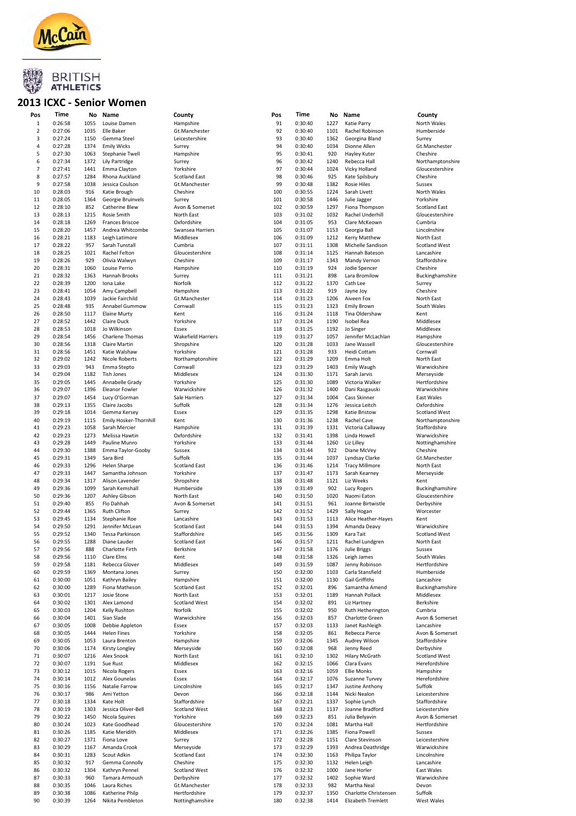

#### 2013 ICXC - Senior Women

| Pos            | Time    |      | No Name                | County                    | Pos | Time    |      | No Name               | County               |
|----------------|---------|------|------------------------|---------------------------|-----|---------|------|-----------------------|----------------------|
| 1              | 0:26:58 | 1055 | Louise Damen           | Hampshire                 | 91  | 0:30:40 | 1227 | Katie Parry           | North Wales          |
| $\overline{2}$ | 0:27:06 | 1035 | Elle Baker             | Gt.Manchester             | 92  | 0:30:40 | 1101 | Rachel Robinson       | Humberside           |
| 3              | 0:27:24 | 1150 | Gemma Steel            | Leicestershire            | 93  | 0:30:40 | 1362 | Georgina Bland        | Surrey               |
| 4              | 0:27:28 | 1374 | <b>Emily Wicks</b>     | Surrey                    | 94  | 0:30:40 | 1034 | Dionne Allen          | Gt.Manchester        |
| 5              | 0:27:30 | 1063 | <b>Stephanie Twell</b> | Hampshire                 | 95  | 0:30:41 | 920  | Hayley Kuter          | Cheshire             |
| 6              | 0:27:34 | 1372 | Lily Partridge         | Surrey                    | 96  | 0:30:42 | 1240 | Rebecca Hall          | Northamptonshir      |
| $\overline{7}$ | 0:27:41 | 1441 | Emma Clayton           | Yorkshire                 | 97  | 0:30:44 | 1024 | Vicky Holland         | Gloucestershire      |
| 8              | 0:27:57 | 1284 | Rhona Auckland         | <b>Scotland East</b>      | 98  | 0:30:46 | 925  | Kate Spilsbury        | Cheshire             |
| 9              | 0:27:58 | 1038 | Jessica Coulson        | Gt.Manchester             | 99  | 0:30:48 | 1382 | <b>Rosie Hiles</b>    | Sussex               |
| 10             | 0:28:03 | 916  | Katie Brough           | Cheshire                  | 100 | 0:30:55 | 1224 | Sarah Livett          | North Wales          |
| 11             | 0:28:05 | 1364 | Georgie Bruinvels      | Surrey                    | 101 | 0:30:58 | 1446 | Julie Jagger          | Yorkshire            |
| 12             | 0:28:10 | 852  | Catherine Blew         | Avon & Somerset           | 102 | 0:30:59 | 1297 | Fiona Thompson        | Scotland East        |
| 13             | 0:28:13 | 1215 | Rosie Smith            | North East                | 103 | 0:31:02 | 1032 | Rachel Underhill      | Gloucestershire      |
| 14             | 0:28:18 | 1269 | <b>Frances Briscoe</b> | Oxfordshire               | 104 | 0:31:05 | 953  | Clare McKeown         | Cumbria              |
| 15             | 0:28:20 | 1457 | Andrea Whitcombe       | Swansea Harriers          | 105 | 0:31:07 | 1153 | Georgia Ball          | Lincolnshire         |
| 16             | 0:28:21 | 1183 | Leigh Latimore         | Middlesex                 | 106 | 0:31:09 | 1212 | Kerry Matthew         | North East           |
| 17             | 0:28:22 | 957  | Sarah Tunstall         | Cumbria                   | 107 | 0:31:11 | 1308 | Michelle Sandison     | <b>Scotland West</b> |
| 18             | 0:28:25 | 1021 | Rachel Felton          | Gloucestershire           | 108 | 0:31:14 | 1125 | Hannah Bateson        | Lancashire           |
| 19             | 0:28:26 | 929  | Olivia Walwyn          | Cheshire                  | 109 | 0:31:17 | 1343 | Mandy Vernon          | Staffordshire        |
| 20             | 0:28:31 | 1060 | Louise Perrio          | Hampshire                 | 110 | 0:31:19 | 924  | Jodie Spencer         | Cheshire             |
| 21             | 0:28:32 | 1363 | Hannah Brooks          | Surrey                    | 111 | 0:31:21 | 898  | Lara Bromilow         | Buckinghamshire      |
| 22             | 0:28:39 | 1200 | Iona Lake              | Norfolk                   | 112 | 0:31:22 | 1370 | Cath Lee              | Surrey               |
| 23             | 0:28:41 | 1054 | Amy Campbell           | Hampshire                 | 113 | 0:31:22 | 919  | Jayne Joy             | Cheshire             |
| 24             | 0:28:43 | 1039 | Jackie Fairchild       | Gt.Manchester             | 114 | 0:31:23 | 1206 | Aiveen Fox            | North East           |
| 25             | 0:28:48 | 935  | Annabel Gummow         | Cornwall                  | 115 | 0:31:23 | 1323 | <b>Emily Brown</b>    | South Wales          |
| 26             | 0:28:50 | 1117 | <b>Elaine Murty</b>    | Kent                      | 116 | 0:31:24 | 1118 | Tina Oldershaw        | Kent                 |
| 27             | 0:28:52 | 1442 | Claire Duck            | Yorkshire                 | 117 | 0:31:24 | 1190 | Isobel Rea            | Middlesex            |
| 28             | 0:28:53 | 1018 | Jo Wilkinson           | Essex                     | 118 | 0:31:25 | 1192 | Jo Singer             | Middlesex            |
| 29             | 0:28:54 | 1456 | <b>Charlene Thomas</b> | <b>Wakefield Harriers</b> | 119 | 0:31:27 | 1057 | Jennifer McLachlan    | Hampshire            |
| 30             | 0:28:56 | 1318 | <b>Claire Martin</b>   | Shropshire                | 120 | 0:31:28 | 1033 | Jane Wassell          | Gloucestershire      |
| 31             | 0:28:56 | 1451 | Katie Walshaw          | Yorkshire                 | 121 | 0:31:28 | 933  | Heidi Cottam          | Cornwall             |
| 32             | 0:29:02 | 1242 | Nicole Roberts         | Northamptonshire          | 122 | 0:31:29 | 1209 | Emma Holt             | North East           |
| 33             | 0:29:03 | 943  | Emma Stepto            | Cornwall                  | 123 | 0:31:29 | 1403 | Emily Waugh           | Warwickshire         |
| 34             | 0:29:04 | 1182 | <b>Tish Jones</b>      | Middlesex                 | 124 | 0:31:30 | 1171 | Sarah Jarvis          | Merseyside           |
| 35             | 0:29:05 | 1445 | Annabelle Grady        | Yorkshire                 | 125 | 0:31:30 | 1089 | Victoria Walker       | Hertfordshire        |
| 36             | 0:29:07 | 1396 | Eleanor Fowler         | Warwickshire              | 126 | 0:31:32 | 1400 | Dani Rasgauski        | Warwickshire         |
| 37             | 0:29:07 | 1454 | Lucy O'Gorman          | Sale Harriers             | 127 | 0:31:34 | 1004 | Cass Skinner          | East Wales           |
| 38             | 0:29:13 | 1355 | Claire Jacobs          | Suffolk                   | 128 | 0:31:34 | 1276 | Jessica Leitch        | Oxfordshire          |
| 39             | 0:29:18 | 1014 | Gemma Kersey           | Essex                     | 129 | 0:31:35 | 1298 | Katie Bristow         | <b>Scotland West</b> |
| 40             | 0:29:19 | 1115 | Emily Hosker-Thornhill | Kent                      | 130 | 0:31:36 | 1238 | Rachel Cave           | Northamptonshir      |
| 41             | 0:29:23 | 1058 | Sarah Mercier          | Hampshire                 | 131 | 0:31:39 | 1331 | Victoria Callaway     | Staffordshire        |
| 42             | 0:29:23 | 1273 | Melissa Hawtin         | Oxfordshire               | 132 | 0:31:41 | 1398 | Linda Howell          | Warwickshire         |
| 43             | 0:29:28 | 1449 | Pauline Munro          | Yorkshire                 | 133 | 0:31:44 | 1260 | Liz Lilley            | Nottinghamshire      |
| 44             | 0:29:30 | 1388 | Emma Taylor-Gooby      | Sussex                    | 134 | 0:31:44 | 922  | Diane McVey           | Cheshire             |
| 45             | 0:29:31 | 1349 | Sara Bird              | Suffolk                   | 135 | 0:31:44 | 1037 | Lyndsay Clarke        | Gt.Manchester        |
| 46             | 0:29:33 | 1296 | Helen Sharpe           | <b>Scotland East</b>      | 136 | 0:31:46 | 1214 | <b>Tracy Millmore</b> | North East           |
| 47             | 0:29:33 | 1447 | Samantha Johnson       | Yorkshire                 | 137 | 0:31:47 | 1173 | Sarah Kearney         | Merseyside           |
| 48             | 0:29:34 | 1317 | Alison Lavender        | Shropshire                | 138 | 0:31:48 | 1121 | Liz Weeks             | Kent                 |
| 49             | 0:29:36 | 1099 | Sarah Kemshall         | Humberside                | 139 | 0:31:49 | 902  | Lucy Rogers           | Buckinghamshire      |
| 50             | 0:29:36 | 1207 | Ashley Gibson          | North East                | 140 | 0:31:50 | 1020 | Naomi Eaton           | Gloucestershire      |
| 51             | 0:29:40 | 855  | Flo Dahhah             | Avon & Somerset           | 141 | 0:31:51 | 961  | Joanne Birtwistle     | Derbyshire           |
| 52             | 0:29:44 | 1365 | <b>Ruth Clifton</b>    | Surrey                    | 142 | 0:31:52 | 1429 | Sally Hogan           | Worcester            |
| 53             | 0:29:45 | 1134 | Stephanie Roe          | Lancashire                | 143 | 0:31:53 | 1113 | Alice Heather-Hayes   | Kent                 |
| 54             | 0:29:50 | 1291 | Jennifer McLean        | <b>Scotland East</b>      | 144 | 0:31:53 | 1394 | Amanda Deavy          | Warwickshire         |
| 55             | 0:29:52 | 1340 | Tessa Parkinson        | Staffordshire             | 145 | 0:31:56 | 1309 | Kara Tait             | <b>Scotland West</b> |
| 56             | 0:29:55 | 1288 | Diane Lauder           | Scotland East             | 146 | 0:31:57 | 1211 | Rachel Lundgren       | North East           |
| 57             | 0:29:56 | 888  | Charlotte Firth        | Berkshire                 | 147 | 0:31:58 | 1376 | Julie Briggs          | Sussex               |
| 58             | 0:29:56 | 1110 | Clare Elms             | Kent                      | 148 | 0:31:58 | 1326 | Leigh James           | South Wales          |
| 59             | 0:29:58 | 1181 | Rebecca Glover         | Middlesex                 | 149 | 0:31:59 | 1087 | Jenny Robinson        | Hertfordshire        |
| 60             | 0:29:59 | 1369 | Montana Jones          | Surrey                    | 150 | 0:32:00 | 1103 | Carla Stansfield      | Humberside           |
| 61             | 0:30:00 | 1051 | Kathryn Bailey         | Hampshire                 | 151 | 0:32:00 | 1130 | <b>Gail Griffiths</b> | Lancashire           |
| 62             | 0:30:00 | 1289 | Fiona Matheson         | Scotland East             | 152 | 0:32:01 | 896  | Samantha Amend        | Buckinghamshire      |
| 63             | 0:30:01 | 1217 | Josie Stone            | North East                | 153 | 0:32:01 | 1189 | Hannah Pollack        | Middlesex            |
| 64             | 0:30:02 | 1301 | Alex Lamond            | <b>Scotland West</b>      | 154 | 0:32:02 | 891  | Liz Hartney           | Berkshire            |
| 65             | 0:30:03 | 1204 | Kelly Rushton          | Norfolk                   | 155 | 0:32:02 | 950  | Ruth Hetherington     | Cumbria              |
| 66             | 0:30:04 | 1401 | Sian Slade             | Warwickshire              | 156 | 0:32:03 | 857  | Charlotte Green       | Avon & Somerset      |
| 67             | 0:30:05 | 1008 | Debbie Appleton        | Essex                     | 157 | 0:32:03 | 1133 | Janet Rashleigh       | Lancashire           |
| 68             | 0:30:05 | 1444 | <b>Helen Fines</b>     | Yorkshire                 | 158 | 0:32:05 | 861  | Rebecca Pierce        | Avon & Somerset      |
| 69             | 0:30:05 | 1053 | Laura Brenton          | Hampshire                 | 159 | 0:32:06 | 1345 | Audrey Wilson         | Staffordshire        |
| 70             | 0:30:06 | 1174 | Kirsty Longley         | Merseyside                | 160 | 0:32:08 | 968  | Jenny Reed            | Derbyshire           |
| 71             | 0:30:07 | 1216 | Alex Snook             | North East                | 161 | 0:32:10 | 1302 | <b>Hilary McGrath</b> | <b>Scotland West</b> |
| 72             | 0:30:07 | 1191 | Sue Rust               | Middlesex                 | 162 | 0:32:15 | 1066 | Clara Evans           | Herefordshire        |
| 73             | 0:30:12 | 1015 | Nicola Rogers          | Essex                     | 163 | 0:32:16 | 1059 | Ellie Monks           | Hampshire            |
| 74             | 0:30:14 | 1012 | Alex Gounelas          | Essex                     | 164 | 0:32:17 | 1076 | Suzanne Turvey        | Herefordshire        |
| 75             | 0:30:16 | 1156 | Natalie Farrow         | Lincolnshire              | 165 | 0:32:17 | 1347 | Justine Anthony       | Suffolk              |
| 76             | 0:30:17 | 986  | Ami Yetton             | Devon                     | 166 | 0:32:18 | 1144 | Nicki Nealon          | Leicestershire       |
| 77             | 0:30:18 | 1334 | Kate Holt              | Staffordshire             | 167 | 0:32:21 | 1337 | Sophie Lynch          | Staffordshire        |
| 78             | 0:30:19 | 1303 | Jessica Oliver-Bell    | <b>Scotland West</b>      | 168 | 0:32:23 | 1137 | Joanne Bradford       | Leicestershire       |
| 79             | 0:30:22 | 1450 | Nicola Squires         | Yorkshire                 | 169 | 0:32:23 | 851  | Julia Belyavin        | Avon & Somerset      |
| 80             | 0:30:24 | 1023 | Kate Goodhead          | Gloucestershire           | 170 | 0:32:24 | 1081 | Martha Hall           | Hertfordshire        |
| 81             | 0:30:26 | 1185 | Katie Meridith         | Middlesex                 | 171 | 0:32:26 | 1385 | Fiona Powell          | Sussex               |
| 82             | 0:30:27 | 1371 | Fiona Love             | Surrey                    | 172 | 0:32:28 | 1151 | Clare Stevinson       | Leicestershire       |
| 83             | 0:30:29 | 1167 | Amanda Crook           | Merseyside                | 173 | 0:32:29 | 1393 | Andrea Deathridge     | Warwickshire         |
| 84             | 0:30:31 | 1283 | Scout Adkin            | <b>Scotland East</b>      | 174 | 0:32:30 | 1163 | Philipa Taylor        | Lincolnshire         |
| 85             | 0:30:32 | 917  | Gemma Connolly         | Cheshire                  | 175 | 0:32:30 | 1132 | Helen Leigh           | Lancashire           |
| 86             | 0:30:32 | 1304 | Kathryn Pennel         | <b>Scotland West</b>      | 176 | 0:32:32 | 1000 | Jane Horler           | East Wales           |
| 87             | 0:30:33 | 960  | Tamara Armoush         | Derbyshire                | 177 | 0:32:32 | 1402 | Sophie Ward           | Warwickshire         |
| 88             | 0:30:35 | 1046 | Laura Riches           | Gt.Manchester             | 178 | 0:32:33 | 982  | Martha Neal           | Devon                |
| 89             | 0:30:38 | 1086 | Katherine Philp        | Hertfordshire             | 179 | 0:32:37 | 1350 | Charlotte Christensen | Suffolk              |
| 90             | 0:30:39 | 1264 | Nikita Pembleton       | Nottinghamshire           | 180 | 0:32:38 | 1414 | Elizabeth Tremlett    | West Wales           |

ptonshire<br>ershire amshire ptonshire<br>hire amshire .<br>amshire omerset .<br>0:<br>hire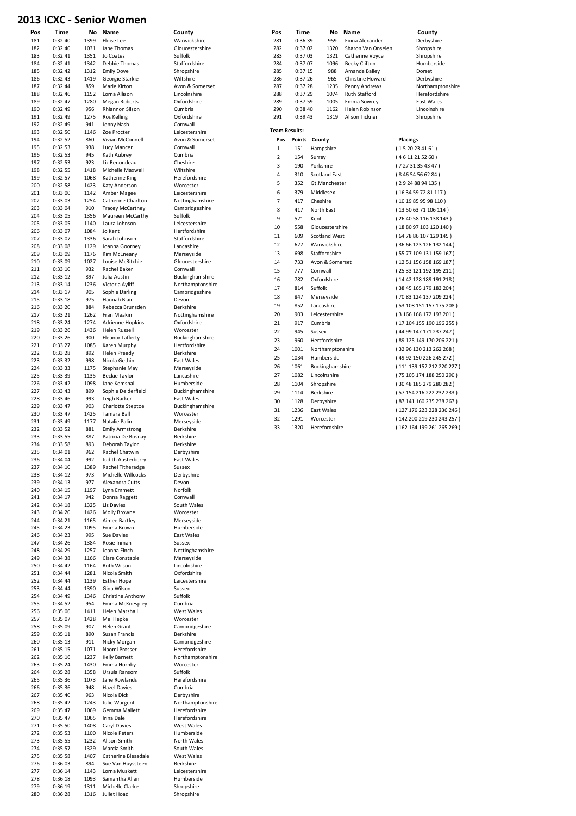#### 2013 ICXC - Senior Women

|     | Time    | No   | Name                    | County           | Pos                  | Time    | Name<br>No                 | County                    |
|-----|---------|------|-------------------------|------------------|----------------------|---------|----------------------------|---------------------------|
| 181 | 0:32:40 | 1399 | Eloise Lee              | Warwickshire     | 281                  | 0:36:39 | 959<br>Fiona Alexander     | Derbyshire                |
| 182 | 0:32:40 | 1031 | Jane Thomas             | Gloucestershire  | 282                  | 0:37:02 | 1320<br>Sharon Van Onselen | Shropshire                |
| 183 | 0:32:41 | 1351 | Jo Coates               | Suffolk          | 283                  | 0:37:03 | 1321<br>Catherine Voyce    | Shropshire                |
| 184 | 0:32:41 | 1342 | Debbie Thomas           | Staffordshire    | 284                  |         | 1096                       | Humberside                |
|     |         |      |                         |                  |                      | 0:37:07 | <b>Becky Clifton</b>       |                           |
| 185 | 0:32:42 | 1312 | <b>Emily Dove</b>       | Shropshire       | 285                  | 0:37:15 | 988<br>Amanda Bailey       | Dorset                    |
| 186 | 0:32:43 | 1419 | Georgie Starkie         | Wiltshire        | 286                  | 0:37:26 | 965<br>Christine Howard    | Derbyshire                |
| 187 | 0:32:44 | 859  | Marie Kirton            | Avon & Somerset  | 287                  | 0:37:28 | 1235<br>Penny Andrews      | Northamptonshire          |
| 188 | 0:32:46 | 1152 | Lorna Allison           | Lincolnshire     | 288                  | 0:37:29 | 1074<br>Ruth Stafford      | Herefordshire             |
| 189 | 0:32:47 | 1280 | <b>Megan Roberts</b>    | Oxfordshire      | 289                  | 0:37:59 | 1005<br>Emma Sowrey        | East Wales                |
| 190 | 0:32:49 | 956  | Rhiannon Silson         | Cumbria          | 290                  | 0:38:40 | 1162<br>Helen Robinson     | Lincolnshire              |
| 191 | 0:32:49 | 1275 | Ros Kelling             | Oxfordshire      | 291                  | 0:39:43 | 1319<br>Alison Tickner     | Shropshire                |
|     |         |      |                         |                  |                      |         |                            |                           |
| 192 | 0:32:49 | 941  | Jenny Nash              | Cornwall         | <b>Team Results:</b> |         |                            |                           |
| 193 | 0:32:50 | 1146 | Zoe Procter             | Leicestershire   |                      |         |                            |                           |
| 194 | 0:32:52 | 860  | Vivian McConnell        | Avon & Somerset  | Pos                  |         | Points County              | <b>Placings</b>           |
| 195 | 0:32:53 | 938  | Lucy Mancer             | Cornwall         | $\mathbf 1$          | 151     | Hampshire                  | (1520234161)              |
| 196 | 0:32:53 | 945  | Kath Aubrey             | Cumbria          | $\overline{2}$       | 154     | Surrey                     | (4611215260)              |
| 197 | 0:32:53 | 923  | Liz Renondeau           | Cheshire         |                      |         |                            |                           |
| 198 | 0:32:55 | 1418 | Michelle Maxwell        | Wiltshire        | 3                    | 190     | Yorkshire                  | (72731354347)             |
| 199 | 0:32:57 | 1068 | Katherine King          | Herefordshire    | $\overline{4}$       | 310     | <b>Scotland East</b>       | (84654566284)             |
| 200 |         |      |                         | Worcester        | 5                    | 352     | Gt.Manchester              | (29248894135)             |
|     | 0:32:58 | 1423 | Katy Anderson           |                  | 6                    |         |                            |                           |
| 201 | 0:33:00 | 1142 | Amber Magee             | Leicestershire   |                      | 379     | Middlesex                  | (1634597281117)           |
| 202 | 0:33:03 | 1254 | Catherine Charlton      | Nottinghamshire  | $\overline{7}$       | 417     | Cheshire                   | (1019859598110)           |
| 203 | 0:33:04 | 910  | <b>Tracey McCartney</b> | Cambridgeshire   | 8                    | 417     | North East                 | (13506371106114)          |
| 204 | 0:33:05 | 1356 | Maureen McCarthy        | Suffolk          | 9                    | 521     | Kent                       | (26 40 58 116 138 143)    |
| 205 | 0:33:05 | 1140 | Laura Johnson           | Leicestershire   |                      |         |                            |                           |
| 206 | 0:33:07 | 1084 | Jo Kent                 | Hertfordshire    | 10                   | 558     | Gloucestershire            | (18 80 97 103 120 140)    |
| 207 | 0:33:07 | 1336 | Sarah Johnson           | Staffordshire    | 11                   | 609     | <b>Scotland West</b>       | (64 78 86 107 129 145)    |
| 208 | 0:33:08 | 1129 |                         | Lancashire       | 12                   | 627     | Warwickshire               | (36 66 123 126 132 144)   |
|     |         |      | Joanna Goorney          |                  | 13                   | 698     | Staffordshire              |                           |
| 209 | 0:33:09 | 1176 | Kim McEneany            | Merseyside       |                      |         |                            | (55 77 109 131 159 167)   |
| 210 | 0:33:09 | 1027 | Louise McRitchie        | Gloucestershire  | 14                   | 733     | Avon & Somerset            | (12 51 156 158 169 187)   |
| 211 | 0:33:10 | 932  | Rachel Baker            | Cornwall         | 15                   | 777     | Cornwall                   | (25 33 121 192 195 211)   |
| 212 | 0:33:12 | 897  | Julia Austin            | Buckinghamshire  | 16                   | 782     | Oxfordshire                | (14 42 128 189 191 218)   |
| 213 | 0:33:14 | 1236 | Victoria Ayliff         | Northamptonshire |                      |         |                            |                           |
| 214 | 0:33:17 | 905  | Sophie Darling          | Cambridgeshire   | 17                   | 814     | Suffolk                    | (38 45 165 179 183 204)   |
| 215 | 0:33:18 | 975  | Hannah Blair            | Devon            | 18                   | 847     | Merseyside                 | (70 83 124 137 209 224)   |
|     |         |      |                         |                  | 19                   | 852     | Lancashire                 | (53 108 151 157 175 208)  |
| 216 | 0:33:20 | 884  | Rebecca Brunsden        | Berkshire        |                      |         |                            |                           |
| 217 | 0:33:21 | 1262 | Fran Meakin             | Nottinghamshire  | 20                   | 903     | Leicestershire             | (3166 168 172 193 201)    |
| 218 | 0:33:24 | 1274 | Adrienne Hopkins        | Oxfordshire      | 21                   | 917     | Cumbria                    | (17 104 155 190 196 255)  |
| 219 | 0:33:26 | 1436 | <b>Helen Russell</b>    | Worcester        | 22                   | 945     | Sussex                     | (44 99 147 171 237 247)   |
| 220 | 0:33:26 | 900  | <b>Eleanor Lafferty</b> | Buckinghamshire  |                      |         |                            |                           |
| 221 | 0:33:27 | 1085 | Karen Murphy            | Hertfordshire    | 23                   | 960     | Hertfordshire              | (89 125 149 170 206 221)  |
| 222 | 0:33:28 | 892  | <b>Helen Preedy</b>     | Berkshire        | 24                   | 1001    | Northamptonshire           | (32 96 130 213 262 268)   |
|     |         |      |                         |                  | 25                   | 1034    | Humberside                 | (49 92 150 226 245 272)   |
| 223 | 0:33:32 | 998  | Nicola Gethin           | East Wales       | 26                   | 1061    |                            | (111 139 152 212 220 227) |
| 224 | 0:33:33 | 1175 | Stephanie May           | Merseyside       |                      |         | Buckinghamshire            |                           |
| 225 | 0:33:39 | 1135 | <b>Beckie Taylor</b>    | Lancashire       | 27                   | 1082    | Lincolnshire               | (75 105 174 188 250 290)  |
| 226 | 0:33:42 | 1098 | Jane Kemshall           | Humberside       | 28                   | 1104    | Shropshire                 | (30 48 185 279 280 282)   |
| 227 | 0:33:43 | 899  | Sophie Delderfield      | Buckinghamshire  | 29                   | 1114    | Berkshire                  | (57 154 216 222 232 233)  |
| 228 | 0:33:46 | 993  | Leigh Barker            | East Wales       |                      |         |                            |                           |
| 229 | 0:33:47 | 903  | Charlotte Steptoe       | Buckinghamshire  | 30                   | 1128    | Derbyshire                 | (87 141 160 235 238 267)  |
| 230 |         |      |                         |                  | 31                   | 1236    | East Wales                 | (127 176 223 228 236 246) |
|     | 0:33:47 | 1425 | Tamara Ball             | Worcester        | 32                   | 1291    | Worcester                  | (142 200 219 230 243 257) |
| 231 | 0:33:49 | 1177 | Natalie Palin           | Merseyside       |                      |         |                            |                           |
| 232 | 0:33:52 | 881  | <b>Emily Armstrong</b>  | Berkshire        | 33                   | 1320    | Herefordshire              | (162 164 199 261 265 269) |
| 233 | 0:33:55 | 887  | Patricia De Rosnay      | Berkshire        |                      |         |                            |                           |
| 234 | 0:33:58 | 893  | Deborah Taylor          | Berkshire        |                      |         |                            |                           |
| 235 | 0:34:01 | 962  | Rachel Chatwin          | Derbyshire       |                      |         |                            |                           |
| 236 | 0:34:04 | 992  | Judith Austerberry      | East Wales       |                      |         |                            |                           |
| 237 | 0:34:10 | 1389 | Rachel Titheradge       | Sussex           |                      |         |                            |                           |
|     |         |      |                         |                  |                      |         |                            |                           |
| 238 | 0:34:12 | 973  | Michelle Willcocks      | Derbyshire       |                      |         |                            |                           |
| 239 | 0:34:13 | 977  | Alexandra Cutts         | Devon            |                      |         |                            |                           |
| 240 | 0:34:15 | 1197 | Lynn Emmett             | Norfolk          |                      |         |                            |                           |
| 241 | 0:34:17 | 942  | Donna Raggett           | Cornwall         |                      |         |                            |                           |
| 242 | 0:34:18 |      |                         |                  |                      |         |                            |                           |
| 243 | 0:34:20 |      |                         |                  |                      |         |                            |                           |
|     |         | 1325 | Liz Davies              | South Wales      |                      |         |                            |                           |
| 244 |         | 1426 | Molly Browne            | Worcester        |                      |         |                            |                           |
|     | 0:34:21 | 1165 | Aimee Bartley           | Merseyside       |                      |         |                            |                           |
| 245 | 0:34:23 | 1095 | Emma Brown              | Humberside       |                      |         |                            |                           |
| 246 | 0:34:23 | 995  | Sue Davies              | East Wales       |                      |         |                            |                           |
| 247 | 0:34:26 | 1384 | Rosie Inman             | Sussex           |                      |         |                            |                           |
| 248 | 0:34:29 | 1257 | Joanna Finch            | Nottinghamshire  |                      |         |                            |                           |
| 249 | 0:34:38 | 1166 | Clare Constable         | Merseyside       |                      |         |                            |                           |
|     |         |      |                         |                  |                      |         |                            |                           |
| 250 | 0:34:42 | 1164 | Ruth Wilson             | Lincolnshire     |                      |         |                            |                           |
| 251 | 0:34:44 | 1281 | Nicola Smith            | Oxfordshire      |                      |         |                            |                           |
| 252 | 0:34:44 | 1139 | <b>Esther Hope</b>      | Leicestershire   |                      |         |                            |                           |
| 253 | 0:34:44 | 1390 | Gina Wilson             | Sussex           |                      |         |                            |                           |
| 254 | 0:34:49 | 1346 | Christine Anthony       | Suffolk          |                      |         |                            |                           |
| 255 | 0:34:52 | 954  | Emma McKnespiey         | Cumbria          |                      |         |                            |                           |
|     |         |      |                         | West Wales       |                      |         |                            |                           |
| 256 | 0:35:06 | 1411 | Helen Marshall          | Worcester        |                      |         |                            |                           |
| 257 | 0:35:07 | 1428 | Mel Hepke               |                  |                      |         |                            |                           |
| 258 | 0:35:09 | 907  | Helen Grant             | Cambridgeshire   |                      |         |                            |                           |
| 259 | 0:35:11 | 890  | Susan Francis           | Berkshire        |                      |         |                            |                           |
| 260 | 0:35:13 | 911  | Nicky Morgan            | Cambridgeshire   |                      |         |                            |                           |
| 261 | 0:35:15 | 1071 | Naomi Prosser           | Herefordshire    |                      |         |                            |                           |
| 262 | 0:35:16 | 1237 | <b>Kelly Barnett</b>    | Northamptonshire |                      |         |                            |                           |
| 263 | 0:35:24 | 1430 | Emma Hornby             | Worcester        |                      |         |                            |                           |
| 264 | 0:35:28 | 1358 | Ursula Ransom           | Suffolk          |                      |         |                            |                           |
|     |         |      |                         |                  |                      |         |                            |                           |
| 265 | 0:35:36 | 1073 | Jane Rowlands           | Herefordshire    |                      |         |                            |                           |
| 266 | 0:35:36 | 948  | <b>Hazel Davies</b>     | Cumbria          |                      |         |                            |                           |
| 267 | 0:35:40 | 963  | Nicola Dick             | Derbyshire       |                      |         |                            |                           |
| 268 | 0:35:42 | 1243 | Julie Wargent           | Northamptonshire |                      |         |                            |                           |
| 269 | 0:35:47 | 1069 | Gemma Mallett           | Herefordshire    |                      |         |                            |                           |
| 270 | 0:35:47 | 1065 | Irina Dale              | Herefordshire    |                      |         |                            |                           |
| 271 | 0:35:50 | 1408 | Caryl Davies            | West Wales       |                      |         |                            |                           |
|     |         |      |                         |                  |                      |         |                            |                           |
| 272 | 0:35:53 | 1100 | Nicole Peters           | Humberside       |                      |         |                            |                           |
| 273 | 0:35:55 | 1232 | Alison Smith            | North Wales      |                      |         |                            |                           |
| 274 | 0:35:57 | 1329 | Marcia Smith            | South Wales      |                      |         |                            |                           |
| 275 | 0:35:58 | 1407 | Catherine Bleasdale     | West Wales       |                      |         |                            |                           |
| 276 | 0:36:03 | 894  | Sue Van Huyssteen       | Berkshire        |                      |         |                            |                           |
| 277 | 0:36:14 | 1143 | Lorna Muskett           | Leicestershire   |                      |         |                            |                           |
| 278 | 0:36:18 | 1093 | Samantha Allen          | Humberside       |                      |         |                            |                           |
| 279 | 0:36:19 | 1311 | Michelle Clarke         | Shropshire       |                      |         |                            |                           |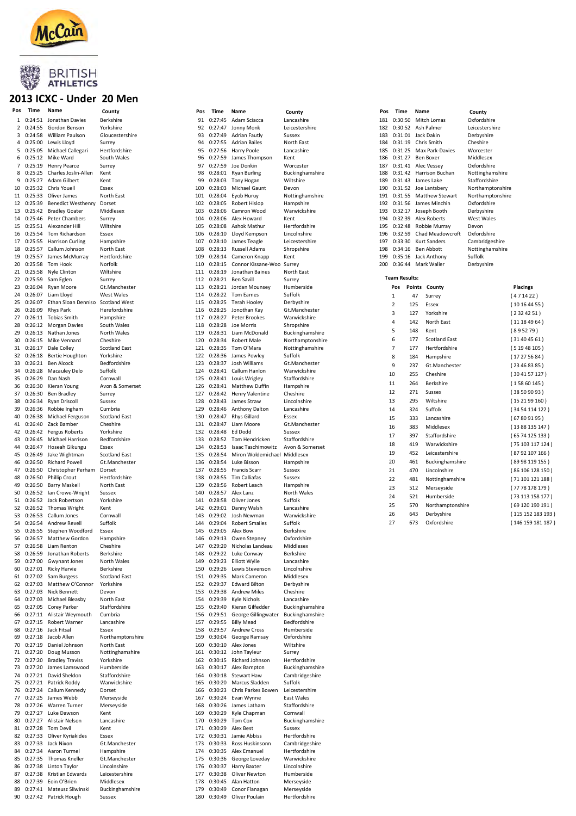

### BRITISH<br>ATHLETICS

#### 2013 ICXC - Under 20 Men

| Pos | Time       | Name                      | County               | Pos | Time    | Name                   | County           | Pos | Time                 |     | Name                    | County        |
|-----|------------|---------------------------|----------------------|-----|---------|------------------------|------------------|-----|----------------------|-----|-------------------------|---------------|
|     | 0:24:51    | Jonathan Davies           | Berkshire            | 91  | 0:27:45 | Adam Sciacca           | Lancashire       | 181 |                      |     | 0:30:50 Mitch Lomas     | Oxfords       |
| 1   |            |                           |                      |     |         |                        |                  |     |                      |     |                         |               |
|     | 2 0:24:55  | Gordon Benson             | Yorkshire            | 92  | 0:27:47 | Jonny Monk             | Leicestershire   | 182 |                      |     | 0:30:52 Ash Palmer      | Leiceste      |
| 3   | 0:24:58    | William Paulson           | Gloucestershire      | 93  | 0:27:49 | Adrian Fautly          | Sussex           | 183 | 0:31:01              |     | Jack Dakin              | Derbysh       |
|     | 4 0:25:00  | Lewis Lloyd               | Surrey               | 94  | 0:27:55 | <b>Adrian Bailes</b>   | North East       | 184 |                      |     | 0:31:19 Chris Smith     | Cheshir       |
| 5   | 0:25:05    | Michael Callegari         | Hertfordshire        | 95  | 0:27:56 | Harry Poole            | Lancashire       | 185 |                      |     | 0:31:25 Max Park-Davies | <b>Worces</b> |
|     |            |                           |                      |     |         |                        |                  |     |                      |     |                         |               |
| 6   | 0:25:12    | Mike Ward                 | South Wales          | 96  | 0:27:59 | James Thompson         | Kent             | 186 | 0:31:27              |     | Ben Boxer               | Middles       |
|     | 7 0:25:19  | <b>Henry Pearce</b>       | Surrey               | 97  | 0:27:59 | Joe Donkin             | Worcester        | 187 |                      |     | 0:31:41 Alec Vessey     | Oxfords       |
| 8   | 0:25:25    | Charles Joslin-Allen      | Kent                 | 98  | 0:28:01 | <b>Ryan Burling</b>    | Buckinghamshire  | 188 |                      |     | 0:31:42 Harrison Buchan | Notting       |
| 9   | 0:25:27    | Adam Gilbert              | Kent                 | 99  | 0:28:03 | Tony Hogan             | Wiltshire        | 189 |                      |     | 0:31:43 James Lake      | Stafford      |
|     |            |                           |                      |     |         |                        |                  |     |                      |     |                         |               |
| 10  | 0:25:32    | Chris Youell              | Essex                | 100 | 0:28:03 | Michael Gaunt          | Devon            | 190 | 0:31:52              |     | Joe Lantsbery           | Northar       |
|     | 11 0:25:33 | Oliver James              | North East           | 101 | 0:28:04 | Eyob Huruy             | Nottinghamshire  | 191 | 0:31:55              |     | <b>Matthew Stewart</b>  | Northar       |
| 12  | 0:25:39    | <b>Benedict Westhenry</b> | Dorset               | 102 | 0:28:05 | Robert Hislop          | Hampshire        | 192 | 0:31:56              |     | James Minchin           | Oxfords       |
| 13  | 0:25:42    | <b>Bradley Goater</b>     | Middlesex            | 103 | 0:28:06 | Camron Wood            | Warwickshire     | 193 |                      |     | 0:32:17 Joseph Booth    | Derbysh       |
|     |            |                           |                      |     |         |                        |                  |     |                      |     |                         |               |
| 14  | 0:25:46    | Peter Chambers            | Surrey               | 104 | 0:28:06 | Alex Howard            | Kent             | 194 | 0:32:39              |     | Alex Roberts            | West W        |
| 15  | 0:25:51    | Alexander Hill            | Wiltshire            | 105 | 0:28:08 | Ashok Mathur           | Hertfordshire    | 195 | 0:32:48              |     | Robbie Murray           | Devon         |
|     | 16 0:25:54 | Tom Richardson            | Essex                | 106 | 0:28:10 | Lloyd Kempson          | Lincolnshire     | 196 | 0:32:59              |     | Chad Meadowcroft        | Oxfords       |
| 17  | 0:25:55    | <b>Harrison Curling</b>   | Hampshire            | 107 | 0:28:10 | James Teagle           | Leicestershire   | 197 | 0:33:30              |     | Kurt Sanders            | Cambrio       |
|     |            |                           |                      |     |         |                        |                  |     |                      |     |                         |               |
| 18  | 0:25:57    | Callum Johnson            | North East           | 108 | 0:28:13 | Russell Adams          | Shropshire       | 198 |                      |     | 0:34:16 Ben Abbott      | Notting       |
| 19  | 0:25:57    | James McMurray            | Hertfordshire        | 109 | 0:28:14 | Cameron Knapp          | Kent             | 199 | 0:35:16              |     | Jack Anthony            | Suffolk       |
| 20  | 0:25:58    | Tom Hook                  | Norfolk              | 110 | 0:28:15 | Connor Kissane-Woo     | Surrey           | 200 |                      |     | 0:36:44 Mark Waller     | Derbysh       |
|     | 21 0:25:58 | Nyle Clinton              | Wiltshire            | 111 | 0:28:19 | Jonathan Baines        | North East       |     |                      |     |                         |               |
|     |            |                           |                      | 112 |         |                        |                  |     | <b>Team Results:</b> |     |                         |               |
| 22  | 0:25:59    | Sam Eglen                 | Surrey               |     | 0:28:21 | Ben Savill             | Surrey           |     |                      |     |                         |               |
| 23  | 0:26:04    | Ryan Moore                | Gt.Manchester        | 113 | 0:28:21 | Jordan Mounsey         | Humberside       |     | Pos                  |     | Points County           |               |
|     | 24 0:26:07 | Liam Lloyd                | <b>West Wales</b>    | 114 | 0:28:22 | Tom Eames              | Suffolk          |     | $\mathbf{1}$         | 47  | Surrey                  |               |
| 25  | 0:26:07    | Ethan Sloan Denniso       | <b>Scotland West</b> | 115 | 0:28:25 | Terah Hooley           | Derbyshire       |     |                      |     |                         |               |
|     |            |                           | Herefordshire        |     |         | Jonothan Kay           |                  |     | $\overline{2}$       | 125 | Essex                   |               |
| 26  | 0:26:09    | <b>Rhys Park</b>          |                      | 116 | 0:28:25 |                        | Gt.Manchester    |     | 3                    | 127 | Yorkshire               |               |
|     |            | 27 0:26:11 Tobias Smith   | Hampshire            | 117 | 0:28:27 | Peter Brookes          | Warwickshire     |     | 4                    | 142 | North East              |               |
| 28  |            | 0:26:12 Morgan Davies     | South Wales          | 118 | 0:28:28 | Joe Morris             | Shropshire       |     |                      |     |                         |               |
| 29  | 0:26:13    | Nathan Jones              | North Wales          | 119 | 0:28:31 | Liam McDonald          | Buckinghamshire  |     | 5                    | 148 | Kent                    |               |
|     |            |                           |                      |     |         |                        |                  |     | 6                    | 177 | <b>Scotland East</b>    |               |
| 30  | 0:26:15    | Mike Vennard              | Cheshire             | 120 | 0:28:34 | Robert Male            | Northamptonshire |     |                      |     |                         |               |
|     | 31 0:26:17 | Dale Colley               | <b>Scotland East</b> | 121 | 0:28:35 | Tom O'Mara             | Nottinghamshire  |     | 7                    | 177 | Hertfordshire           |               |
|     | 32 0:26:18 | <b>Bertie Houghton</b>    | Yorkshire            | 122 | 0:28:36 | James Powley           | Suffolk          |     | 8                    | 184 | Hampshire               |               |
| 33  | 0:26:21    | <b>Ben Alcock</b>         | Bedfordshire         | 123 | 0:28:37 | Josh Williams          | Gt.Manchester    |     |                      |     |                         |               |
|     |            |                           | Suffolk              | 124 | 0:28:41 |                        | Warwickshire     |     | 9                    | 237 | Gt.Manchester           |               |
|     | 34 0:26:28 | Macauley Delo             |                      |     |         | Callum Hanlon          |                  |     | 10                   | 255 | Cheshire                |               |
| 35  | 0:26:29    | Dan Nash                  | Cornwall             | 125 | 0:28:41 | Louis Wrigley          | Staffordshire    |     | 11                   | 264 |                         |               |
| 36  | 0:26:30    | Kieran Young              | Avon & Somerset      | 126 | 0:28:41 | <b>Matthew Duffin</b>  | Hampshire        |     |                      |     | Berkshire               |               |
|     | 37 0:26:30 | <b>Ben Bradley</b>        | Surrey               | 127 | 0:28:42 | <b>Henry Valentine</b> | Cheshire         |     | 12                   | 271 | Sussex                  |               |
| 38  | 0:26:34    | Ryan Driscoll             | Sussex               | 128 | 0:28:43 | James Straw            | Lincolnshire     |     | 13                   | 295 | Wiltshire               |               |
|     |            |                           |                      |     |         |                        |                  |     |                      |     |                         |               |
| 39  | 0:26:36    | Robbie Ingham             | Cumbria              | 129 | 0:28:46 | Anthony Dalton         | Lancashire       |     | 14                   | 324 | Suffolk                 |               |
| 40  | 0:26:38    | Michael Ferguson          | <b>Scotland East</b> | 130 | 0:28:47 | <b>Rhys Gillard</b>    | Essex            |     | 15                   | 333 | Lancashire              |               |
|     | 41 0:26:40 | Zack Bamber               | Cheshire             | 131 | 0:28:47 | Liam Moore             | Gt.Manchester    |     |                      |     |                         |               |
|     | 42 0:26:42 | Fergus Roberts            | Yorkshire            | 132 | 0:28:48 | Ed Dodd                | Sussex           |     | 16                   | 383 | Middlesex               |               |
|     |            |                           |                      |     |         |                        |                  |     | 17                   | 397 | Staffordshire           |               |
| 43  | 0:26:45    | Michael Harrison          | Bedfordshire         | 133 | 0:28:52 | Tom Hendricken         | Staffordshire    |     | 18                   | 419 | Warwickshire            |               |
| 44  | 0:26:47    | Hoseah Gikungu            | Essex                | 134 | 0:28:53 | Isaac Taschimowitz     | Avon & Somerset  |     |                      |     |                         |               |
| 45  | 0:26:49    | Jake Wightman             | <b>Scotland East</b> | 135 | 0:28:54 | Miron Woldemichael     | Middlesex        |     | 19                   | 452 | Leicestershire          |               |
| 46  | 0:26:50    | <b>Richard Powell</b>     | Gt.Manchester        | 136 | 0:28:54 | Luke Bisson            | Hampshire        |     | 20                   | 461 | Buckinghamshire         |               |
|     |            |                           |                      |     |         |                        |                  |     |                      |     |                         |               |
| 47  | 0:26:50    | Christopher Perham        | Dorset               | 137 | 0:28:55 | Francis Scarr          | Sussex           |     | 21                   | 470 | Lincolnshire            |               |
| 48  | 0:26:50    | <b>Phillip Crout</b>      | Hertfordshire        | 138 | 0:28:55 | Tim Calliafas          | Sussex           |     | 22                   | 481 | Nottinghamshire         |               |
| 49  | 0:26:50    | <b>Barry Maskell</b>      | North East           | 139 | 0:28:56 | Robert Leach           | Hampshire        |     | 23                   |     |                         |               |
|     | 50 0:26:52 | Ian Crowe-Wright          | Sussex               | 140 | 0:28:57 | Alex Lanz              | North Wales      |     |                      | 512 | Merseyside              |               |
|     |            |                           |                      |     |         |                        |                  |     | 24                   | 521 | Humberside              |               |
|     |            | 51 0:26:52 Jack Robertson | Yorkshire            | 141 | 0:28:58 | Oliver Jones           | Suffolk          |     | 25                   | 570 | Northamptonshire        |               |
|     | 52 0:26:52 | Thomas Wright             | Kent                 | 142 | 0:29:01 | Danny Walsh            | Lancashire       |     |                      |     |                         |               |
|     | 53 0:26:53 | Callum Jones              | Cornwall             | 143 | 0:29:02 | Josh Newman            | Warwickshire     |     | 26                   | 643 | Derbyshire              |               |
| 54  | 0:26:54    | Andrew Revell             | Suffolk              | 144 | 0:29:04 | <b>Robert Smailes</b>  | Suffolk          |     | 27                   | 673 | Oxfordshire             |               |
|     |            |                           |                      |     |         |                        |                  |     |                      |     |                         |               |
|     | 55 0:26:55 | Stephen Woodford          | Essex                | 145 | 0:29:05 | Alex Bow               | Berkshire        |     |                      |     |                         |               |
|     |            | 56 0:26:57 Matthew Gordon | Hampshire            | 146 |         | 0:29:13 Owen Stepney   | Oxfordshire      |     |                      |     |                         |               |
| 57  | 0:26:58    | Liam Renton               | Cheshire             | 147 | 0:29:20 | Nicholas Landeau       | Middlesex        |     |                      |     |                         |               |
| 58  | 0:26:59    | Jonathan Roberts          | Berkshire            | 148 | 0:29:22 | Luke Conway            | Berkshire        |     |                      |     |                         |               |
|     |            |                           |                      |     |         |                        |                  |     |                      |     |                         |               |
| 59  | 0:27:00    | <b>Gwynant Jones</b>      | North Wales          | 149 | 0:29:23 | <b>Elliott Wylie</b>   | Lancashire       |     |                      |     |                         |               |
| 60  |            | 0:27:01 Ricky Harvie      | Berkshire            | 150 | 0:29:26 | Lewis Stevenson        | Lincolnshire     |     |                      |     |                         |               |
|     | 61 0:27:02 | Sam Burgess               | <b>Scotland East</b> | 151 | 0:29:35 | Mark Cameron           | Middlesex        |     |                      |     |                         |               |
| 62  | 0:27:03    | Matthew O'Connor          | Yorkshire            | 152 | 0:29:37 | <b>Edward Bilton</b>   | Derbyshire       |     |                      |     |                         |               |
| 63  | 0:27:03    | Nick Bennett              | Devon                | 153 | 0:29:38 | <b>Andrew Miles</b>    | Cheshire         |     |                      |     |                         |               |
|     |            |                           |                      |     |         |                        |                  |     |                      |     |                         |               |
| 64  | 0:27:03    | Michael Bleasby           | North East           | 154 | 0:29:39 | Kyle Nichols           | Lancashire       |     |                      |     |                         |               |
| 65  | 0:27:05    | Corey Parker              | Staffordshire        | 155 | 0:29:40 | Kieran Gilfedder       | Buckinghamshire  |     |                      |     |                         |               |
| 66  |            | 0:27:11 Alistair Weymouth | Cumbria              | 156 | 0:29:51 | George Gillingwater    | Buckinghamshire  |     |                      |     |                         |               |
| 67  |            | 0:27:15 Robert Warner     | Lancashire           | 157 | 0:29:55 | <b>Billy Mead</b>      | Bedfordshire     |     |                      |     |                         |               |
| 68  | 0:27:16    | Jack Fitsal               | Essex                | 158 | 0:29:57 | <b>Andrew Cross</b>    | Humberside       |     |                      |     |                         |               |
|     |            |                           |                      |     |         |                        |                  |     |                      |     |                         |               |
| 69  | 0:27:18    | Jacob Allen               | Northamptonshire     | 159 | 0:30:04 | George Ramsay          | Oxfordshire      |     |                      |     |                         |               |
| 70  | 0:27:19    | Daniel Johnson            | North East           | 160 | 0:30:10 | Alex Jones             | Wiltshire        |     |                      |     |                         |               |
|     | 71 0:27:20 | Doug Musson               | Nottinghamshire      | 161 | 0:30:12 | John Tayleur           | Surrey           |     |                      |     |                         |               |
|     | 72 0:27:20 | <b>Bradley Traviss</b>    | Yorkshire            | 162 | 0:30:15 | Richard Johnson        | Hertfordshire    |     |                      |     |                         |               |
|     |            |                           |                      |     |         |                        |                  |     |                      |     |                         |               |
| 73  | 0:27:20    | James Lamswood            | Humberside           | 163 | 0:30:17 | Alex Bampton           | Buckinghamshire  |     |                      |     |                         |               |
| 74  | 0:27:21    | David Sheldon             | Staffordshire        | 164 | 0:30:18 | <b>Stewart Haw</b>     | Cambridgeshire   |     |                      |     |                         |               |
| 75  |            | 0:27:21 Patrick Roddy     | Warwickshire         | 165 | 0:30:20 | Marcus Sladden         | Suffolk          |     |                      |     |                         |               |
| 76  |            | 0:27:24 Callum Kennedy    | Dorset               | 166 | 0:30:23 | Chris Parkes Bowen     | Leicestershire   |     |                      |     |                         |               |
|     |            |                           |                      |     |         |                        |                  |     |                      |     |                         |               |
| 77  | 0:27:25    | James Webb                | Merseyside           | 167 | 0:30:24 | Evan Wynne             | East Wales       |     |                      |     |                         |               |
| 78  | 0:27:26    | Warren Turner             | Merseyside           | 168 | 0:30:26 | James Latham           | Staffordshire    |     |                      |     |                         |               |
| 79  |            | 0:27:27 Luke Dawson       | Kent                 | 169 | 0:30:29 | Kyle Chapman           | Cornwall         |     |                      |     |                         |               |
| 80  |            | 0:27:27 Alistair Nelson   | Lancashire           | 170 | 0:30:29 | Tom Cox                | Buckinghamshire  |     |                      |     |                         |               |
|     |            |                           |                      |     |         |                        |                  |     |                      |     |                         |               |
| 81  | 0:27:28    | <b>Tom Devil</b>          | Kent                 | 171 | 0:30:29 | Alex Best              | Sussex           |     |                      |     |                         |               |
|     | 82 0:27:33 | Oliver Kyriakides         | Essex                | 172 | 0:30:31 | Jamie Abbiss           | Hertfordshire    |     |                      |     |                         |               |
| 83  |            | 0:27:33 Jack Nixon        | Gt.Manchester        | 173 | 0:30:33 | Ross Huskinsonn        | Cambridgeshire   |     |                      |     |                         |               |
| 84  | 0:27:34    | Aaron Turmel              | Hampshire            | 174 | 0:30:35 | Alex Emanuel           | Hertfordshire    |     |                      |     |                         |               |
|     |            | 0:27:35 Thomas Kneller    | Gt.Manchester        | 175 | 0:30:36 |                        | Warwickshire     |     |                      |     |                         |               |
| 85  |            |                           |                      |     |         | George Loveday         |                  |     |                      |     |                         |               |
| 86  |            | 0:27:38 Linton Taylor     | Lincolnshire         | 176 | 0:30:37 | Harry Baxter           | Lincolnshire     |     |                      |     |                         |               |
| 87  | 0:27:38    | Kristian Edwards          | Leicestershire       | 177 | 0:30:38 | Oliver Newton          | Humberside       |     |                      |     |                         |               |
| 88  | 0:27:39    | Eoin O'Brien              | Middlesex            | 178 | 0:30:45 | Alan Hatton            | Merseyside       |     |                      |     |                         |               |
| 89  |            | 0:27:41 Mateusz Sliwinski | Buckinghamshire      | 179 | 0:30:49 | Conor Flanagan         | Merseyside       |     |                      |     |                         |               |
|     |            |                           |                      |     |         |                        |                  |     |                      |     |                         |               |
|     |            | 90 0:27:42 Patrick Hough  | Sussex               | 180 | 0:30:49 | Oliver Poulain         | Hertfordshire    |     |                      |     |                         |               |

|            |                    |                                  | wunty                       |
|------------|--------------------|----------------------------------|-----------------------------|
| 91         | 0:27:45            | Adam Sciacca                     | Lancashire                  |
| 92         | 0:27:47            | Jonny Monk                       | Leicestershire              |
| 93         |                    | 0:27:49 Adrian Fautly            | Sussex                      |
| 94         |                    | 0:27:55 Adrian Bailes            | North East                  |
| 95         | 0:27:56            | Harry Poole                      | Lancashire                  |
| 96         |                    | 0:27:59 James Thompson           | Kent                        |
| 97         | 0:27:59            | Joe Donkin                       | Worcester                   |
| 98         | 0:28:01            | <b>Ryan Burling</b>              | Buckinghamshire             |
| 99         | 0:28:03            | Tony Hogan                       | Wiltshire                   |
| 100        | 0:28:03            | Michael Gaunt                    | Devon                       |
|            |                    |                                  |                             |
| 101        | 0:28:04            | Eyob Huruy                       | Nottinghamshire             |
| 102        | 0:28:05            | Robert Hislop                    | Hampshire                   |
| 103        | 0:28:06            | Camron Wood                      | Warwickshire                |
| 104        | 0:28:06            | Alex Howard                      | Kent                        |
| 105        | 0:28:08            | Ashok Mathur                     | Hertfordshire               |
| 106        | 0:28:10            | Lloyd Kempson                    | Lincolnshire                |
| 107        | 0:28:10            | James Teagle                     | Leicestershire              |
| 108        | 0:28:13            | Russell Adams                    | Shropshire                  |
| 109        | 0:28:14            | Cameron Knapp                    | Kent                        |
| 110        | 0:28:15            | Connor Kissane-Woo Surrey        |                             |
| 111        | 0:28:19            | Jonathan Baines                  | North East                  |
| 112        | 0:28:21            | <b>Ben Savill</b>                | Surrey                      |
| 113        | 0:28:21            | Jordan Mounsey                   | Humberside                  |
| 114        | 0:28:22            | Tom Eames                        | Suffolk                     |
| 115        | 0:28:25            | <b>Terah Hooley</b>              | Derbyshire                  |
| 116        | 0:28:25            |                                  | Gt.Manchester               |
|            |                    | Jonothan Kay                     |                             |
| 117        | 0:28:27            | Peter Brookes                    | Warwickshire                |
| 118        | 0:28:28            | Joe Morris                       | Shropshire                  |
| 119        | 0:28:31            | Liam McDonald                    | Buckinghamshire             |
| 120        | 0:28:34            | <b>Robert Male</b>               | Northamptonshire            |
| 121        | 0:28:35            | Tom O'Mara                       | Nottinghamshire             |
| 122        | 0:28:36            | James Powley                     | Suffolk                     |
| 123        | 0:28:37            | Josh Williams                    | Gt.Manchester               |
| 124        | 0:28:41            | Callum Hanlon                    | Warwickshire                |
| 125        | 0:28:41            | Louis Wrigley                    | Staffordshire               |
| 126        | 0:28:41            | Matthew Duffin                   | Hampshire                   |
| 127        | 0:28:42            | Henry Valentine                  | Cheshire                    |
| 128        | 0:28:43            | James Straw                      | Lincolnshire                |
| 129        | 0:28:46            | Anthony Dalton                   | Lancashire                  |
| 130        | 0:28:47            | <b>Rhys Gillard</b>              | Essex                       |
|            |                    |                                  |                             |
| 131        | 0:28:47            | Liam Moore                       | Gt.Manchester               |
| 132        | 0:28:48            | Ed Dodd                          | <b>Sussex</b>               |
| 133        | 0:28:52            | Tom Hendricken                   | Staffordshire               |
| 134        | 0:28:53            | <b>Isaac Taschimowitz</b>        | Avon & Somerset             |
| 135        | 0:28:54            | Miron Woldemichael Middlesex     |                             |
| 136        | 0:28:54            | Luke Bisson                      | Hampshire                   |
|            |                    |                                  |                             |
| 137        | 0:28:55            | <b>Francis Scarr</b>             | Sussex                      |
| 138        | 0:28:55            | <b>Tim Calliafas</b>             | Sussex                      |
| 139        | 0:28:56            | Robert Leach                     | Hampshire                   |
| 140        | 0:28:57            | Alex Lanz                        | North Wales                 |
| 141        | 0:28:58            | Oliver Jones                     | Suffolk                     |
| 142        | 0:29:01            | Danny Walsh                      | Lancashire                  |
|            |                    |                                  |                             |
| 143        | 0:29:02            | Josh Newman                      | Warwickshire                |
| 144        | 0:29:04            | <b>Robert Smailes</b>            | Suffolk                     |
| 145        | 0:29:05            | Alex Bow                         | Berkshire                   |
| 146        | 0:29:13            | Owen Stepney                     | Oxfordshire                 |
| 147        | 0:29:20            | Nicholas Landeau                 | Middlesex                   |
| 148        | 0:29:22            | Luke Conway                      | Berkshire                   |
| 149        | 0:29:23            | <b>Elliott Wylie</b>             | Lancashire                  |
| 150        | 0:29:26            | Lewis Stevenson                  | Lincolnshire                |
| 151        | 0:29:35            | Mark Cameron                     | Middlesex                   |
| 152        | 0:29:37            | <b>Edward Bilton</b>             | Derbyshire                  |
| 153        | 0:29:38            | <b>Andrew Miles</b>              | Cheshire                    |
| 154        | 0:29:39            | Kyle Nichols                     | Lancashire                  |
| 155        | 0:29:40            | Kieran Gilfedder                 | Buckinghamshire             |
| 156        | 0:29:51            | George Gillingwater              | Buckinghamshire             |
| 157        | 0:29:55            | <b>Billy Mead</b>                | Bedfordshire                |
| 158        | 0:29:57            | <b>Andrew Cross</b>              | Humberside                  |
| 159        | 0:30:04            | George Ramsay                    | Oxfordshire                 |
| 160        |                    |                                  | Wiltshire                   |
|            | 0:30:10            | Alex Jones                       |                             |
| 161        | 0:30:12            | John Tayleur                     | Surrey                      |
| 162        | 0:30:15            | Richard Johnson                  | Hertfordshire               |
| 163        | 0:30:17            | Alex Bampton                     | Buckinghamshire             |
| 164        | 0:30:18            | <b>Stewart Haw</b>               | Cambridgeshire              |
| 165        | 0:30:20            | Marcus Sladden                   | Suffolk                     |
| 166        | 0:30:23            | Chris Parkes Bowen               | Leicestershire              |
| 167        | 0:30:24            | Evan Wynne                       | East Wales                  |
| 168        | 0:30:26            | James Latham                     | Staffordshire               |
| 169        | 0:30:29            | Kyle Chapman                     | Cornwall                    |
| 170        | 0:30:29            | Tom Cox                          | Buckinghamshire             |
| 171        | 0:30:29            | <b>Alex Best</b>                 | <b>Sussex</b>               |
| 172        | 0:30:31            | Jamie Abbiss                     | Hertfordshire               |
| 173        | 0:30:33            | Ross Huskinsonn                  | Cambridgeshire              |
| 174        | 0:30:35            | Alex Emanuel                     | Hertfordshire               |
| 175        | 0:30:36            | George Loveday                   | Warwickshire                |
| 176        | 0:30:37            | <b>Harry Baxter</b>              | Lincolnshire                |
| 177        | 0:30:38            | Oliver Newton                    | Humberside                  |
| 178        | 0:30:45            | Alan Hatton                      | Merseyside                  |
|            |                    |                                  |                             |
| 179<br>180 | 0:30:49<br>0:30:49 | Conor Flanagan<br>Oliver Poulain | Merseyside<br>Hertfordshire |

| ounty                             |
|-----------------------------------|
| ncashire                          |
| icestershire                      |
| issex<br>orth East                |
| ncashire                          |
| ₽nt                               |
| orcester                          |
| uckinghamshire<br>iltshire        |
| evon                              |
| ottinghamshire                    |
| ampshire                          |
| arwickshire<br>ent                |
| ertfordshire                      |
| ncolnshire                        |
| icestershire                      |
| ıropshire                         |
| ent<br>irrey                      |
| orth East                         |
| <b>Irrey</b>                      |
| umberside                         |
| ıffolk                            |
| erbyshire<br>t.Manchester         |
| arwickshire                       |
| ıropshire                         |
| uckinghamshire                    |
| orthamptonshire<br>ottinghamshire |
| ıffolk                            |
| t.Manchester                      |
| arwickshire                       |
| affordshire<br>ampshire           |
| eshire                            |
| ncolnshire                        |
| ncashire                          |
| sex<br>t.Manchester               |
| <b>issex</b>                      |
| affordshire                       |
| on & Somerset                     |
| iddlesex<br>ampshire              |
| issex                             |
| <b>issex</b>                      |
| ampshire                          |
| orth Wales<br>ıffolk              |
| ncashire                          |
| arwickshire                       |
| ıffolk                            |
| <b>&gt;rkshire</b>                |
| rfordshire<br>iddlesex            |
| erkshire                          |
| ncashire                          |
| ncolnshire                        |
| iddlesex<br>erbyshire             |
| eshire                            |
| ncashire                          |
| uckinghamshire                    |
| uckinghamshire<br>edfordshire     |
| umberside                         |
| <b>efordshire</b>                 |
| iltshire                          |
| irrey<br>∍rtfordshire             |
|                                   |

| Pos | Time                 |               | Name                    | County           |  |  |
|-----|----------------------|---------------|-------------------------|------------------|--|--|
| 181 | 0:30:50              |               | Mitch Lomas             | Oxfordshire      |  |  |
| 182 | 0:30:52              |               | Ash Palmer              | Leicestershire   |  |  |
| 183 |                      |               | 0:31:01 Jack Dakin      | Derbyshire       |  |  |
| 184 | 0:31:19              |               | Chris Smith             | Cheshire         |  |  |
| 185 | 0:31:25              |               | Max Park-Davies         | Worcester        |  |  |
| 186 | 0:31:27              |               | <b>Ben Boxer</b>        | Middlesex        |  |  |
| 187 |                      |               | 0:31:41 Alec Vessey     | Oxfordshire      |  |  |
| 188 |                      |               | 0:31:42 Harrison Buchan | Nottinghamshire  |  |  |
| 189 | 0:31:43              |               | James Lake              | Staffordshire    |  |  |
| 190 | 0:31:52              |               | Joe Lantsbery           | Northamptonshire |  |  |
| 191 | 0:31:55              |               | <b>Matthew Stewart</b>  | Northamptonshire |  |  |
| 192 | 0:31:56              |               | James Minchin           | Oxfordshire      |  |  |
| 193 | 0:32:17              |               | Joseph Booth            | Derbyshire       |  |  |
| 194 | 0:32:39              |               | <b>Alex Roberts</b>     | West Wales       |  |  |
| 195 | 0:32:48              |               | Robbie Murrav           | Devon            |  |  |
| 196 | 0:32:59              |               | Chad Meadowcroft        | Oxfordshire      |  |  |
| 197 | 0:33:30              |               | Kurt Sanders            | Cambridgeshire   |  |  |
| 198 |                      |               | 0:34:16 Ben Abbott      | Nottinghamshire  |  |  |
| 199 | 0:35:16              |               | Jack Anthony            | Suffolk          |  |  |
| 200 | 0:36:44              |               | Mark Waller             | Derbyshire       |  |  |
|     | <b>Team Results:</b> |               |                         |                  |  |  |
|     | Pos                  | <b>Points</b> | County                  | <b>Placings</b>  |  |  |
|     | 1                    | 47            | Surrey                  | (471422)         |  |  |
|     | $\overline{2}$       | 125           | <b>Fssex</b>            | (10164455)       |  |  |
|     | 3                    | 127           | Yorkshire               | (2324251)        |  |  |
|     | 4                    | 142           | North Fast              | (11184964)       |  |  |
|     | 5                    | 148           | Kent                    | (895279)         |  |  |
|     | 6                    | 177           | Scotland Fast           | (31 40 45 61)    |  |  |

| Pos            | <b>Points</b> | County               | <b>Placings</b>   |
|----------------|---------------|----------------------|-------------------|
| 1              | 47            | Surrev               | (471422)          |
| $\overline{2}$ | 125           | Essex                | (10164455)        |
| 3              | 127           | Yorkshire            | (2324251)         |
| 4              | 142           | North Fast           | (11184964)        |
| 5              | 148           | Kent                 | (895279)          |
| 6              | 177           | <b>Scotland East</b> | (31404561)        |
| 7              | 177           | Hertfordshire        | (51948105)        |
| 8              | 184           | Hampshire            | (17275684)        |
| 9              | 237           | Gt.Manchester        | (23468385)        |
| 10             | 255           | Cheshire             | (304157127)       |
| 11             | 264           | Berkshire            | (15860145)        |
| 12             | 271           | Sussex               | (38509093)        |
| 13             | 295           | Wiltshire            | (152199160)       |
| 14             | 324           | Suffolk              | (34 54 114 122)   |
| 15             | 333           | Lancashire           | (67809195)        |
| 16             | 383           | Middlesex            | (13 88 135 147)   |
| 17             | 397           | Staffordshire        | (65 74 125 133)   |
| 18             | 419           | Warwickshire         | (75 103 117 124)  |
| 19             | 452           | Leicestershire       | (87 92 107 166)   |
| 20             | 461           | Buckinghamshire      | (89 98 119 155)   |
| 21             | 470           | Lincolnshire         | (86106128150)     |
| 22             | 481           | Nottinghamshire      | (71 101 121 188)  |
| 23             | 512           | Merseyside           | (77 78 178 179)   |
| 24             | 521           | Humberside           | (73113158177)     |
| 25             | 570           | Northamptonshire     | (69 120 190 191)  |
| 26             | 643           | Derbyshire           | (115 152 183 193) |
| 27             | 673           | Oxfordshire          | (146 159 181 187) |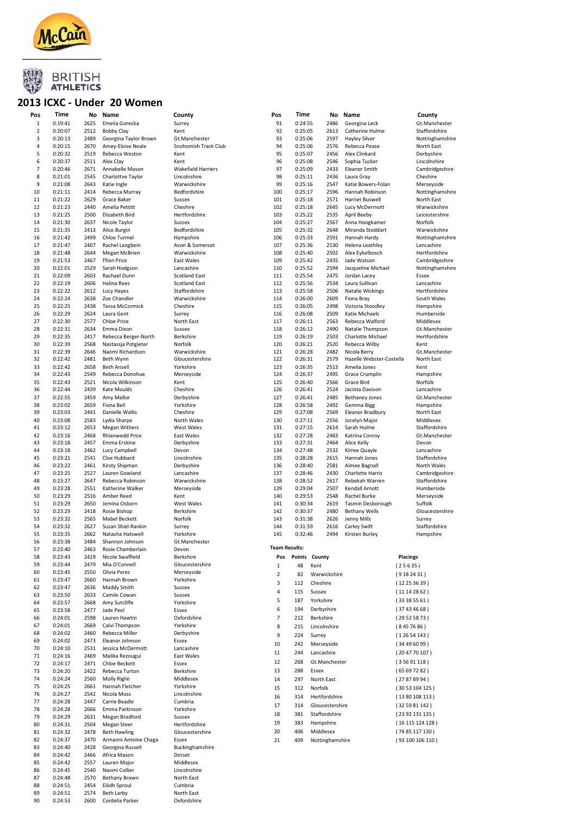

#### 2013 ICXC - Under 20 Women

| Pos          | Time               | No           | Name                   | County               | Pos          | Time          | No                   | Name                     |                 | County          |
|--------------|--------------------|--------------|------------------------|----------------------|--------------|---------------|----------------------|--------------------------|-----------------|-----------------|
| $\mathbf{1}$ | 0:19:41            | 2625         | Emelia Gorecka         | Surrey               | 91           | 0:24:55       | 2486                 | Georgina Leck            |                 | Gt.Manchester   |
| 2            | 0:20:07            | 2512         | <b>Bobby Clay</b>      | Kent                 | 92           | 0:25:05       | 2613                 | Catherine Hulme          |                 | Staffordshire   |
|              |                    |              |                        |                      |              |               |                      |                          |                 |                 |
| 3            | 0:20:13            | 2489         | Georgina Taylor Brown  | Gt.Manchester        | 93           | 0:25:06       | 2597                 | <b>Hayley Silver</b>     |                 | Nottinghamshire |
| 4            | 0:20:15            | 2670         | Amey-Eloise Neale      | Snohomish Track Club | 94           | 0:25:06       | 2576                 | Rebecca Pease            |                 | North East      |
| 5            | 0:20:32            | 2519         | Rebecca Weston         | Kent                 | 95           | 0:25:07       | 2456                 | Alex Clinkard            |                 | Derbyshire      |
| 6            | 0:20:37            | 2511         | Alex Clay              | Kent                 | 96           | 0:25:08       | 2546                 | Sophia Tucker            |                 | Lincolnshire    |
| 7            | 0:20:46            | 2671         | Annabelle Mason        | Wakefield Harriers   | 97           | 0:25:09       | 2433                 | <b>Eleanor Smith</b>     |                 | Cambridgeshire  |
| 8            | 0:21:01            | 2545         |                        |                      | 98           | 0:25:11       |                      |                          |                 | Cheshire        |
|              |                    |              | Charlottve Taylor      | Lincolnshire         |              |               | 2436                 | Laura Gray               |                 |                 |
| 9            | 0:21:08            | 2643         | Katie Ingle            | Warwickshire         | 99           | 0:25:16       | 2547                 | Katie Bowers-Folan       |                 | Merseyside      |
| 10           | 0:21:11            | 2414         | Rebecca Murray         | Bedfordshire         | 100          | 0:25:17       | 2596                 | Hannah Robinson          |                 | Nottinghamshire |
| 11           | 0:21:22            | 2629         | Grace Baker            | Sussex               | 101          | 0:25:18       | 2571                 | Harriet Buswell          |                 | North East      |
| 12           | 0:21:23            | 2440         | Amelia Pettitt         | Cheshire             | 102          | 0:25:18       | 2645                 | Lucy McDermott           |                 | Warwickshire    |
|              |                    |              |                        |                      |              |               |                      |                          |                 |                 |
| 13           | 0:21:25            | 2500         | Elizabeth Bird         | Hertfordshire        | 103          | 0:25:22       | 2535                 | April Beeby              |                 | Leicestershire  |
| 14           | 0:21:30            | 2637         | Nicole Taylor          | Sussex               | 104          | 0:25:27       | 2567                 | Anna Hoogkamer           |                 | Norfolk         |
| 15           | 0:21:35            | 2413         | Alice Burgin           | Bedfordshire         | 105          | 0:25:32       | 2648                 | Miranda Stoddart         |                 | Warwickshire    |
| 16           | 0:21:42            | 2499         | Chloe Turmel           | Hampshire            | 106          | 0:25:33       | 2591                 | Hannah Hardy             |                 | Nottinghamshire |
| 17           | 0:21:47            | 2407         | Rachel Langbein        | Avon & Somerset      | 107          | 0:25:36       | 2530                 | Helena Leathley          |                 | Lancashire      |
|              |                    |              |                        | Warwickshire         | 108          | 0:25:40       |                      |                          |                 |                 |
| 18           | 0:21:48            | 2644         | Megan McBrien          |                      |              |               | 2502                 | Alex Eykelbosch          |                 | Hertfordshire   |
| 19           | 0:21:53            | 2467         | <b>Ffion Price</b>     | East Wales           | 109          | 0:25:42       | 2435                 | Jade Watson              |                 | Cambridgeshire  |
| 20           | 0:22:01            | 2529         | Sarah Hodgson          | Lancashire           | 110          | 0:25:52       | 2594                 | Jacqueline Michael       |                 | Nottinghamshire |
| 21           | 0:22:09            | 2603         | Rachael Dunn           | <b>Scotland East</b> | 111          | 0:25:54       | 2475                 | Jordan Lacey             |                 | Essex           |
| 22           | 0:22:19            | 2606         | Halina Rees            | <b>Scotland East</b> | 112          | 0:25:56       | 2534                 | Laura Sullivan           |                 | Lancashire      |
| 23           | 0:22:22            | 2612         | Lucy Hayes             | Staffordshire        | 113          | 0:25:58       | 2506                 | Natalie Wickings         |                 | Hertfordshire   |
|              |                    |              |                        |                      |              |               |                      |                          |                 |                 |
| 24           | 0:22:24            | 2638         | Zoe Chandler           | Warwickshire         | 114          | 0:26:00       | 2609                 | Fiona Bray               |                 | South Wales     |
| 25           | 0:22:25            | 2438         | <b>Tessa McCormick</b> | Cheshire             | 115          | 0:26:05       | 2498                 | Victoria Stoodley        |                 | Hampshire       |
| 26           | 0:22:29            | 2624         | Laura Gent             | Surrey               | 116          | 0:26:08       | 2509                 | Katie Michaels           |                 | Humberside      |
| 27           | 0:22:30            | 2577         | Chloe Price            | North East           | 117          | 0:26:11       | 2563                 | Rebecca Walford          |                 | Middlesex       |
| 28           | 0:22:31            | 2634         | Emma Dixon             | Sussex               | 118          | 0:26:12       | 2490                 | Natalie Thompson         |                 | Gt.Manchester   |
|              |                    |              |                        |                      |              |               |                      |                          |                 |                 |
| 29           | 0:22:35            | 2417         | Rebecca Berger-North   | Berkshire            | 119          | 0:26:19       | 2503                 | Charlotte Michael        |                 | Hertfordshire   |
| 30           | 0:22:39            | 2568         | Nastassja Potgieter    | Norfolk              | 120          | 0:26:21       | 2520                 | Rebecca Wilby            |                 | Kent            |
| 31           | 0:22:39            | 2646         | Naomi Richardson       | Warwickshire         | 121          | 0:26:28       | 2482                 | Nicola Berry             |                 | Gt.Manchester   |
| 32           | 0:22:42            | 2481         | Beth Wynn              | Gloucestershire      | 122          | 0:26:31       | 2579                 | Hazelle Webster-Costella |                 | North East      |
| 33           |                    | 2658         |                        | Yorkshire            | 123          |               |                      |                          |                 |                 |
|              | 0:22:42            |              | <b>Beth Ansell</b>     |                      |              | 0:26:35       | 2513                 | Amelia Jones             |                 | Kent            |
| 34           | 0:22:43            | 2549         | Rebecca Donohue        | Merseyside           | 124          | 0:26:37       | 2495                 | <b>Grace Crumplin</b>    |                 | Hampshire       |
| 35           | 0:22:43            | 2521         | Nicola Wilkinson       | Kent                 | 125          | 0:26:40       | 2566                 | Grace Bird               |                 | Norfolk         |
| 36           | 0:22:44            | 2439         | Kate Moulds            | Cheshire             | 126          | 0:26:41       | 2524                 | Jacinta Davison          |                 | Lancashire      |
| 37           | 0:22:55            | 2459         | Amy Mellor             | Derbyshire           | 127          | 0:26:41       | 2485                 | <b>Bethaney Jones</b>    |                 | Gt.Manchester   |
|              |                    |              |                        |                      |              |               |                      |                          |                 |                 |
| 38           | 0:23:02            | 2659         | Fiona Bell             | Yorkshire            | 128          | 0:26:58       | 2492                 | Gemma Bigg               |                 | Hampshire       |
| 39           | 0:23:03            | 2441         | Danielle Wallis        | Cheshire             | 129          | 0:27:08       | 2569                 | Eleanor Bradbury         |                 | North East      |
| 40           | 0:23:08            | 2583         | Lydia Sharpe           | North Wales          | 130          | 0:27:11       | 2556                 | Jocelyn Major            |                 | Middlesex       |
| 41           | 0:23:12            | 2653         | <b>Megan Withers</b>   | West Wales           | 131          | 0:27:15       | 2614                 | Sarah Hulme              |                 | Staffordshire   |
| 42           | 0:23:16            | 2468         | Rhianwedd Price        |                      | 132          | 0:27:28       | 2483                 |                          |                 | Gt.Manchester   |
|              |                    |              |                        | East Wales           |              |               |                      | Katrina Conroy           |                 |                 |
| 43           | 0:23:18            | 2457         | Emma Erskine           | Derbyshire           | 133          | 0:27:31       | 2464                 | Alice Kelly              |                 | Devon           |
| 44           | 0:23:18            | 2462         | Lucy Campbell          | Devon                | 134          | 0:27:48       | 2532                 | Kirree Quayle            |                 | Lancashire      |
| 45           | 0:23:21            | 2541         | Cloe Hubbard           | Lincolnshire         | 135          | 0:28:28       | 2615                 | Hannah Jones             |                 | Staffordshire   |
| 46           | 0:23:22            | 2461         | Kirsty Shipman         | Derbyshire           | 136          | 0:28:40       | 2581                 | Aimee Bagnall            |                 | North Wales     |
|              |                    |              |                        |                      |              |               |                      |                          |                 |                 |
| 47           | 0:23:25            | 2527         | Lauren Gowland         | Lancashire           | 137          | 0:28:46       | 2430                 | <b>Charlotte Harris</b>  |                 | Cambridgeshire  |
| 48           | 0:23:27            | 2647         | Rebecca Robinson       | Warwickshire         | 138          | 0:28:52       | 2617                 | Rebekah Warren           |                 | Staffordshire   |
| 49           | 0:23:28            | 2551         | Katherine Walker       | Merseyside           | 139          | 0:29:04       | 2507                 | Kendall Arnott           |                 | Humberside      |
| 50           | 0:23:29            | 2516         | Amber Reed             | Kent                 | 140          | 0:29:53       | 2548                 | Rachel Burke             |                 | Merseyside      |
| 51           | 0:23:29            | 2650         | Jemina Osborn          | West Wales           | 141          | 0:30:34       | 2619                 | Tasmin Desborough        |                 | Suffolk         |
| 52           | 0:23:29            | 2418         |                        | Berkshire            | 142          | 0:30:37       | 2480                 | <b>Bethany Wells</b>     |                 |                 |
|              |                    |              | Rosie Bishop           |                      |              |               |                      |                          |                 | Gloucestershire |
| 53           | 0:23:32            | 2565         | <b>Mabel Beckett</b>   | Norfolk              | 143          | 0:31:38       | 2626                 | Jenny Mills              |                 | Surrey          |
| 54           | 0:23:32            | 2627         | Susan Shiel-Rankin     | Surrey               | 144          | 0:31:59       | 2616                 | Carley Swift             |                 | Staffordshire   |
| 55           | 0:23:35            | 2662         | Natasha Hatswell       | Yorkshire            | 145          | 0:32:46       | 2494                 | Kirsten Burley           |                 | Hampshire       |
| 56           | 0:23:38            | 2484         | Shannon Johnson        | Gt.Manchester        |              |               |                      |                          |                 |                 |
|              |                    |              |                        |                      |              | Team Results: |                      |                          |                 |                 |
| 57           | 0:23:40            | 2463         | Rosie Chamberlain      | Devon                |              |               |                      |                          |                 |                 |
| 58           | 0:23:43            | 2419         | Nicole Swaffield       | Berkshire            | Pos          |               | <b>Points County</b> |                          | <b>Placings</b> |                 |
| 59           | 0:23:44            | 2479         | Mia O'Connell          | Gloucestershire      | $\mathbf{1}$ | 48            | Kent                 |                          | (25635)         |                 |
| 60           | 0:23:45            | 2550         | Olivia Perez           | Merseyside           | $\mathbf 2$  | 82            |                      |                          | (9182431)       |                 |
| 61           | 0:23:47            | 2660         | Hannah Brown           | Yorkshire            |              |               | Warwickshire         |                          |                 |                 |
| 62           | 0:23:47            | 2636         | Maddy Smith            | Sussex               | 3            | 112           | Cheshire             |                          | (12253639)      |                 |
|              |                    |              |                        |                      | 4            | 115           | Sussex               |                          | (11142862)      |                 |
| 63           | 0:23:50            | 2633         | Camile Cowan           | Sussex               | 5            | 187           | Yorkshire            |                          |                 |                 |
| 64           | 0:23:57            | 2668         | Amy Sutcliffe          | Yorkshire            |              |               |                      |                          | (33385561)      |                 |
| 65           | 0:23:58            | 2477         | Jade Peel              | Essex                | 6            | 194           | Derbyshire           |                          | (37434668)      |                 |
| 66           | 0:24:01            | 2598         | Lauren Hawtin          | Oxfordshire          | 7            | 212           | Berkshire            |                          | (29525873)      |                 |
| 67           | 0:24:01            | 2669         | Calvi Thompson         | Yorkshire            |              |               |                      |                          |                 |                 |
|              |                    |              |                        |                      | 8            | 215           | Lincolnshire         |                          | (8457686)       |                 |
| 68           | 0:24:02            | 2460         | Rebecca Miller         | Derbyshire           | 9            | 224           | Surrey               |                          | (12654143)      |                 |
| 69           | 0:24:02            | 2473         | Eleanor Johnson        | Essex                | 10           | 242           | Merseyside           |                          | (34496099)      |                 |
| 70           | 0:24:10            | 2531         | Jessica McDermott      | Lancashire           |              |               |                      |                          |                 |                 |
| 71           | 0:24:16            | 2469         | Malika Rezougui        | East Wales           | 11           | 244           | Lancashire           |                          |                 | (204770107)     |
| 72           | 0:24:17            | 2471         | Chloe Beckett          | Essex                | 12           | 268           | Gt.Manchester        |                          | (35691118)      |                 |
|              |                    |              |                        |                      | 13           | 288           | Essex                |                          | (65697282)      |                 |
| 73           | 0:24:20            | 2422         | Rebecca Turton         | Berkshire            |              |               |                      |                          |                 |                 |
| 74           | 0:24:24            | 2560         | Molly Riglin           | Middlesex            | 14           | 297           | North East           |                          | (27878994)      |                 |
| 75           | 0:24:25            | 2661         | Hannah Fletcher        | Yorkshire            | 15           | 312           | Norfolk              |                          |                 | (3053104125)    |
| 76           | 0:24:27            | 2542         | Nicola Moss            | Lincolnshire         | 16           | 314           | Hertfordshire        |                          |                 |                 |
| 77           | 0:24:28            | 2447         | Carrie Beadle          | Cumbria              |              |               |                      |                          |                 | (1380108113)    |
| 78           | 0:24:28            | 2666         |                        | Yorkshire            | 17           | 314           | Gloucestershire      |                          |                 | (32 59 81 142)  |
|              |                    |              | Emma Parkinson         |                      | 18           | 381           | Staffordshire        |                          |                 | (23 92 131 135) |
| 79           | 0:24:29            | 2631         | Megan Bradford         | Sussex               |              |               |                      |                          |                 |                 |
| 80           | 0:24:31            | 2504         | Megan Steer            | Hertfordshire        | 19           | 383           | Hampshire            |                          |                 | (16115124128)   |
| 81           | 0:24:32            | 2478         | <b>Beth Hawling</b>    | Gloucestershire      | 20           | 406           | Middlesex            |                          |                 | (7485117130)    |
| 82           | 0:24:37            | 2470         | Armanni Antoine Chaga  | Essex                | 21           | 409           | Nottinghamshire      |                          |                 | (93100106110)   |
|              |                    |              |                        |                      |              |               |                      |                          |                 |                 |
| 83           | 0:24:40            | 2428         | Georgina Russell       | Buckinghamshire      |              |               |                      |                          |                 |                 |
| 84           | 0:24:42            | 2466         | Africa Mason           | Dorset               |              |               |                      |                          |                 |                 |
| 85           | 0:24:42            | 2557         | Lauren Major           | Middlesex            |              |               |                      |                          |                 |                 |
| 86           | 0:24:45            | 2540         | Naomi Collier          | Lincolnshire         |              |               |                      |                          |                 |                 |
| 87           | 0:24:48            | 2570         | <b>Bethany Brown</b>   | North East           |              |               |                      |                          |                 |                 |
| 88           | 0:24:51            | 2454         | Eilidh Sproul          | Cumbria              |              |               |                      |                          |                 |                 |
|              |                    |              | <b>Beth Larby</b>      | North East           |              |               |                      |                          |                 |                 |
|              |                    |              |                        |                      |              |               |                      |                          |                 |                 |
| 89<br>90     | 0:24:51<br>0:24:53 | 2574<br>2600 | Cordelia Parker        | Oxfordshire          |              |               |                      |                          |                 |                 |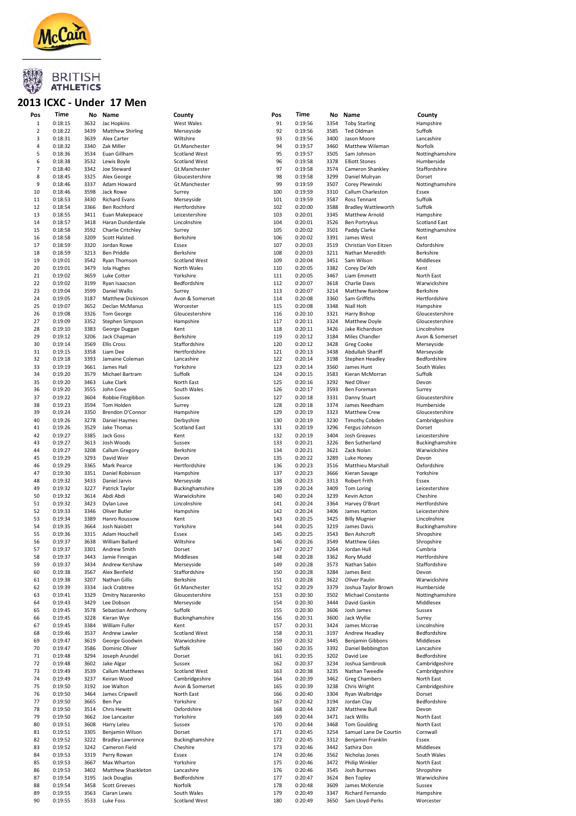

#### 2013 ICXC - Under 17 Men

| Pos            | Time    |      | No Name                 | County               | Pos | Time    |      | No Name                            | County               |
|----------------|---------|------|-------------------------|----------------------|-----|---------|------|------------------------------------|----------------------|
| $\mathbf{1}$   | 0:18:15 | 3632 |                         |                      | 91  | 0:19:56 | 3354 |                                    |                      |
| $\overline{2}$ | 0:18:22 | 3439 | Jac Hopkins             | West Wales           | 92  | 0:19:56 | 3585 | <b>Toby Starling</b><br>Ted Oldman | Hampshire<br>Suffolk |
|                |         |      | <b>Matthew Shirling</b> | Merseyside           |     |         |      | Jason Moore                        |                      |
| 3              | 0:18:31 | 3639 | Alex Carter             | Wiltshire            | 93  | 0:19:56 | 3400 |                                    | Lancashire           |
| 4              | 0:18:32 | 3340 | Zak Miller              | Gt.Manchester        | 94  | 0:19:57 | 3460 | Matthew Wileman                    | Norfolk              |
| 5              | 0:18:36 | 3534 | Euan Gillham            | <b>Scotland West</b> | 95  | 0:19:57 | 3505 | Sam Johnson                        | Nottinghamshire      |
| 6              | 0:18:38 | 3532 | Lewis Boyle             | <b>Scotland West</b> | 96  | 0:19:58 | 3378 | <b>Elliott Stones</b>              | Humberside           |
| 7              | 0:18:40 | 3342 | Joe Steward             | Gt.Manchester        | 97  | 0:19:58 | 3574 | Cameron Shankley                   | Staffordshire        |
| 8              | 0:18:45 | 3325 | Alex George             | Gloucestershire      | 98  | 0:19:58 | 3299 | Daniel Mulryan                     | Dorset               |
| 9              | 0:18:46 | 3337 | Adam Howard             | Gt.Manchester        | 99  | 0:19:59 | 3507 | Corey Plewinski                    | Nottinghamshire      |
| 10             | 0:18:46 | 3598 | Jack Rowe               | Surrey               | 100 | 0:19:59 | 3310 | Callum Charleston                  | Essex                |
| 11             | 0:18:53 | 3430 | <b>Richard Evans</b>    | Merseyside           | 101 | 0:19:59 | 3587 | Ross Tennant                       | Suffolk              |
| 12             | 0:18:54 | 3366 | <b>Ben Rochford</b>     | Hertfordshire        | 102 | 0:20:00 | 3588 | <b>Bradley Wattleworth</b>         | Suffolk              |
| 13             | 0:18:55 | 3411 | Euan Makepeace          | Leicestershire       | 103 | 0:20:01 | 3345 | <b>Matthew Arnold</b>              | Hampshire            |
| 14             | 0:18:57 | 3418 | Haran Dunderdale        | Lincolnshire         | 104 | 0:20:01 | 3526 | Ben Portrykus                      | <b>Scotland East</b> |
| 15             | 0:18:58 | 3592 | Charlie Critchley       | Surrey               | 105 | 0:20:02 | 3501 | Paddy Clarke                       | Nottinghamshire      |
| 16             | 0:18:58 | 3209 | <b>Scott Halsted</b>    | Berkshire            | 106 | 0:20:02 | 3391 | James West                         | Kent                 |
| 17             | 0:18:59 | 3320 | Jordan Rowe             | Essex                | 107 | 0:20:03 | 3519 | Christian Von Eitzen               | Oxfordshire          |
| 18             | 0:18:59 | 3213 | Ben Priddle             | Berkshire            | 108 | 0:20:03 | 3211 | Nathan Meredith                    | Berkshire            |
| 19             | 0:19:01 | 3542 | Ryan Thomson            | <b>Scotland West</b> | 109 | 0:20:04 | 3451 | Sam Wilson                         | Middlesex            |
| 20             | 0:19:01 | 3479 | Iola Hughes             | North Wales          | 110 | 0:20:05 | 3382 | Corey De'Ath                       | Kent                 |
| 21             | 0:19:02 | 3659 | Luke Cotter             | Yorkshire            | 111 | 0:20:05 | 3467 | Liam Emmett                        | North East           |
| 22             | 0:19:02 | 3199 | Ryan Isaacson           | Bedfordshire         | 112 | 0:20:07 | 3618 | <b>Charlie Davis</b>               | Warwickshire         |
| 23             | 0:19:04 | 3599 | Daniel Wallis           | Surrey               | 113 | 0:20:07 | 3214 | <b>Matthew Rainbow</b>             | Berkshire            |
| 24             | 0:19:05 | 3187 | Matthew Dickinson       | Avon & Somerset      | 114 | 0:20:08 | 3360 | Sam Griffiths                      | Hertfordshire        |
| 25             | 0:19:07 | 3652 | Declan McManus          | Worcester            | 115 | 0:20:08 | 3348 | <b>Niall Holt</b>                  | Hampshire            |
| 26             | 0:19:08 | 3326 | Tom George              | Gloucestershire      | 116 | 0:20:10 | 3321 | Harry Bishop                       | Gloucestershire      |
| 27             | 0:19:09 | 3352 |                         |                      | 117 | 0:20:11 | 3324 | Matthew Doyle                      |                      |
|                |         |      | Stephen Simpson         | Hampshire            |     |         |      |                                    | Gloucestershire      |
| 28             | 0:19:10 | 3383 | George Duggan           | Kent                 | 118 | 0:20:11 | 3426 | Jake Richardson                    | Lincolnshire         |
| 29             | 0:19:12 | 3206 | Jack Chapman            | Berkshire            | 119 | 0:20:12 | 3184 | Miles Chandler                     | Avon & Somerset      |
| 30             | 0:19:14 | 3569 | <b>Ellis Cross</b>      | Staffordshire        | 120 | 0:20:12 | 3428 | Greg Cooke                         | Merseyside           |
| 31             | 0:19:15 | 3358 | Liam Dee                | Hertfordshire        | 121 | 0:20:13 | 3438 | Abdullah Shariff                   | Merseyside           |
| 32             | 0:19:18 | 3393 | Jamaine Coleman         | Lancashire           | 122 | 0:20:14 | 3198 | Stephen Headley                    | Bedfordshire         |
| 33             | 0:19:19 | 3661 | James Hall              | Yorkshire            | 123 | 0:20:14 | 3560 | James Hunt                         | South Wales          |
| 34             | 0:19:20 | 3579 | Michael Bartram         | Suffolk              | 124 | 0:20:15 | 3583 | Kieran McMorran                    | Suffolk              |
| 35             | 0:19:20 | 3463 | Luke Clark              | North East           | 125 | 0:20:16 | 3292 | Ned Oliver                         | Devon                |
| 36             | 0:19:20 | 3555 | John Cove               | South Wales          | 126 | 0:20:17 | 3593 | Ben Foreman                        | Surrey               |
| 37             | 0:19:22 | 3604 | Robbie Fitzgibbon       | Sussex               | 127 | 0:20:18 | 3331 | Danny Stuart                       | Gloucestershire      |
| 38             | 0:19:23 | 3594 | Tom Holden              | Surrey               | 128 | 0:20:18 | 3374 | James Needham                      | Humberside           |
| 39             | 0:19:24 | 3350 | Brendon O'Connor        | Hampshire            | 129 | 0:20:19 | 3323 | <b>Matthew Crew</b>                | Gloucestershire      |
| 40             | 0:19:26 | 3278 | Daniel Haymes           | Derbyshire           | 130 | 0:20:19 | 3230 | <b>Timothy Cobden</b>              | Cambridgeshire       |
| 41             | 0:19:26 | 3529 | Jake Thomas             | <b>Scotland East</b> | 131 | 0:20:19 | 3296 | Fergus Johnson                     | Dorset               |
| 42             | 0:19:27 | 3385 | Jack Goss               | Kent                 | 132 | 0:20:19 | 3404 | Josh Greaves                       | Leicestershire       |
| 43             | 0:19:27 | 3613 | Josh Woods              | Sussex               | 133 | 0:20:21 | 3226 | Ben Sutherland                     |                      |
|                |         |      |                         |                      |     |         |      |                                    | Buckinghamshire      |
| 44             | 0:19:27 | 3208 | Callum Gregory          | Berkshire            | 134 | 0:20:21 | 3621 | Zack Nolan                         | Warwickshire         |
| 45             | 0:19:29 | 3293 | David Weir              | Devon                | 135 | 0:20:22 | 3289 | Luke Honey                         | Devon                |
| 46             | 0:19:29 | 3365 | Mark Pearce             | Hertfordshire        | 136 | 0:20:23 | 3516 | Matthieu Marshall                  | Oxfordshire          |
| 47             | 0:19:30 | 3351 | Daniel Robinson         | Hampshire            | 137 | 0:20:23 | 3666 | Kieran Savage                      | Yorkshire            |
| 48             | 0:19:32 | 3433 | Daniel Jarvis           | Merseyside           | 138 | 0:20:23 | 3313 | Robert Frith                       | Essex                |
| 49             | 0:19:32 | 3227 | Patrick Taylor          | Buckinghamshire      | 139 | 0:20:24 | 3409 | Tom Loring                         | Leicestershire       |
| 50             | 0:19:32 | 3614 | Abdi Abdi               | Warwickshire         | 140 | 0:20:24 | 3239 | Kevin Acton                        | Cheshire             |
| 51             | 0:19:32 | 3423 | Dylan Love              | Lincolnshire         | 141 | 0:20:24 | 3364 | Harvey O'Brart                     | Hertfordshire        |
| 52             | 0:19:33 | 3346 | Oliver Butler           | Hampshire            | 142 | 0:20:24 | 3406 | James Hatton                       | Leicestershire       |
| 53             | 0:19:34 | 3389 | Hanro Roussow           | Kent                 | 143 | 0:20:25 | 3425 | <b>Billy Mugnier</b>               | Lincolnshire         |
| 54             | 0:19:35 | 3664 | Josh Naisbitt           | Yorkshire            | 144 | 0:20:25 | 3219 | James Davis                        | Buckinghamshire      |
| 55             | 0:19:36 | 3315 | Adam Houchell           | Essex                | 145 | 0:20:25 | 3543 | Ben Ashcroft                       | Shropshire           |
| 56             | 0:19:37 | 3638 | William Ballard         | Wiltshire            | 146 | 0:20:26 | 3549 | <b>Matthew Giles</b>               | Shropshire           |
| 57             | 0:19:37 | 3301 | Andrew Smith            | Dorset               | 147 | 0:20:27 | 3264 | Jordan Hull                        | Cumbria              |
| 58             | 0:19:37 | 3443 | Jamie Finnigan          | Middlesex            | 148 | 0:20:28 | 3362 | Rory Mudd                          | Hertfordshire        |
| 59             | 0:19:37 | 3434 | Andrew Kershaw          | Merseyside           | 149 | 0:20:28 | 3573 | Nathan Sabin                       | Staffordshire        |
| 60             | 0:19:38 | 3567 | Alex Benfield           | Staffordshire        | 150 | 0:20:28 | 3284 | James Best                         | Devon                |
| 61             | 0:19:38 | 3207 | Nathan Gillis           | Berkshire            | 151 | 0:20:28 | 3622 | Oliver Paulin                      | Warwickshire         |
| 62             | 0:19:39 | 3334 | Jack Crabtree           | Gt.Manchester        | 152 | 0:20:29 | 3379 | Joshua Taylor Brown                | Humberside           |
| 63             | 0:19:41 | 3329 | Dmitry Nazarenko        | Gloucestershire      | 153 | 0:20:30 | 3502 | Michael Constante                  | Nottinghamshire      |
| 64             | 0:19:43 | 3429 | Lee Dobson              | Merseyside           | 154 | 0:20:30 | 3444 | David Gaskin                       | Middlesex            |
| 65             | 0:19:45 | 3578 | Sebastian Anthony       | Suffolk              | 155 | 0:20:30 | 3606 | Josh James                         | Sussex               |
| 66             | 0:19:45 | 3228 | Kieran Wye              | Buckinghamshire      | 156 | 0:20:31 | 3600 | Jack Wyllie                        | Surrey               |
|                |         |      |                         |                      |     |         |      |                                    |                      |
| 67             | 0:19:45 | 3384 | William Fuller          | Kent                 | 157 | 0:20:31 | 3424 | James Mccrae                       | Lincolnshire         |
| 68             | 0:19:46 | 3537 | Andrew Lawler           | <b>Scotland West</b> | 158 | 0:20:31 | 3197 | Andrew Headley                     | Bedfordshire         |
| 69             | 0:19:47 | 3619 | George Goodwin          | Warwickshire         | 159 | 0:20:32 | 3445 | Benjamin Gibbons                   | Middlesex            |
| 70             | 0:19:47 | 3586 | Dominic Oliver          | Suffolk              | 160 | 0:20:35 | 3392 | Daniel Bebbington                  | Lancashire           |
| 71             | 0:19:48 | 3294 | Joseph Arundel          | Dorset               | 161 | 0:20:35 | 3202 | David Lee                          | Bedfordshire         |
| 72             | 0:19:48 | 3602 | Jake Algar              | Sussex               | 162 | 0:20:37 | 3234 | Joshua Sambrook                    | Cambridgeshire       |
| 73             | 0:19:49 | 3539 | Callum Matthews         | <b>Scotland West</b> | 163 | 0:20:38 | 3235 | Nathan Tweedle                     | Cambridgeshire       |
| 74             | 0:19:49 | 3237 | Keiran Wood             | Cambridgeshire       | 164 | 0:20:39 | 3462 | Greg Chambers                      | North East           |
| 75             | 0:19:50 | 3192 | Joe Walton              | Avon & Somerset      | 165 | 0:20:39 | 3238 | Chris Wright                       | Cambridgeshire       |
| 76             | 0:19:50 | 3464 | James Cripwell          | North East           | 166 | 0:20:40 | 3304 | Ryan Walbridge                     | Dorset               |
| 77             | 0:19:50 | 3665 | Ben Pye                 | Yorkshire            | 167 | 0:20:42 | 3194 | Jordan Clay                        | Bedfordshire         |
| 78             | 0:19:50 | 3514 | Chris Hewitt            | Oxfordshire          | 168 | 0:20:44 | 3287 | Matthew Bull                       | Devon                |
| 79             | 0:19:50 | 3662 | Joe Lancaster           | Yorkshire            | 169 | 0:20:44 | 3471 | Jack Willis                        | North East           |
| 80             | 0:19:51 | 3608 | Harry Leleu             | Sussex               | 170 | 0:20:44 | 3468 | <b>Tom Goulding</b>                | North East           |
| 81             | 0:19:51 | 3305 | Benjamin Wilson         | Dorset               | 171 | 0:20:45 | 3254 | Samuel Lane De Courtin             | Cornwall             |
| 82             | 0:19:52 | 3222 | <b>Bradley Lawrence</b> | Buckinghamshire      | 172 | 0:20:45 | 3312 | Benjamin Franklin                  | Essex                |
| 83             | 0:19:52 | 3242 | Cameron Field           | Cheshire             | 173 | 0:20:46 | 3442 | Sathira Don                        | Middlesex            |
| 84             | 0:19:53 | 3319 | Perry Rowan             | Essex                | 174 | 0:20:46 | 3562 | Nicholas Jones                     | South Wales          |
|                |         |      |                         |                      |     |         |      |                                    |                      |
| 85             | 0:19:53 | 3667 | Max Wharton             | Yorkshire            | 175 | 0:20:46 | 3472 | Philip Winkler                     | North East           |
| 86             | 0:19:53 | 3402 | Matthew Shackleton      | Lancashire           | 176 | 0:20:46 | 3545 | Josh Burrows                       | Shropshire           |
| 87             | 0:19:54 | 3195 | Jack Douglas            | Bedfordshire         | 177 | 0:20:47 | 3624 | <b>Ben Topley</b>                  | Warwickshire         |
| 88             | 0:19:54 | 3458 | <b>Scott Greeves</b>    | Norfolk              | 178 | 0:20:48 | 3609 | James McKenzie                     | Sussex               |
| 89             | 0:19:55 | 3563 | Ciaran Lewis            | South Wales          | 179 | 0:20:49 | 3347 | Richard Fernando                   | Hampshire            |
| 90             | 0:19:55 | 3533 | Luke Foss               | <b>Scotland West</b> | 180 | 0:20:49 | 3650 | Sam Lloyd-Perks                    | Worcester            |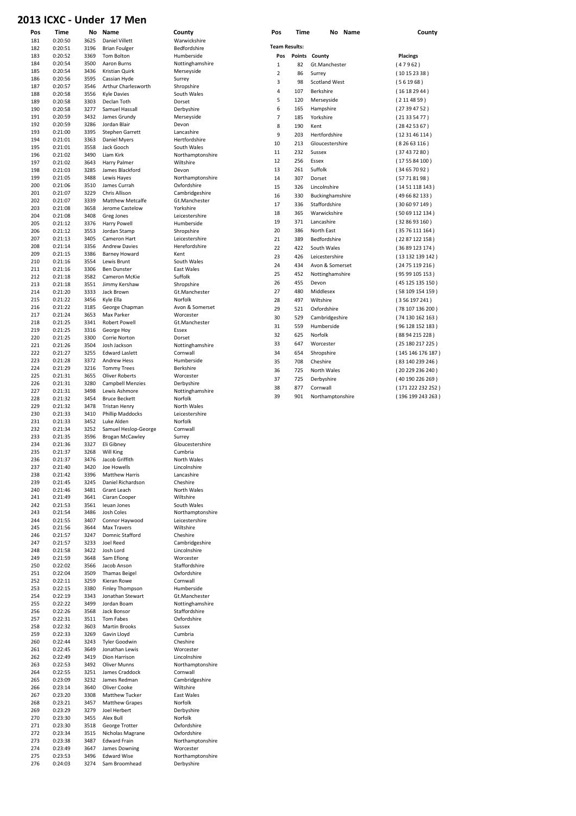#### 2013 ICXC - Under 17 Men

| 181        | 0:20:50            | 3625         | Daniel Villett                      | Warwickshire                   |
|------------|--------------------|--------------|-------------------------------------|--------------------------------|
| 182        | 0:20:51            | 3196         | <b>Brian Foulger</b>                | Bedfordshire                   |
| 183        | 0:20:52            | 3369         | Tom Bolton                          | Humberside                     |
| 184        | 0:20:54            | 3500         | Aaron Burns                         | Nottinghamshire                |
| 185        | 0:20:54            | 3436         | Kristian Quirk                      | Merseyside                     |
| 186        | 0:20:56            | 3595         | Cassian Hyde                        | Surrey                         |
| 187        | 0:20:57            | 3546         | Arthur Charlesworth                 | Shropshire                     |
| 188        | 0:20:58            | 3556         | <b>Kyle Davies</b>                  | South Wales                    |
| 189        | 0:20:58            | 3303         | Declan Toth                         | Dorset                         |
| 190        | 0:20:58            | 3277         | Samuel Hassall                      | Derbyshire                     |
| 191        | 0:20:59            | 3432         | James Grundy                        | Merseyside                     |
| 192        | 0:20:59            | 3286         | Jordan Blair                        | Devon                          |
| 193        | 0:21:00            | 3395         | <b>Stephen Garrett</b>              | Lancashire                     |
| 194        | 0:21:01            | 3363         | <b>Daniel Myers</b>                 | Hertfordshire                  |
| 195        | 0:21:01            | 3558         | Jack Gooch                          | South Wales                    |
| 196        | 0:21:02            | 3490         | Liam Kirk                           | Northamptonshire               |
| 197        | 0:21:02            | 3643         | Harry Palmer                        | Wiltshire                      |
| 198        | 0:21:03            | 3285         | James Blackford                     | Devon                          |
| 199        | 0:21:05            | 3488         | Lewis Hayes                         | Northamptonshire               |
| 200        | 0:21:06            | 3510         | James Currah                        | Oxfordshire                    |
| 201        | 0:21:07            | 3229         | Chris Allison                       | Cambridgeshire                 |
| 202        | 0:21:07            | 3339         | <b>Matthew Metcalfe</b>             | Gt.Manchester                  |
| 203        | 0:21:08            | 3658         | Jerome Castelow                     | Yorkshire                      |
| 204        | 0:21:08            | 3408         | Greg Jones                          | Leicestershire                 |
| 205        | 0:21:12            | 3376         | Harry Powell                        | Humberside                     |
| 206        | 0:21:12            |              |                                     |                                |
| 207        | 0:21:13            | 3553<br>3405 | Jordan Stamp<br>Cameron Hart        | Shropshire<br>Leicestershire   |
| 208        |                    |              |                                     |                                |
| 209        | 0:21:14            | 3356         | <b>Andrew Davies</b>                | Herefordshire                  |
|            | 0:21:15            | 3386         | <b>Barney Howard</b>                | Kent                           |
| 210        | 0:21:16            | 3554<br>3306 | Lewis Brunt<br><b>Ben Dunster</b>   | South Wales                    |
| 211        | 0:21:16            |              |                                     | East Wales                     |
| 212        | 0:21:18            | 3582         | Cameron McKie                       | Suffolk                        |
| 213        | 0:21:18            | 3551         | Jimmy Kershaw                       | Shropshire                     |
| 214        | 0:21:20            | 3333         | Jack Brown                          | Gt.Manchester                  |
| 215        | 0:21:22            | 3456         | Kyle Ella                           | Norfolk                        |
| 216        | 0:21:22            | 3185         | George Chapman                      | Avon & Somerset                |
| 217        | 0:21:24            | 3653         | Max Parker                          | Worcester                      |
| 218        | 0:21:25            | 3341         | Robert Powell                       | Gt.Manchester                  |
| 219        | 0:21:25            | 3316         | George Hoy                          | Essex                          |
| 220        | 0:21:25            | 3300         | Corrie Norton                       | Dorset                         |
| 221        | 0:21:26            | 3504         | Josh Jackson                        | Nottinghamshire                |
| 222        | 0:21:27            | 3255         | <b>Edward Laslett</b>               | Cornwall                       |
| 223        | 0:21:28            | 3372         | <b>Andrew Hess</b>                  | Humberside                     |
| 224        | 0:21:29            | 3216         | <b>Tommy Trees</b>                  | <b>Berkshire</b>               |
| 225        | 0:21:31            | 3655         | <b>Oliver Roberts</b>               | Worcester                      |
| 226        | 0:21:31            | 3280         | <b>Campbell Menzies</b>             | Derbyshire                     |
| 227        | 0:21:31            | 3498         | Lewis Ashmore                       | Nottinghamshire                |
| 228        | 0:21:32            | 3454         | <b>Bruce Beckett</b>                | Norfolk                        |
| 229        | 0:21:32            | 3478         | <b>Tristan Henry</b>                | North Wales                    |
| 230        | 0:21:33            | 3410         | Phillip Maddocks                    | Leicestershire                 |
| 231        | 0:21:33            | 3452         | Luke Alden                          | Norfolk                        |
| 232        | 0:21:34            | 3252         | Samuel Heslop-George                | Cornwall                       |
| 233        | 0:21:35            | 3596         | <b>Brogan McCawley</b>              | Surrey                         |
| 234        | 0:21:36            | 3327         | Eli Gibney                          | Gloucestershire                |
|            |                    | 3268         | <b>Will King</b>                    | Cumbria                        |
| 235        | 0:21:37            |              | Jacob Griffith                      |                                |
| 236        | 0:21:37            | 3476         |                                     | North Wales                    |
| 237        | 0:21:40            | 3420         | Joe Howells                         | Lincolnshire                   |
| 238        | 0:21:42            | 3396         | <b>Matthew Harris</b>               | Lancashire                     |
| 239        | 0:21:45            | 3245         | Daniel Richardson                   | Cheshire                       |
| 240        | 0:21:46            | 3481         | Grant Leach                         | North Wales                    |
| 241        | 0:21:49            | 3641         | Ciaran Cooper                       | Wiltshire                      |
| 242        | 0:21:53            | 3561         | Ieuan Jones                         | South Wales                    |
| 243        | 0:21:54            | 3486         | Josh Coles                          | Northamptonshire               |
| 244        | 0:21:55            | 3407         | Connor Haywood                      | Leicestershire                 |
| 245        | 0:21:56            | 3644         | Max Travers                         | Wiltshire                      |
| 246        | 0:21:57            | 3247         | <b>Domnic Stafford</b>              | Cheshire                       |
| 247        | 0:21:57            | 3233         | Joel Reed                           | Cambridgeshire                 |
| 248        | 0:21:58            | 3422         | Josh Lord                           | Lincolnshire                   |
| 249        | 0:21:59            | 3648         | Sam Efiong                          | Worcester                      |
| 250        | 0:22:02            | 3566         | Jacob Anson                         | Staffordshire                  |
| 251        | 0:22:04            | 3509         | <b>Thamas Beigel</b>                | Oxfordshire                    |
| 252        | 0:22:11            | 3259         | Kieran Rowe                         | Cornwall                       |
|            | 0:22:15            | 3380         | Finley Thompson                     | Humberside                     |
| 253        |                    |              |                                     |                                |
| 254        | 0:22:19            | 3343         | Jonathan Stewart                    | Gt.Manchester                  |
| 255        | 0:22:22            | 3499         | Jordan Boam                         | Nottinghamshire                |
| 256        | 0:22:26            | 3568         | Jack Bonsor                         | Staffordshire                  |
| 257        | 0:22:31            | 3511         | Tom Fabes                           | Oxfordshire                    |
| 258<br>259 | 0:22:32<br>0:22:33 | 3603<br>3269 | Martin Brooks                       | Sussex<br>Cumbria              |
| 260        | 0:22:44            | 3243         | Gavin Lloyd                         |                                |
|            |                    |              | Tyler Goodwin                       | Cheshire                       |
| 261        | 0:22:45            | 3649<br>3419 | Jonathan Lewis                      | Worcester                      |
| 262        | 0:22:49            |              | Dion Harrison                       | Lincolnshire                   |
| 263        | 0:22:53            | 3492         | Oliver Munns                        | Northamptonshire               |
| 264        | 0:22:55            | 3251         | James Craddock                      | Cornwall                       |
| 265        | 0:23:09            | 3232         | James Redman                        | Cambridgeshire                 |
| 266        | 0:23:14            | 3640         | Oliver Cooke                        | Wiltshire                      |
| 267        | 0:23:20            | 3308         | Matthew Tucker                      | East Wales                     |
| 268        | 0:23:21            | 3457         | <b>Matthew Grapes</b>               | Norfolk                        |
| 269        | 0:23:29            | 3279         | Joel Herbert                        | Derbyshire                     |
| 270        | 0:23:30            | 3455         | Alex Bull                           | Norfolk                        |
| 271        | 0:23:30            | 3518         | George Trotter                      | Oxfordshire                    |
| 272        | 0:23:34            | 3515         | Nicholas Magrane                    | Oxfordshire                    |
| 273        | 0:23:38            | 3487         | <b>Edward Frain</b>                 | Northamptonshire               |
| 274        | 0:23:49            | 3647         | James Downing                       | Worcester                      |
| 275<br>276 | 0:23:53<br>0:24:03 | 3496<br>3274 | <b>Edward Wise</b><br>Sam Broomhead | Northamptonshire<br>Derbyshire |

| Pos<br>181 | Time<br>0:20:50    | No<br>3625   | Name<br><b>Daniel Villett</b>                  | County<br>Warwickshire     | Pos         | Time                 | No Name              | County           |
|------------|--------------------|--------------|------------------------------------------------|----------------------------|-------------|----------------------|----------------------|------------------|
| 182        | 0:20:51            | 3196         | <b>Brian Foulger</b>                           | Bedfordshire               |             | <b>Team Results:</b> |                      |                  |
| 183        | 0:20:52            | 3369         | <b>Tom Bolton</b>                              | Humberside                 | Pos         |                      | Points County        | <b>Placings</b>  |
| 184        | 0:20:54            | 3500         | Aaron Burns                                    | Nottinghamshire            | $\mathbf 1$ | 82                   | Gt.Manchester        | (47962)          |
| 185        | 0:20:54            | 3436         | Kristian Quirk                                 | Merseyside                 |             |                      |                      |                  |
| 186        | 0:20:56            | 3595         | Cassian Hyde                                   | Surrey                     | 2           | 86                   | Surrey               | (10152338)       |
| 187        | 0:20:57            | 3546         | Arthur Charlesworth                            | Shropshire                 | 3           | 98                   | <b>Scotland West</b> | (561968)         |
| 188        | 0:20:58            | 3556         | <b>Kyle Davies</b>                             | South Wales                | 4           | 107                  | Berkshire            | (16182944)       |
| 189        | 0:20:58            | 3303         | Declan Toth                                    | Dorset                     | 5           | 120                  | Merseyside           | (2114859)        |
| 190        | 0:20:58            | 3277         | Samuel Hassall                                 | Derbyshire                 | 6           | 165                  | Hampshire            | (27394752)       |
| 191        | 0:20:59            | 3432         | James Grundy                                   | Merseyside                 | 7           | 185                  | Yorkshire            | (21335477)       |
| 192        | 0:20:59            | 3286         | Jordan Blair                                   | Devon                      | 8           | 190                  | Kent                 | (28425367)       |
| 193        | 0:21:00            | 3395         | Stephen Garrett                                | Lancashire                 | 9           | 203                  | Hertfordshire        | (123146114)      |
| 194        | 0:21:01            | 3363         | <b>Daniel Myers</b>                            | Hertfordshire              | 10          | 213                  | Gloucestershire      | (82663116)       |
| 195        | 0:21:01            | 3558         | Jack Gooch                                     | South Wales                | 11          | 232                  | Sussex               | (37437280)       |
| 196        | 0:21:02            | 3490         | Liam Kirk                                      | Northamptonshire           | 12          | 256                  | Essex                |                  |
| 197        | 0:21:02            | 3643         | Harry Palmer                                   | Wiltshire                  |             |                      |                      | (175584100)      |
| 198        | 0:21:03            | 3285         | James Blackford                                | Devon                      | 13          | 261                  | Suffolk              | (34657092)       |
| 199        | 0:21:05            | 3488         | Lewis Hayes                                    | Northamptonshire           | 14          | 307                  | Dorset               | (57718198)       |
| 200        | 0:21:06            | 3510<br>3229 | James Currah                                   | Oxfordshire                | 15          | 326                  | Lincolnshire         | (1451118143)     |
| 201        | 0:21:07            |              | Chris Allison                                  | Cambridgeshire             | 16          | 330                  | Buckinghamshire      | (496682133)      |
| 202        | 0:21:07            | 3339<br>3658 | Matthew Metcalfe<br>Jerome Castelow            | Gt.Manchester<br>Yorkshire | 17          | 336                  | Staffordshire        | (306097149)      |
| 203<br>204 | 0:21:08<br>0:21:08 | 3408         | Greg Jones                                     | Leicestershire             | 18          | 365                  | Warwickshire         | (5069112134)     |
| 205        | 0:21:12            | 3376         | Harry Powell                                   | Humberside                 | 19          | 371                  | Lancashire           | (328693160)      |
| 206        | 0:21:12            | 3553         | Jordan Stamp                                   | Shropshire                 | 20          | 386                  | North East           | (3576111164)     |
| 207        | 0:21:13            | 3405         | Cameron Hart                                   | Leicestershire             | 21          | 389                  | Bedfordshire         | (2287122158)     |
| 208        | 0:21:14            | 3356         | <b>Andrew Davies</b>                           | Herefordshire              | 22          |                      |                      |                  |
| 209        | 0:21:15            | 3386         | <b>Barney Howard</b>                           | Kent                       |             | 422                  | South Wales          | (3689123174)     |
| 210        | 0:21:16            | 3554         | Lewis Brunt                                    | South Wales                | 23          | 426                  | Leicestershire       | (13 132 139 142) |
| 211        | 0:21:16            | 3306         | <b>Ben Dunster</b>                             | East Wales                 | 24          | 434                  | Avon & Somerset      | (2475119216)     |
| 212        | 0:21:18            | 3582         | Cameron McKie                                  | Suffolk                    | 25          | 452                  | Nottinghamshire      | (9599105153)     |
| 213        | 0:21:18            | 3551         | Jimmy Kershaw                                  | Shropshire                 | 26          | 455                  | Devon                | (45 125 135 150) |
| 214        | 0:21:20            | 3333         | Jack Brown                                     | Gt.Manchester              | 27          | 480                  | Middlesex            | (58 109 154 159) |
| 215        | 0:21:22            | 3456         | Kyle Ella                                      | Norfolk                    | 28          | 497                  | Wiltshire            | (356197241)      |
| 216        | 0:21:22            | 3185         | George Chapman                                 | Avon & Somerset            | 29          | 521                  | Oxfordshire          | (78 107 136 200) |
| 217        | 0:21:24            | 3653         | Max Parker                                     | Worcester                  | 30          | 529                  | Cambridgeshire       | (74 130 162 163) |
| 218        | 0:21:25            | 3341         | Robert Powell                                  | Gt.Manchester              |             |                      |                      |                  |
| 219        | 0:21:25            | 3316         | George Hoy                                     | Essex                      | 31          | 559                  | Humberside           | (96 128 152 183) |
| 220        | 0:21:25            | 3300         | Corrie Norton                                  | Dorset                     | 32          | 625                  | Norfolk              | (88 94 215 228)  |
| 221        | 0:21:26            | 3504         | Josh Jackson                                   | Nottinghamshire            | 33          | 647                  | Worcester            | (25 180 217 225) |
| 222        | 0:21:27            | 3255         | <b>Edward Laslett</b>                          | Cornwall                   | 34          | 654                  | Shropshire           | (145 146 176 187 |
| 223        | 0:21:28            | 3372         | <b>Andrew Hess</b>                             | Humberside                 | 35          | 708                  | Cheshire             | (83 140 239 246) |
| 224        | 0:21:29            | 3216         | <b>Tommy Trees</b>                             | <b>Berkshire</b>           | 36          | 725                  | North Wales          | (20 229 236 240) |
| 225        | 0:21:31            | 3655         | <b>Oliver Roberts</b>                          | Worcester                  | 37          | 725                  | Derbyshire           | (40 190 226 269) |
| 226        | 0:21:31            | 3280         | <b>Campbell Menzies</b>                        | Derbyshire                 | 38          | 877                  | Cornwall             | (171 222 232 252 |
| 227        | 0:21:31            | 3498         | Lewis Ashmore                                  | Nottinghamshire            | 39          | 901                  | Northamptonshire     | (196 199 243 263 |
| 228        | 0:21:32            | 3454         | <b>Bruce Beckett</b>                           | Norfolk                    |             |                      |                      |                  |
| 229        | 0:21:32            | 3478         | <b>Tristan Henry</b>                           | North Wales                |             |                      |                      |                  |
| 230        | 0:21:33            | 3410         | Phillip Maddocks                               | Leicestershire             |             |                      |                      |                  |
| 231        | 0:21:33            | 3452         | Luke Alden                                     | Norfolk                    |             |                      |                      |                  |
| 232<br>233 | 0:21:34<br>0:21:35 | 3252<br>3596 | Samuel Heslop-George<br><b>Brogan McCawley</b> | Cornwall<br>Surrey         |             |                      |                      |                  |
| 234        | 0:21:36            | 3327         | Eli Gibney                                     | Gloucestershire            |             |                      |                      |                  |
| 235        | 0:21:37            | 3268         | Will King                                      | Cumbria                    |             |                      |                      |                  |
| 236        | 0:21:37            | 3476         | Jacob Griffith                                 | North Wales                |             |                      |                      |                  |
| 237        | 0:21:40            | 3420         | Joe Howells                                    | Lincolnshire               |             |                      |                      |                  |
| 238        | 0:21:42            | 3396         | <b>Matthew Harris</b>                          | Lancashire                 |             |                      |                      |                  |
| 239        | 0:21:45            | 3245         | Daniel Richardson                              | Cheshire                   |             |                      |                      |                  |
| 240        | 0:21:46            | 3481         | Grant Leach                                    | North Wales                |             |                      |                      |                  |
| 241        | 0:21:49            | 3641         | Ciaran Cooper                                  | Wiltshire                  |             |                      |                      |                  |
| 242        | 0:21:53            | 3561         | Ieuan Jones                                    | South Wales                |             |                      |                      |                  |
| 243        | 0:21:54            | 3486         | Josh Coles                                     | Northamptonshire           |             |                      |                      |                  |
| 244        | 0:21:55            | 3407         | Connor Haywood                                 | Leicestershire             |             |                      |                      |                  |
| 245        | 0:21:56            | 3644         | <b>Max Travers</b>                             | Wiltshire                  |             |                      |                      |                  |
| 246        | 0:21:57            | 3247         | Domnic Stafford                                | Cheshire                   |             |                      |                      |                  |
| 247        | 0:21:57            | 3233         | <b>Joel Reed</b>                               | Cambridgeshire             |             |                      |                      |                  |
| 248        | 0:21:58            | 3422         | Josh Lord                                      | Lincolnshire               |             |                      |                      |                  |
| 249        | 0:21:59            | 3648         | Sam Efiong                                     | Worcester                  |             |                      |                      |                  |
| 250        | 0:22:02            | 3566         | Jacob Anson                                    | Staffordshire              |             |                      |                      |                  |
| 251        | 0:22:04            | 3509         | Thamas Beigel                                  | Oxfordshire                |             |                      |                      |                  |
| 252        | 0:22:11            | 3259         | Kieran Rowe                                    | Cornwall                   |             |                      |                      |                  |
| 253        | 0:22:15            | 3380         | Finley Thompson                                | Humberside                 |             |                      |                      |                  |
| 254        | 0:22:19            | 3343         | Jonathan Stewart                               | Gt.Manchester              |             |                      |                      |                  |
| 255        | 0:22:22            | 3499         | Jordan Boam                                    | Nottinghamshire            |             |                      |                      |                  |
| 256        | 0:22:26            | 3568         | Jack Bonsor                                    | Staffordshire              |             |                      |                      |                  |
| 257        | 0:22:31            | 3511         | Tom Fabes                                      | Oxfordshire                |             |                      |                      |                  |
| 258        | 0:22:32            | 3603         | <b>Martin Brooks</b>                           | Sussex                     |             |                      |                      |                  |
| 259        | 0:22:33            | 3269         | Gavin Lloyd                                    | Cumbria                    |             |                      |                      |                  |
| 260        | 0:22:44            | 3243         | Tyler Goodwin                                  | Cheshire                   |             |                      |                      |                  |
| 261        | 0:22:45            | 3649         | Jonathan Lewis                                 | Worcester                  |             |                      |                      |                  |
| 262        | 0:22:49            | 3419         | Dion Harrison                                  | Lincolnshire               |             |                      |                      |                  |
| 263        | 0:22:53            | 3492         | <b>Oliver Munns</b>                            | Northamptonshire           |             |                      |                      |                  |
| 264        | 0:22:55            | 3251         | James Craddock                                 | Cornwall                   |             |                      |                      |                  |
| 265        | 0:23:09            | 3232         | James Redman                                   | Cambridgeshire             |             |                      |                      |                  |

|                      |               |                      | uuunny             |
|----------------------|---------------|----------------------|--------------------|
| <b>Team Results:</b> |               |                      |                    |
| Pos                  | <b>Points</b> | County               | <b>Placings</b>    |
| 1                    | 82            | Gt. Manchester       | (47962)            |
| $\overline{2}$       | 86            | Surrey               | (10152338)         |
| 3                    | 98            | <b>Scotland West</b> | (561968)           |
| 4                    | 107           | <b>Berkshire</b>     | (16182944)         |
| 5                    | 120           | Merseyside           | (2114859)          |
| 6                    | 165           | Hampshire            | (27394752)         |
| $\overline{7}$       | 185           | Yorkshire            | (21335477)         |
| 8                    | 190           | Kent                 | (28425367)         |
| 9                    | 203           | Hertfordshire        | (12 31 46 114)     |
| 10                   | 213           | Gloucestershire      | (82663116)         |
| 11                   | 232           | Sussex               | (37437280)         |
| 12                   | 256           | Essex                | (1755 84 100)      |
| 13                   | 261           | Suffolk              | (34 65 70 92)      |
| 14                   | 307           | Dorset               | (57718198)         |
| 15                   | 326           | Lincolnshire         | (1451118143)       |
| 16                   | 330           | Buckinghamshire      | (496682133)        |
| 17                   | 336           | Staffordshire        | (306097149)        |
| 18                   | 365           | Warwickshire         | (50 69 112 134)    |
| 19                   | 371           | Lancashire           | (328693160)        |
| 20                   | 386           | North East           | (3576111164)       |
| 21                   | 389           | <b>Bedfordshire</b>  | (2287 122 158)     |
| 22                   | 422           | South Wales          | (36 89 123 174)    |
| 23                   | 426           | Leicestershire       | (13 132 139 142)   |
| 24                   | 434           | Avon & Somerset      | (24 75 119 216)    |
| 25                   | 452           | Nottinghamshire      | (95 99 105 153)    |
| 26                   | 455           | Devon                | (45 125 135 150)   |
| 27                   | 480           | Middlesex            | (58 109 154 159)   |
| 28                   | 497           | Wiltshire            | (356197241)        |
| 29                   | 521           | Oxfordshire          | (78 107 136 200)   |
| 30                   | 529           | Cambridgeshire       | (74 130 162 163)   |
| 31                   | 559           | Humberside           | (96 128 152 183)   |
| 32                   | 625           | Norfolk              | (88 94 215 228)    |
| 33                   | 647           | Worcester            | (25 180 217 225)   |
| 34                   | 654           | Shropshire           | (145 146 176 187)  |
| 35                   | 708           | Cheshire             | (83 140 239 246)   |
| 36                   | 725           | North Wales          | (20 229 236 240)   |
| 37                   | 725           | Derbyshire           | (40 190 226 269)   |
| 38                   | 877           | Cornwall             | (171 222 232 252 ) |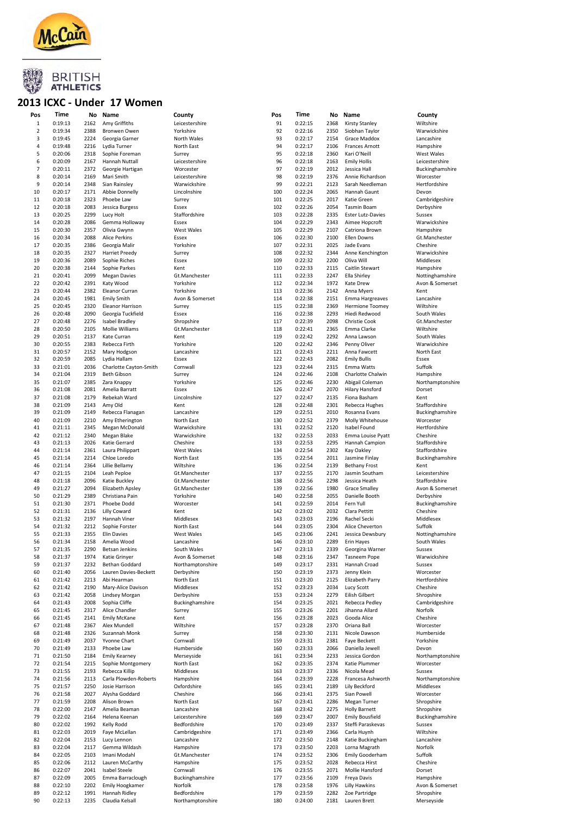



#### 2013 ICXC - Under 17 Women

| Pos            | Time    | No   | Name                   | County            | Pos | Time    | No   | Name                     | County           |
|----------------|---------|------|------------------------|-------------------|-----|---------|------|--------------------------|------------------|
| $\,1\,$        | 0:19:13 | 2162 | Amy Griffiths          | Leicestershire    | 91  | 0:22:15 | 2368 | Kirsty Stanley           | Wiltshire        |
| 2              | 0:19:34 | 2388 | Bronwen Owen           | Yorkshire         | 92  | 0:22:16 | 2350 | Siobhan Taylor           | Warwickshire     |
|                |         |      |                        |                   | 93  |         |      |                          |                  |
| 3              | 0:19:45 | 2224 | Georgia Garner         | North Wales       |     | 0:22:17 | 2154 | Grace Maddox             | Lancashire       |
| 4              | 0:19:48 | 2216 | Lydia Turner           | North East        | 94  | 0:22:17 | 2106 | <b>Frances Arnott</b>    | Hampshire        |
| 5              | 0:20:06 | 2318 | Sophie Foreman         | Surrey            | 95  | 0:22:18 | 2360 | Kari O'Neill             | West Wales       |
| 6              | 0:20:09 | 2167 | Hannah Nuttall         | Leicestershire    | 96  | 0:22:18 | 2163 | <b>Emily Hollis</b>      | Leicestershire   |
| $\overline{7}$ | 0:20:11 | 2372 | Georgie Hartigan       | Worcester         | 97  | 0:22:19 | 2012 | Jessica Hall             | Buckinghamshire  |
|                |         |      |                        |                   |     |         |      |                          |                  |
| 8              | 0:20:14 | 2169 | Mari Smith             | Leicestershire    | 98  | 0:22:19 | 2376 | Annie Richardson         | Worcester        |
| 9              | 0:20:14 | 2348 | Sian Rainsley          | Warwickshire      | 99  | 0:22:21 | 2123 | Sarah Needleman          | Hertfordshire    |
| 10             | 0:20:17 | 2171 | Abbie Donnelly         | Lincolnshire      | 100 | 0:22:24 | 2065 | Hannah Gaunt             | Devon            |
| 11             | 0:20:18 | 2323 | Phoebe Law             | Surrey            | 101 | 0:22:25 | 2017 | Katie Green              | Cambridgeshire   |
| 12             | 0:20:18 | 2083 | Jessica Burgess        | Essex             | 102 | 0:22:26 | 2054 | <b>Tasmin Boam</b>       | Derbyshire       |
|                |         |      |                        |                   |     |         |      |                          |                  |
| 13             | 0:20:25 | 2299 | Lucy Holt              | Staffordshire     | 103 | 0:22:28 | 2335 | <b>Ester Lutz-Davies</b> | Sussex           |
| 14             | 0:20:28 | 2086 | Gemma Holloway         | Essex             | 104 | 0:22:29 | 2343 | Aimee Hopcroft           | Warwickshire     |
| 15             | 0:20:30 | 2357 | Olivia Gwynn           | West Wales        | 105 | 0:22:29 | 2107 | Catriona Brown           | Hampshire        |
| 16             | 0:20:34 | 2088 | Alice Perkins          | Essex             | 106 | 0:22:30 | 2100 | Ellen Downs              | Gt.Manchester    |
| 17             | 0:20:35 | 2386 | Georgia Malir          | Yorkshire         | 107 | 0:22:31 | 2025 | Jade Evans               | Cheshire         |
|                |         |      |                        |                   |     |         |      |                          |                  |
| 18             | 0:20:35 | 2327 | <b>Harriet Preedy</b>  | Surrey            | 108 | 0:22:32 | 2344 | Anne Kenchington         | Warwickshire     |
| 19             | 0:20:36 | 2089 | Sophie Riches          | Essex             | 109 | 0:22:32 | 2200 | Oliva Will               | Middlesex        |
| 20             | 0:20:38 | 2144 | Sophie Parkes          | Kent              | 110 | 0:22:33 | 2115 | Caitlin Stewart          | Hampshire        |
| 21             | 0:20:41 | 2099 | <b>Megan Davies</b>    | Gt.Manchester     | 111 | 0:22:33 | 2247 | Ella Shirley             | Nottinghamshire  |
|                |         |      |                        |                   |     |         |      |                          |                  |
| 22             | 0:20:42 | 2391 | Katy Wood              | Yorkshire         | 112 | 0:22:34 | 1972 | Kate Drew                | Avon & Somerset  |
| 23             | 0:20:44 | 2382 | Eleanor Curran         | Yorkshire         | 113 | 0:22:36 | 2142 | Anna Myers               | Kent             |
| 24             | 0:20:45 | 1981 | <b>Emily Smith</b>     | Avon & Somerset   | 114 | 0:22:38 | 2151 | Emma Hargreaves          | Lancashire       |
| 25             | 0:20:45 | 2320 | Eleanor Harrison       | Surrey            | 115 | 0:22:38 | 2369 | <b>Hermione Toomey</b>   | Wiltshire        |
| 26             | 0:20:48 | 2090 | Georgia Tuckfield      | Essex             | 116 | 0:22:38 | 2293 | Hiedi Redwood            | South Wales      |
|                |         |      |                        |                   |     |         |      |                          |                  |
| 27             | 0:20:48 | 2276 | <b>Isabel Bradley</b>  | Shropshire        | 117 | 0:22:39 | 2098 | Christie Cook            | Gt.Manchester    |
| 28             | 0:20:50 | 2105 | Mollie Williams        | Gt.Manchester     | 118 | 0:22:41 | 2365 | Emma Clarke              | Wiltshire        |
| 29             | 0:20:51 | 2137 | Kate Curran            | Kent              | 119 | 0:22:42 | 2292 | Anna Lawson              | South Wales      |
| 30             | 0:20:55 | 2383 | Rebecca Firth          | Yorkshire         | 120 | 0:22:42 | 2346 | Penny Oliver             | Warwickshire     |
| 31             |         |      |                        |                   | 121 |         |      |                          |                  |
|                | 0:20:57 | 2152 | Mary Hodgson           | Lancashire        |     | 0:22:43 | 2211 | Anna Fawcett             | North East       |
| 32             | 0:20:59 | 2085 | Lydia Hallam           | Essex             | 122 | 0:22:43 | 2082 | <b>Emily Bullis</b>      | Essex            |
| 33             | 0:21:01 | 2036 | Charlotte Cayton-Smith | Cornwall          | 123 | 0:22:44 | 2315 | Emma Watts               | Suffolk          |
| 34             | 0:21:04 | 2319 | <b>Beth Gibson</b>     | Surrey            | 124 | 0:22:46 | 2108 | Charlotte Chalwin        | Hampshire        |
| 35             | 0:21:07 | 2385 | Zara Knappy            | Yorkshire         | 125 | 0:22:46 | 2230 |                          | Northamptonshire |
|                |         |      |                        |                   |     |         |      | Abigail Coleman          |                  |
| 36             | 0:21:08 | 2081 | Amelia Barratt         | Essex             | 126 | 0:22:47 | 2070 | <b>Hilary Hansford</b>   | Dorset           |
| 37             | 0:21:08 | 2179 | Rebekah Ward           | Lincolnshire      | 127 | 0:22:47 | 2135 | Fiona Basham             | Kent             |
| 38             | 0:21:09 | 2143 | Amy Old                | Kent              | 128 | 0:22:48 | 2301 | Rebecca Hughes           | Staffordshire    |
| 39             | 0:21:09 | 2149 | Rebecca Flanagan       | Lancashire        | 129 | 0:22:51 | 2010 | Rosanna Evans            | Buckinghamshire  |
|                |         |      |                        |                   |     |         |      |                          |                  |
| 40             | 0:21:09 | 2210 | Amy Etherington        | North East        | 130 | 0:22:52 | 2379 | Molly Whitehouse         | Worcester        |
| 41             | 0:21:11 | 2345 | Megan McDonald         | Warwickshire      | 131 | 0:22:52 | 2120 | Isabel Found             | Hertfordshire    |
| 42             | 0:21:12 | 2340 | Megan Blake            | Warwickshire      | 132 | 0:22:53 | 2033 | Emma Louise Pyatt        | Cheshire         |
| 43             | 0:21:13 | 2026 | Katie Gerrard          | Cheshire          | 133 | 0:22:53 | 2295 | Hannah Campion           | Staffordshire    |
| 44             | 0:21:14 |      |                        |                   | 134 | 0:22:54 |      |                          |                  |
|                |         | 2361 | Laura Philippart       | West Wales        |     |         | 2302 | Kay Oakley               | Staffordshire    |
| 45             |         |      |                        |                   |     |         |      | Jasmine Finlay           |                  |
|                | 0:21:14 | 2214 | Chloe Loredo           | North East        | 135 | 0:22:54 | 2011 |                          | Buckinghamshire  |
| 46             | 0:21:14 | 2364 | Lillie Bellamy         | Wiltshire         | 136 | 0:22:54 | 2139 | <b>Bethany Frost</b>     | Kent             |
|                |         |      |                        |                   |     |         |      |                          |                  |
| 47             | 0:21:15 | 2104 | Leah Peploe            | Gt.Manchester     | 137 | 0:22:55 | 2170 | Jasmin Southam           | Leicestershire   |
| 48             | 0:21:18 | 2096 | Katie Buckley          | Gt.Manchester     | 138 | 0:22:56 | 2298 | Jessica Heath            | Staffordshire    |
| 49             | 0:21:27 | 2094 | Elizabeth Apsley       | Gt.Manchester     | 139 | 0:22:56 | 1980 | <b>Grace Smalley</b>     | Avon & Somerset  |
| 50             | 0:21:29 | 2389 | Christiana Pain        | Yorkshire         | 140 | 0:22:58 | 2055 | Danielle Booth           | Derbyshire       |
|                |         |      |                        |                   |     |         |      |                          |                  |
| 51             | 0:21:30 | 2371 | Phoebe Dodd            | Worcester         | 141 | 0:22:59 | 2014 | Fern Yull                | Buckinghamshire  |
| 52             | 0:21:31 | 2136 | <b>Lilly Coward</b>    | Kent              | 142 | 0:23:02 | 2032 | Clara Pettitt            | Cheshire         |
| 53             | 0:21:32 | 2197 | Hannah Viner           | Middlesex         | 143 | 0:23:03 | 2196 | Rachel Secki             | Middlesex        |
| 54             | 0:21:32 | 2212 | Sophie Forster         | North East        | 144 | 0:23:05 | 2304 | Alice Cheverton          | Suffolk          |
| 55             | 0:21:33 | 2355 | <b>Elin Davies</b>     | <b>West Wales</b> | 145 | 0:23:06 | 2241 |                          |                  |
|                |         |      |                        |                   |     |         |      | Jessica Dewsbury         | Nottinghamshire  |
| 56             | 0:21:34 | 2158 | Amelia Wood            | Lancashire        | 146 | 0:23:10 | 2289 | Erin Hayes               | South Wales      |
| 57             | 0:21:35 | 2290 | Betsan Jenkins         | South Wales       | 147 | 0:23:13 | 2339 | Georgina Warner          | Sussex           |
| 58             | 0:21:37 | 1974 | Katie Grinyer          | Avon & Somerset   | 148 | 0:23:16 | 2347 | <b>Tasneem Pope</b>      | Warwickshire     |
| 59             | 0:21:37 | 2232 | Bethan Goddard         | Northamptonshire  | 149 | 0:23:17 | 2331 | Hannah Croad             | Sussex           |
|                |         |      |                        |                   |     |         |      |                          |                  |
| 60             | 0:21:40 | 2056 | Lauren Davies-Beckett  | Derbyshire        | 150 | 0:23:19 | 2373 | Jenny Klein              | Worcester        |
| 61             | 0:21:42 | 2213 | Abi Hearman            | North East        | 151 | 0:23:20 | 2125 | Elizabeth Parry          | Hertfordshire    |
| 62             | 0:21:42 | 2190 | Mary-Alice Davison     | Middlesex         | 152 | 0:23:23 | 2034 | Lucy Scott               | Cheshire         |
| 63             | 0:21:42 | 2058 | Lindsey Morgan         | Derbyshire        | 153 | 0:23:24 | 2279 | Eilish Gilbert           | Shropshire       |
| 64             | 0:21:43 | 2008 | Sophia Cliffe          | Buckinghamshire   | 154 | 0:23:25 | 2021 | Rebecca Pedley           | Cambridgeshire   |
|                |         |      |                        |                   |     |         |      |                          |                  |
| 65             | 0:21:45 | 2317 | Alice Chandler         | Surrey            | 155 | 0:23:26 | 2201 | Jihanna Allard           | Norfolk          |
| 66             | 0:21:45 | 2141 | <b>Emily McKane</b>    | Kent              | 156 | 0:23:28 | 2023 | Gooda Alice              | Cheshire         |
| 67             | 0:21:48 | 2367 | Alex Mundell           | Wiltshire         | 157 | 0:23:28 | 2370 | Oriana Ball              | Worcester        |
| 68             | 0:21:48 | 2326 | Suzannah Monk          | Surrey            | 158 | 0:23:30 | 2131 | Nicole Dawson            | Humberside       |
|                |         |      |                        |                   |     |         |      |                          |                  |
| 69             | 0:21:49 | 2037 | Yvonne Chart           | Cornwall          | 159 | 0:23:31 | 2381 | <b>Faye Beckett</b>      | Yorkshire        |
| 70             | 0:21:49 | 2133 | Phoebe Law             | Humberside        | 160 | 0:23:33 | 2066 | Daniella Jewell          | Devon            |
| 71             | 0:21:50 | 2184 | <b>Emily Kearney</b>   | Merseyside        | 161 | 0:23:34 | 2233 | Jessica Gordon           | Northamptonshire |
| 72             | 0:21:54 | 2215 | Sophie Montgomery      | North East        | 162 | 0:23:35 | 2374 | Katie Plummer            | Worcester        |
|                |         |      |                        |                   |     |         |      |                          |                  |
| 73             | 0:21:55 | 2193 | Rebecca Killip         | Middlesex         | 163 | 0:23:37 | 2336 | Nicola Mead              | Sussex           |
| 74             | 0:21:56 | 2113 | Carla Plowden-Roberts  | Hampshire         | 164 | 0:23:39 | 2228 | Francesa Ashworth        | Northamptonshire |
| 75             | 0:21:57 | 2250 | Josie Harrison         | Oxfordshire       | 165 | 0:23:41 | 2189 | Lily Beckford            | Middlesex        |
| 76             | 0:21:58 | 2027 | Alysha Goddard         | Cheshire          | 166 | 0:23:41 | 2375 | Sian Powell              | Worcester        |
|                |         | 2208 |                        |                   |     |         |      |                          |                  |
| 77             | 0:21:59 |      | Alison Brown           | North East        | 167 | 0:23:41 | 2286 | Megan Turner             | Shropshire       |
| 78             | 0:22:00 | 2147 | Amelia Beaman          | Lancashire        | 168 | 0:23:42 | 2275 | <b>Holly Barnett</b>     | Shropshire       |
| 79             | 0:22:02 | 2164 | Helena Keenan          | Leicestershire    | 169 | 0:23:47 | 2007 | <b>Emily Bousfield</b>   | Buckinghamshire  |
| 80             | 0:22:02 | 1992 | Kelly Rodd             | Bedfordshire      | 170 | 0:23:49 | 2337 | Steffi Paraskevas        | Sussex           |
| 81             | 0:22:03 | 2019 | Faye McLellan          | Cambridgeshire    | 171 | 0:23:49 | 2366 | Carla Huynh              | Wiltshire        |
|                |         |      |                        |                   |     |         |      |                          |                  |
| 82             | 0:22:04 | 2153 | Lucy Lennon            | Lancashire        | 172 | 0:23:50 | 2148 | Katie Buckingham         | Lancashire       |
| 83             | 0:22:04 | 2117 | Gemma Wildash          | Hampshire         | 173 | 0:23:50 | 2203 | Lorna Magrath            | Norfolk          |
| 84             | 0:22:05 | 2103 | Imani Modahl           | Gt.Manchester     | 174 | 0:23:52 | 2306 | Emily Gooderham          | Suffolk          |
| 85             | 0:22:06 | 2112 | Lauren McCarthy        | Hampshire         | 175 | 0:23:52 | 2028 | Rebecca Hirst            | Cheshire         |
|                |         |      |                        |                   |     |         |      |                          |                  |
| 86             | 0:22:07 | 2041 | <b>Isabel Steele</b>   | Cornwall          | 176 | 0:23:55 | 2071 | Mollie Hansford          | Dorset           |
| 87             | 0:22:09 | 2005 | Emma Barraclough       | Buckinghamshire   | 177 | 0:23:56 | 2109 | Freya Davis              | Hampshire        |
| 88             | 0:22:10 | 2202 | <b>Emily Hoogkamer</b> | Norfolk           | 178 | 0:23:58 | 1976 | <b>Lilly Hawkins</b>     | Avon & Somerset  |
| 89             | 0:22:12 | 1991 | Hannah Ridley          | Bedfordshire      | 179 | 0:23:59 | 2282 | Zoe Partridge            | Shropshire       |
| 90             | 0:22:13 | 2235 | Claudia Kelsall        | Northamptonshire  | 180 | 0:24:00 | 2181 | Lauren Brett             | Merseyside       |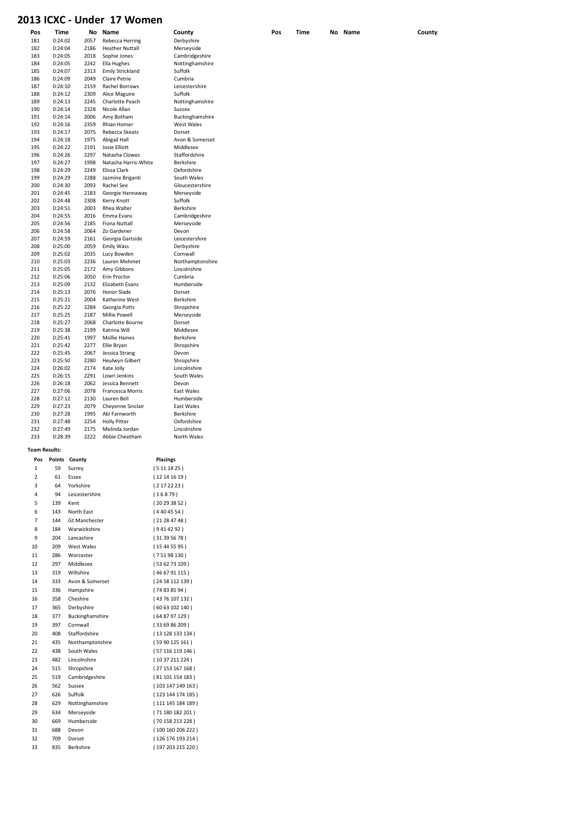#### 2013 ICXC - Under 17 Women

| Pos                  | Time    | No           | Name                          | County           |
|----------------------|---------|--------------|-------------------------------|------------------|
| 181                  | 0:24:02 | 2057         | Rebecca Herring               | Derbyshire       |
| 182                  | 0:24:04 | 2186         | <b>Heather Nuttall</b>        | Merseyside       |
| 183                  | 0:24:05 | 2018         | Sophie Jones                  | Cambridgeshire   |
| 184                  | 0:24:05 | 2242         | Ella Hughes                   | Nottinghamshire  |
| 185                  | 0:24:07 | 2313         | <b>Emily Strickland</b>       | Suffolk          |
| 186                  | 0:24:09 | 2049         | <b>Claire Petrie</b>          | Cumbria          |
| 187                  | 0:24:10 | 2159         | <b>Rachel Borrows</b>         | Leicestershire   |
| 188                  | 0:24:12 | 2309         | Alice Maguire                 | Suffolk          |
| 189                  | 0:24:13 | 2245         | Charlotte Peach               | Nottinghamshire  |
| 190                  | 0:24:14 | 2328         | Nicole Allan                  | Sussex           |
| 191                  | 0:24:14 | 2006         | Amy Botham                    | Buckinghamshire  |
| 192                  | 0:24:16 | 2359         | Rhian Homer                   | West Wales       |
| 193                  | 0:24:17 | 2075         | Rebecca Skeats                | Dorset           |
| 194                  | 0:24:18 |              |                               | Avon & Somerset  |
| 195                  | 0:24:22 | 1975<br>2191 | Abigail Hall<br>Josie Elliott | Middlesex        |
| 196                  | 0:24:26 | 2297         | Natasha Clowes                | Staffordshire    |
|                      |         |              |                               |                  |
| 197                  | 0:24:27 | 1998         | Natasha Harris-White          | Berkshire        |
| 198                  | 0:24:29 | 2249         | Elissa Clark                  | Oxfordshire      |
| 199                  | 0:24:29 | 2288         | Jazmine Briganti              | South Wales      |
| 200                  | 0:24:30 | 2093         | Rachel See                    | Gloucestershire  |
| 201                  | 0:24:45 | 2183         | Georgie Hannaway              | Merseyside       |
| 202                  | 0:24:48 | 2308         | Kerry Knott                   | Suffolk          |
| 203                  | 0:24:51 | 2003         | Rhea Walter                   | Berkshire        |
| 204                  | 0:24:55 | 2016         | Emma Evans                    | Cambridgeshire   |
| 205                  | 0:24:56 | 2185         | <b>Fiona Nuttall</b>          | Merseyside       |
| 206                  | 0:24:58 | 2064         | Zo Gardener                   | Devon            |
| 207                  | 0:24:59 | 2161         | Georgia Gartside              | Leicestershire   |
| 208                  | 0:25:00 | 2059         | <b>Emily Wass</b>             | Derbyshire       |
| 209                  | 0:25:02 | 2035         | Lucy Bowden                   | Cornwall         |
| 210                  | 0:25:03 | 2236         | Lauren Mehmet                 | Northamptonshire |
| 211                  | 0:25:05 | 2172         | Amy Gibbons                   | Lincolnshire     |
| 212                  | 0:25:06 | 2050         | Erin Proctor                  | Cumbria          |
| 213                  | 0:25:09 | 2132         | Elizabeth Evans               | Humberside       |
| 214                  | 0:25:13 | 2076         | <b>Honor Slade</b>            | Dorset           |
| 215                  | 0:25:21 | 2004         | Katherine West                | Berkshire        |
| 216                  | 0:25:22 | 2284         | Georgia Potts                 | Shropshire       |
| 217                  | 0:25:25 | 2187         | <b>Millie Powell</b>          | Merseyside       |
| 218                  | 0:25:27 | 2068         | Charlotte Bourne              | Dorset           |
| 219                  | 0:25:38 | 2199         | Katrina Will                  | Middlesex        |
| 220                  | 0:25:41 | 1997         | <b>Mollie Haines</b>          | Berkshire        |
| 221                  | 0:25:42 | 2277         | Ellie Bryan                   | Shropshire       |
| 222                  | 0:25:45 | 2067         | Jessica Strang                | Devon            |
| 223                  | 0:25:50 | 2280         | Heulwyn Gilbert               | Shropshire       |
| 224                  | 0:26:02 | 2174         | Kate Jolly                    | Lincolnshire     |
| 225                  | 0:26:15 | 2291         | Lowri Jenkins                 | South Wales      |
| 226                  | 0:26:18 | 2062         | Jessica Bennett               | Devon            |
| 227                  | 0:27:06 | 2078         | Francesca Morris              | East Wales       |
| 228                  | 0:27:12 | 2130         | Lauren Bell                   | Humberside       |
| 229                  | 0:27:23 | 2079         | Cheyenne Sinclair             | East Wales       |
| 230                  | 0:27:28 | 1995         | Abi Farnworth                 | Berkshire        |
| 231                  | 0:27:48 | 2254         | <b>Holly Pitter</b>           | Oxfordshire      |
| 232                  | 0:27:49 | 2175         | Melinda Jordan                | Lincolnshire     |
| 233                  | 0:28:39 | 2222         | Abbie Cheetham                | North Wales      |
|                      |         |              |                               |                  |
| <b>Team Results:</b> |         |              |                               |                  |

| Pos            | Points | County           | <b>Placings</b>   |
|----------------|--------|------------------|-------------------|
| 1              | 59     | Surrey           | (5111825)         |
| $\overline{2}$ | 61     | Fssex            | (12141619)        |
| 3              | 64     | Yorkshire        | (2172223)         |
| 4              | 94     | Leicestershire   | (16879)           |
| 5              | 139    | Kent             | (20293852)        |
| 6              | 143    | North Fast       | (4404554)         |
| 7              | 144    | Gt.Manchester    | (21284748)        |
| 8              | 184    | Warwickshire     | (9414292)         |
| 9              | 204    | Lancashire       | (31395678)        |
| 10             | 209    | West Wales       | (15445595)        |
| 11             | 286    | Worcester        | (75198130)        |
| 12             | 297    | Middlesex        | (536273109)       |
| 13             | 319    | Wiltshire        | (466791115)       |
| 14             | 333    | Avon & Somerset  | (2458112139)      |
| 15             | 336    | Hampshire        | (74838594)        |
| 16             | 358    | Cheshire         | (4376 107 132)    |
| 17             | 365    | Derbyshire       | (6063102140)      |
| 18             | 377    | Buckinghamshire  | (648797129)       |
| 19             | 397    | Cornwall         | (336986209)       |
| 20             | 408    | Staffordshire    | (13 128 133 134)  |
| 21             | 435    | Northamptonshire | (5990125161)      |
| 22             | 438    | South Wales      | (57116119146)     |
| 23             | 482    | Lincolnshire     | (1037211224)      |
| 24             | 515    | Shropshire       | (27153167168)     |
| 25             | 519    | Cambridgeshire   | (81101154183)     |
| 26             | 562    | Sussex           | (103147149163)    |
| 27             | 626    | Suffolk          | (123 144 174 185) |
| 28             | 629    | Nottinghamshire  | (111145184189)    |
| 29             | 634    | Merseyside       | (71 180 182 201)  |
| 30             | 669    | Humberside       | (70 158 213 228)  |
| 31             | 688    | Devon            | (100160206222)    |
| 32             | 709    | Dorset           | (126 176 193 214) |
| 33             | 835    | <b>Berkshire</b> | (197 203 215 220) |

Pos Time No Name County Pos Time No Name County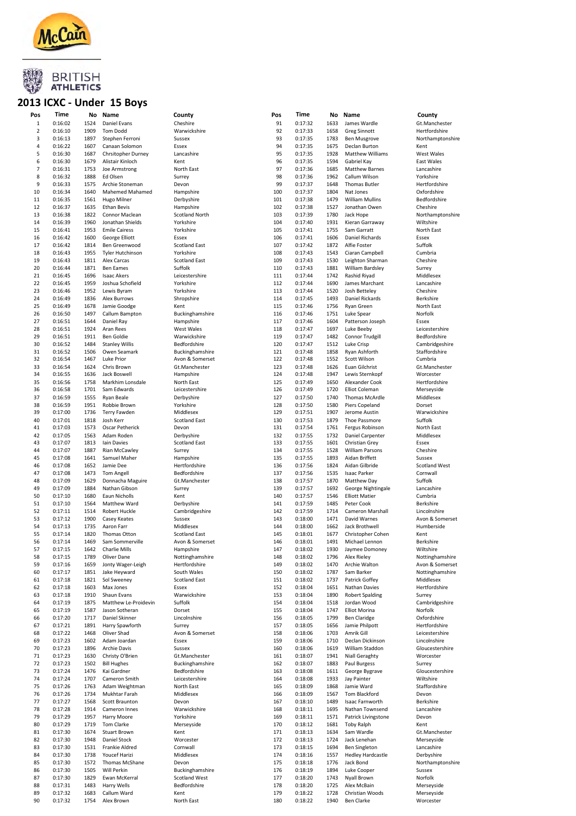

#### 2013 ICXC - Under 15 Boys

| Pos            | Time    | No   | Name                        | County                | Pos | Time    | No   | Name                     | County               |
|----------------|---------|------|-----------------------------|-----------------------|-----|---------|------|--------------------------|----------------------|
| $\,1\,$        | 0:16:02 | 1524 | Daniel Evans                | Cheshire              | 91  | 0:17:32 | 1633 | James Wardle             | Gt.Manchester        |
| $\overline{2}$ | 0:16:10 | 1909 | <b>Tom Dodd</b>             | Warwickshire          | 92  | 0:17:33 | 1658 | <b>Greg Sinnott</b>      | Hertfordshire        |
| 3              | 0:16:13 | 1897 | Stephen Ferroni             | Sussex                | 93  | 0:17:35 | 1783 | <b>Ben Musgrove</b>      | Northamptonshire     |
| 4              | 0:16:22 | 1607 | Canaan Solomon              | Essex                 | 94  | 0:17:35 | 1675 | Declan Burton            | Kent                 |
| 5              | 0:16:30 | 1687 | Chrsitopher Durney          | Lancashire            | 95  | 0:17:35 | 1928 | Matthew Williams         | West Wales           |
| 6              | 0:16:30 | 1679 | Alistair Kinloch            | Kent                  | 96  | 0:17:35 | 1594 | Gabriel Kay              | East Wales           |
| $\overline{7}$ | 0:16:31 | 1753 | Joe Armstrong               | North East            | 97  | 0:17:36 | 1685 | <b>Matthew Barnes</b>    | Lancashire           |
| 8              | 0:16:32 | 1888 | Ed Olsen                    |                       | 98  | 0:17:36 | 1962 | Callum Wilson            | Yorkshire            |
|                |         |      |                             | Surrey                |     |         |      |                          |                      |
| 9              | 0:16:33 | 1575 | Archie Stoneman             | Devon                 | 99  | 0:17:37 | 1648 | <b>Thomas Butler</b>     | Hertfordshire        |
| 10             | 0:16:34 | 1640 | Mahemed Mahamed             | Hampshire             | 100 | 0:17:37 | 1804 | Nat Jones                | Oxfordshire          |
| 11             | 0:16:35 | 1561 | Hugo Milner                 | Derbyshire            | 101 | 0:17:38 | 1479 | <b>William Mullins</b>   | Bedfordshire         |
| 12             | 0:16:37 | 1635 | <b>Ethan Bevis</b>          | Hampshire             | 102 | 0:17:38 | 1527 | Jonathan Owen            | Cheshire             |
| 13             | 0:16:38 | 1822 | Connor Maclean              | <b>Scotland North</b> | 103 | 0:17:39 | 1780 | Jack Hope                | Northamptonshire     |
| 14             | 0:16:39 | 1960 | Jonathan Shields            | Yorkshire             | 104 | 0:17:40 | 1931 | Kieran Garraway          | Wiltshire            |
| 15             | 0:16:41 | 1953 | <b>Emile Cairess</b>        | Yorkshire             | 105 | 0:17:41 | 1755 | Sam Garratt              | North East           |
| 16             | 0:16:42 | 1600 | George Elliott              | Essex                 | 106 | 0:17:41 | 1606 | Daniel Richards          | Essex                |
| 17             | 0:16:42 | 1814 | Ben Greenwood               | <b>Scotland East</b>  | 107 | 0:17:42 | 1872 | Alfie Foster             | Suffolk              |
| 18             | 0:16:43 | 1955 | <b>Tyler Hutchinson</b>     | Yorkshire             | 108 | 0:17:43 | 1543 | Ciaran Campbell          | Cumbria              |
| 19             | 0:16:43 | 1811 | Alex Carcas                 | <b>Scotland East</b>  | 109 | 0:17:43 | 1530 | Leighton Sharman         | Cheshire             |
| 20             | 0:16:44 | 1871 | <b>Ben Eames</b>            | Suffolk               | 110 | 0:17:43 | 1881 | William Bardsley         | Surrey               |
| 21             | 0:16:45 | 1696 | <b>Isaac Akers</b>          | Leicestershire        | 111 | 0:17:44 | 1742 | Rashid Riyad             | Middlesex            |
| 22             | 0:16:45 | 1959 | Joshua Schofield            | Yorkshire             | 112 | 0:17:44 | 1690 | James Marchant           | Lancashire           |
| 23             | 0:16:46 | 1952 | Lewis Byram                 | Yorkshire             | 113 | 0:17:44 | 1520 | Josh Betteley            | Cheshire             |
| 24             | 0:16:49 | 1836 | Alex Burrows                | Shropshire            | 114 | 0:17:45 | 1493 | Daniel Rickards          | Berkshire            |
| 25             | 0:16:49 | 1678 | Jamie Goodge                | Kent                  | 115 | 0:17:46 | 1756 | <b>Ryan Green</b>        | North East           |
| 26             | 0:16:50 | 1497 | Callum Bampton              | Buckinghamshire       | 116 | 0:17:46 | 1751 | Luke Spear               | Norfolk              |
| 27             | 0:16:51 | 1644 | Daniel Ray                  | Hampshire             | 117 | 0:17:46 | 1604 | Patterson Joseph         | Essex                |
| 28             | 0:16:51 | 1924 | Aran Rees                   |                       | 118 |         | 1697 |                          |                      |
| 29             |         | 1911 |                             | West Wales            | 119 | 0:17:47 |      | Luke Beeby               | Leicestershire       |
|                | 0:16:51 |      | Ben Goldie                  | Warwickshire          |     | 0:17:47 | 1482 | Connor Trudgill          | Bedfordshire         |
| 30             | 0:16:52 | 1484 | <b>Stanley Willis</b>       | Bedfordshire          | 120 | 0:17:47 | 1512 | Luke Crisp               | Cambridgeshire       |
| 31             | 0:16:52 | 1506 | Owen Seamark                | Buckinghamshire       | 121 | 0:17:48 | 1858 | Ryan Ashforth            | Staffordshire        |
| 32             | 0:16:54 | 1467 | Luke Prior                  | Avon & Somerset       | 122 | 0:17:48 | 1552 | Scott Wilson             | Cumbria              |
| 33             | 0:16:54 | 1624 | Chris Brown                 | Gt.Manchester         | 123 | 0:17:48 | 1626 | Euan Gilchrist           | Gt.Manchester        |
| 34             | 0:16:55 | 1636 | Jack Boswell                | Hampshire             | 124 | 0:17:48 | 1947 | Lewis Sternkopf          | Worcester            |
| 35             | 0:16:56 | 1758 | Markhim Lonsdale            | North East            | 125 | 0:17:49 | 1650 | Alexander Cook           | Hertfordshire        |
| 36             | 0:16:58 | 1701 | Sam Edwards                 | Leicestershire        | 126 | 0:17:49 | 1720 | <b>Elliot Coleman</b>    | Merseyside           |
| 37             | 0:16:59 | 1555 | Ryan Beale                  | Derbyshire            | 127 | 0:17:50 | 1740 | Thomas McArdle           | Middlesex            |
| 38             | 0:16:59 | 1951 | Robbie Brown                | Yorkshire             | 128 | 0:17:50 | 1580 | Piers Copeland           | Dorset               |
| 39             | 0:17:00 | 1736 | Terry Fawden                | Middlesex             | 129 | 0:17:51 | 1907 | Jerome Austin            | Warwickshire         |
| 40             | 0:17:01 | 1818 | Josh Kerr                   | <b>Scotland East</b>  | 130 | 0:17:53 | 1879 | Thoe Passmore            | Suffolk              |
| 41             | 0:17:03 | 1573 | Oscar Petherick             | Devon                 | 131 | 0:17:54 | 1761 | Fergus Robinson          | North East           |
| 42             | 0:17:05 | 1563 | Adam Roden                  | Derbyshire            | 132 | 0:17:55 | 1732 | Daniel Carpenter         | Middlesex            |
| 43             | 0:17:07 | 1813 | Iain Davies                 | <b>Scotland East</b>  | 133 | 0:17:55 | 1601 | Christian Grey           | Essex                |
| 44             | 0:17:07 | 1887 | Rian McCawley               | Surrey                | 134 | 0:17:55 | 1528 | <b>William Parsons</b>   | Cheshire             |
| 45             | 0:17:08 | 1641 | Samuel Maher                | Hampshire             | 135 | 0:17:55 | 1893 | Aidan Briffett           | Sussex               |
| 46             | 0:17:08 | 1652 | Jamie Dee                   | Hertfordshire         | 136 | 0:17:56 | 1824 | Aidan Gilbride           | <b>Scotland West</b> |
|                |         |      |                             |                       |     |         |      |                          |                      |
| 47             | 0:17:08 | 1473 | <b>Tom Angell</b>           | Bedfordshire          | 137 | 0:17:56 | 1535 | <b>Isaac Parker</b>      | Cornwall             |
| 48             | 0:17:09 | 1629 | Donnacha Maguire            | Gt.Manchester         | 138 | 0:17:57 | 1870 | Matthew Day              | Suffolk              |
| 49             | 0:17:09 | 1884 | Nathan Gibson               | Surrey                | 139 | 0:17:57 | 1692 | George Nightingale       | Lancashire           |
| 50             | 0:17:10 | 1680 | Eaun Nicholls               | Kent                  | 140 | 0:17:57 | 1546 | <b>Elliott Matier</b>    | Cumbria              |
| 51             | 0:17:10 | 1564 | Matthew Ward                | Derbyshire            | 141 | 0:17:59 | 1485 | Peter Cook               | Berkshire            |
| 52             | 0:17:11 | 1514 | Robert Huckle               | Cambridgeshire        | 142 | 0:17:59 | 1714 | Cameron Marshall         | Lincolnshire         |
| 53             | 0:17:12 | 1900 | Casey Keates                | Sussex                | 143 | 0:18:00 | 1471 | David Warnes             | Avon & Somerset      |
| 54             | 0:17:13 | 1735 | Aaron Farr                  | Middlesex             | 144 | 0:18:00 | 1662 | Jack Brothwell           | Humberside           |
| 55             | 0:17:14 | 1820 | Thomas Otton                | <b>Scotland East</b>  | 145 | 0:18:01 | 1677 | Christopher Cohen        | Kent                 |
| 56             | 0:17:14 | 1469 | Sam Sommerville             | Avon & Somerset       | 146 | 0:18:01 | 1491 | Michael Lennon           | Berkshire            |
| 57             | 0:17:15 | 1642 | <b>Charlie Mills</b>        | Hampshire             | 147 | 0:18:02 | 1930 | Jaymee Domoney           | Wiltshire            |
| 58             | 0:17:15 | 1789 | Oliver Dane                 | Nottinghamshire       | 148 | 0:18:02 | 1796 | Alex Rieley              | Nottinghamshire      |
| 59             | 0:17:16 | 1659 | Jonty Wager-Leigh           | Hertfordshire         | 149 | 0:18:02 | 1470 | Archie Walton            | Avon & Somerset      |
| 60             | 0:17:17 | 1851 | Jake Heyward                | South Wales           | 150 | 0:18:02 | 1787 | Sam Barker               | Nottinghamshire      |
| 61             | 0:17:18 | 1821 | Sol Sweeney                 | <b>Scotland East</b>  | 151 | 0:18:02 | 1737 | Patrick Goffey           | Middlesex            |
| 62             | 0:17:18 | 1603 | Max Jones                   | Essex                 | 152 | 0:18:04 | 1651 | Nathan Davies            | Hertfordshire        |
| 63             | 0:17:18 | 1910 | Shaun Evans                 | Warwickshire          | 153 | 0:18:04 | 1890 | <b>Robert Spalding</b>   | Surrey               |
| 64             | 0:17:19 | 1875 | Matthew Le-Proidevin        | Suffolk               | 154 | 0:18:04 | 1518 | Jordan Wood              | Cambridgeshire       |
| 65             | 0:17:19 | 1587 | Jason Sotheran              | Dorset                | 155 | 0:18:04 | 1747 | <b>Elliot Morina</b>     | Norfolk              |
| 66             | 0:17:20 | 1717 | Daniel Skinner              | Lincolnshire          | 156 | 0:18:05 | 1799 | <b>Ben Claridge</b>      | Oxfordshire          |
| 67             | 0:17:21 | 1891 | Harry Spawforth             | Surrey                | 157 | 0:18:05 | 1656 | Jamie Philpott           | Hertfordshire        |
|                |         | 1468 |                             |                       | 158 |         | 1703 | Amrik Gill               |                      |
| 68             | 0:17:22 |      | Oliver Shad<br>Adam Joardan | Avon & Somerset       |     | 0:18:06 |      |                          | Leicestershire       |
| 69             | 0:17:23 | 1602 |                             | Essex                 | 159 | 0:18:06 | 1710 | Declan Dickinson         | Lincolnshire         |
| 70             | 0:17:23 | 1896 | Archie Davis                | Sussex                | 160 | 0:18:06 | 1619 | William Staddon          | Gloucestershire      |
| 71             | 0:17:23 | 1630 | Christy O'Brien             | Gt.Manchester         | 161 | 0:18:07 | 1941 | Niall Geraghty           | Worcester            |
| 72             | 0:17:23 | 1502 | <b>Bill Hughes</b>          | Buckinghamshire       | 162 | 0:18:07 | 1883 | Paul Burgess             | Surrey               |
| 73             | 0:17:24 | 1476 | Kai Gardner                 | Bedfordshire          | 163 | 0:18:08 | 1611 | George Bygrave           | Gloucestershire      |
| 74             | 0:17:24 | 1707 | Cameron Smith               | Leicestershire        | 164 | 0:18:08 | 1933 | Jay Painter              | Wiltshire            |
| 75             | 0:17:26 | 1763 | Adam Weightman              | North East            | 165 | 0:18:09 | 1868 | Jamie Ward               | Staffordshire        |
| 76             | 0:17:26 | 1734 | Mukhtar Farah               | Middlesex             | 166 | 0:18:09 | 1567 | Tom Blackford            | Devon                |
| 77             | 0:17:27 | 1568 | Scott Braunton              | Devon                 | 167 | 0:18:10 | 1489 | Isaac Farnworth          | Berkshire            |
| 78             | 0:17:28 | 1914 | Cameron Innes               | Warwickshire          | 168 | 0:18:11 | 1695 | Nathan Townsend          | Lancashire           |
| 79             | 0:17:29 | 1957 | Harry Moore                 | Yorkshire             | 169 | 0:18:11 | 1571 | Patrick Livingstone      | Devon                |
| 80             | 0:17:29 | 1719 | Tom Clarke                  | Merseyside            | 170 | 0:18:12 | 1681 | <b>Toby Ralph</b>        | Kent                 |
| 81             | 0:17:30 | 1674 | <b>Stuart Brown</b>         | Kent                  | 171 | 0:18:13 | 1634 | Sam Wardle               | Gt.Manchester        |
| 82             | 0:17:30 | 1948 | Daniel Stock                | Worcester             | 172 | 0:18:13 | 1724 | Jack Lenehan             | Merseyside           |
| 83             | 0:17:30 | 1531 | Frankie Aldred              | Cornwall              | 173 | 0:18:15 | 1694 | <b>Ben Singleton</b>     | Lancashire           |
| 84             | 0:17:30 | 1738 | Youcef Harizi               | Middlesex             | 174 | 0:18:16 | 1557 | <b>Hedley Hardcastle</b> | Derbyshire           |
| 85             | 0:17:30 | 1572 | Thomas McShane              | Devon                 | 175 | 0:18:18 | 1776 | Jack Bond                | Northamptonshire     |
| 86             | 0:17:30 | 1505 | Will Perkin                 | Buckinghamshire       | 176 | 0:18:19 | 1894 | Luke Cooper              | Sussex               |
| 87             | 0:17:30 | 1829 | Ewan McKerral               | <b>Scotland West</b>  | 177 | 0:18:20 | 1743 | Nyall Brown              | Norfolk              |
|                |         | 1483 |                             |                       |     |         |      |                          |                      |
| 88             | 0:17:31 |      | Harry Wells                 | Bedfordshire          | 178 | 0:18:20 | 1725 | Alex McBain              | Merseyside           |
| 89             | 0:17:32 | 1683 | Callum Ward                 | Kent                  | 179 | 0:18:22 | 1728 | Christian Woods          | Merseyside           |
| 90             | 0:17:32 | 1754 | Alex Brown                  | North East            | 180 | 0:18:22 | 1940 | Ben Clarke               | Worcester            |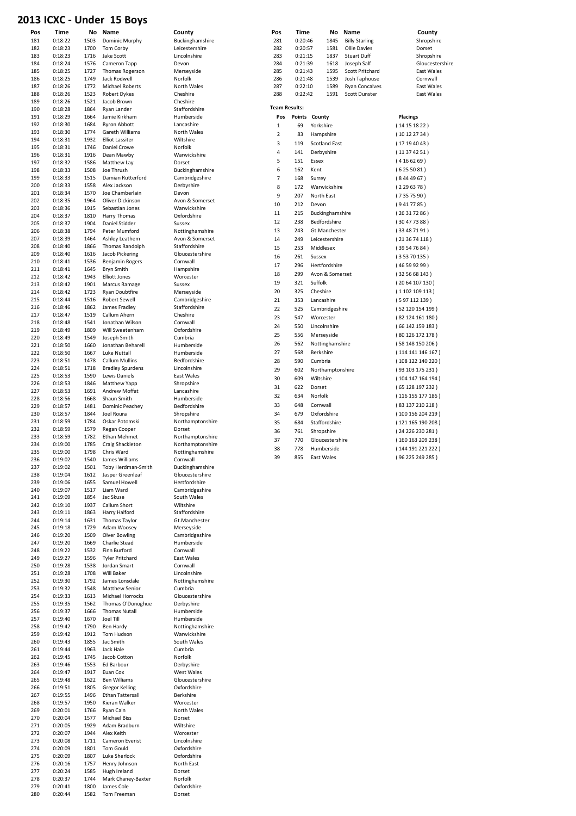#### 2013 ICXC - Under 15 Boys

| Pos | Time    | No   | Name                    | County           | Pos            | Time                 | No                   | Name                  | County             |
|-----|---------|------|-------------------------|------------------|----------------|----------------------|----------------------|-----------------------|--------------------|
| 181 | 0:18:22 | 1503 |                         |                  | 281            | 0:20:46              | 1845                 |                       |                    |
|     |         |      | Dominic Murphy          | Buckinghamshire  |                |                      |                      | <b>Billy Starling</b> | Shropshire         |
| 182 | 0:18:23 | 1700 | Tom Corby               | Leicestershire   | 282            | 0:20:57              | 1581                 | Ollie Davies          | Dorset             |
| 183 | 0:18:23 | 1716 | Jake Scott              | Lincolnshire     | 283            | 0:21:15              | 1837                 | <b>Stuart Duff</b>    | Shropshire         |
| 184 | 0:18:24 | 1576 | Cameron Tapp            | Devon            | 284            | 0:21:39              | 1618                 | Joseph Salf           | Gloucestershire    |
| 185 | 0:18:25 | 1727 | Thomas Rogerson         | Merseyside       | 285            | 0:21:43              | 1595                 | Scott Pritchard       | East Wales         |
| 186 | 0:18:25 | 1749 | Jack Rodwell            | Norfolk          | 286            | 0:21:48              | 1539                 | Josh Taphouse         | Cornwall           |
| 187 | 0:18:26 | 1772 | <b>Michael Roberts</b>  | North Wales      | 287            | 0:22:10              | 1589                 | <b>Ryan Concalves</b> | East Wales         |
| 188 | 0:18:26 | 1523 | <b>Robert Dykes</b>     | Cheshire         | 288            | 0:22:42              | 1591                 | Scott Dunster         | East Wales         |
| 189 | 0:18:26 | 1521 | Jacob Brown             | Cheshire         |                |                      |                      |                       |                    |
|     |         |      |                         |                  |                | <b>Team Results:</b> |                      |                       |                    |
| 190 | 0:18:28 | 1864 | Ryan Lander             | Staffordshire    |                |                      |                      |                       |                    |
| 191 | 0:18:29 | 1664 | Jamie Kirkham           | Humberside       | Pos            |                      | Points County        |                       | <b>Placings</b>    |
| 192 | 0:18:30 | 1684 | <b>Byron Abbott</b>     | Lancashire       | $\mathbf{1}$   | 69                   | Yorkshire            |                       | (14151822)         |
| 193 | 0:18:30 | 1774 | Gareth Williams         | North Wales      |                |                      |                      |                       |                    |
| 194 | 0:18:31 | 1932 | <b>Elliot Lassiter</b>  | Wiltshire        | $\overline{2}$ | 83                   | Hampshire            |                       | (10122734)         |
|     |         |      |                         | Norfolk          | 3              | 119                  | <b>Scotland East</b> |                       | (17194043)         |
| 195 | 0:18:31 | 1746 | Daniel Crowe            |                  | $\overline{4}$ | 141                  | Derbyshire           |                       | (11374251)         |
| 196 | 0:18:31 | 1916 | Dean Mawby              | Warwickshire     |                |                      |                      |                       |                    |
| 197 | 0:18:32 | 1586 | Matthew Lay             | Dorset           | 5              | 151                  | Essex                |                       | (4166269)          |
| 198 | 0:18:33 | 1508 | Joe Thrush              | Buckinghamshire  | 6              | 162                  | Kent                 |                       | (6255081)          |
| 199 | 0:18:33 | 1515 | Damian Rutterford       | Cambridgeshire   | $\overline{7}$ | 168                  | Surrey               |                       | (8444967)          |
| 200 | 0:18:33 | 1558 | Alex Jackson            | Derbyshire       |                |                      |                      |                       |                    |
|     |         |      |                         |                  | 8              | 172                  | Warwickshire         |                       | (2296378)          |
| 201 | 0:18:34 | 1570 | Joe Chamberlain         | Devon            | 9              | 207                  | North East           |                       | (7357590)          |
| 202 | 0:18:35 | 1964 | Oliver Dickinson        | Avon & Somerset  | 10             | 212                  | Devon                |                       | (9417785)          |
| 203 | 0:18:36 | 1915 | Sebastian Jones         | Warwickshire     |                |                      |                      |                       |                    |
| 204 | 0:18:37 | 1810 | Harry Thomas            | Oxfordshire      | $11\,$         | 215                  | Buckinghamshire      |                       | (26317286)         |
| 205 | 0:18:37 | 1904 | Daniel Stidder          | Sussex           | 12             | 238                  | Bedfordshire         |                       | (30477388)         |
| 206 | 0:18:38 | 1794 | Peter Mumford           | Nottinghamshire  | 13             | 243                  | Gt.Manchester        |                       | (33487191)         |
| 207 | 0:18:39 | 1464 | Ashley Leathem          | Avon & Somerset  | 14             | 249                  |                      |                       |                    |
|     |         |      |                         |                  |                |                      | Leicestershire       |                       | (213674118)        |
| 208 | 0:18:40 | 1866 | Thomas Randolph         | Staffordshire    | 15             | 253                  | Middlesex            |                       | (39547684)         |
| 209 | 0:18:40 | 1616 | Jacob Pickering         | Gloucestershire  | 16             | 261                  | Sussex               |                       | (35370135)         |
| 210 | 0:18:41 | 1536 | <b>Benjamin Rogers</b>  | Cornwall         | 17             | 296                  | Hertfordshire        |                       |                    |
| 211 | 0:18:41 | 1645 | Bryn Smith              | Hampshire        |                |                      |                      |                       | (46599299)         |
| 212 | 0:18:42 | 1943 | <b>Elliott Jones</b>    | Worcester        | 18             | 299                  | Avon & Somerset      |                       | (325668143)        |
| 213 | 0:18:42 | 1901 | Marcus Ramage           | Sussex           | 19             | 321                  | Suffolk              |                       | (2064107130)       |
|     |         |      |                         |                  | 20             |                      |                      |                       |                    |
| 214 | 0:18:42 | 1723 | <b>Ryan Doubtfire</b>   | Merseyside       |                | 325                  | Cheshire             |                       | (1102109113)       |
| 215 | 0:18:44 | 1516 | <b>Robert Sewell</b>    | Cambridgeshire   | 21             | 353                  | Lancashire           |                       | (597112139)        |
| 216 | 0:18:46 | 1862 | James Fradley           | Staffordshire    | 22             | 525                  | Cambridgeshire       |                       | (52 120 154 199)   |
| 217 | 0:18:47 | 1519 | Callum Ahern            | Cheshire         |                |                      |                      |                       |                    |
| 218 | 0:18:48 | 1541 | Jonathan Wilson         | Cornwall         | 23             | 547                  | Worcester            |                       | (82124161180)      |
| 219 | 0:18:49 | 1809 | Will Sweetenham         | Oxfordshire      | 24             | 550                  | Lincolnshire         |                       | (66142159183)      |
|     |         |      |                         |                  | 25             | 556                  | Merseyside           |                       | (80126172178)      |
| 220 | 0:18:49 | 1549 | Joseph Smith            | Cumbria          |                |                      |                      |                       |                    |
| 221 | 0:18:50 | 1660 | Jonathan Beharell       | Humberside       | 26             | 562                  | Nottinghamshire      |                       | (58148150206)      |
| 222 | 0:18:50 | 1667 | Luke Nuttall            | Humberside       | 27             | 568                  | Berkshire            |                       | (114 141 146 167 ) |
| 223 | 0:18:51 | 1478 | Callum Mullins          | Bedfordshire     | 28             | 590                  | Cumbria              |                       | (108122140220)     |
| 224 | 0:18:51 | 1718 | <b>Bradley Spurdens</b> | Lincolnshire     |                |                      |                      |                       |                    |
| 225 | 0:18:53 | 1590 | Lewis Daniels           | East Wales       | 29             | 602                  | Northamptonshire     |                       | (93 103 175 231)   |
|     |         |      |                         |                  | 30             | 609                  | Wiltshire            |                       | (104147164194)     |
| 226 | 0:18:53 | 1846 | Matthew Yapp            | Shropshire       | 31             | 622                  | Dorset               |                       | (65 128 197 232)   |
| 227 | 0:18:53 | 1691 | Andrew Moffat           | Lancashire       |                |                      |                      |                       |                    |
| 228 | 0:18:56 | 1668 | Shaun Smith             | Humberside       | 32             | 634                  | Norfolk              |                       | (116155177186)     |
| 229 | 0:18:57 | 1481 | Dominic Peachey         | Bedfordshire     | 33             | 648                  | Cornwall             |                       | (83 137 210 218)   |
| 230 | 0:18:57 | 1844 | Joel Roura              | Shropshire       | 34             | 679                  | Oxfordshire          |                       | (100 156 204 219)  |
| 231 | 0:18:59 | 1784 | Oskar Potomski          | Northamptonshire |                |                      |                      |                       |                    |
|     |         |      |                         |                  | 35             | 684                  | Staffordshire        |                       | (121 165 190 208)  |
| 232 | 0:18:59 | 1579 | Regan Cooper            | Dorset           | 36             | 761                  | Shropshire           |                       | (24 226 230 281)   |
| 233 | 0:18:59 | 1782 | Ethan Mehmet            | Northamptonshire | 37             | 770                  | Gloucestershire      |                       | (160163209238)     |
| 234 | 0:19:00 | 1785 | Craig Shackleton        | Northamptonshire |                |                      |                      |                       |                    |
| 235 | 0:19:00 | 1798 | Chris Ward              | Nottinghamshire  | 38             | 778                  | Humberside           |                       | (144 191 221 222)  |
| 236 | 0:19:02 | 1540 | James Williams          | Cornwall         | 39             | 855                  | East Wales           |                       | (96 225 249 285)   |
| 237 | 0:19:02 | 1501 | Toby Herdman-Smith      | Buckinghamshire  |                |                      |                      |                       |                    |
|     |         |      |                         |                  |                |                      |                      |                       |                    |
| 238 | 0:19:04 | 1612 | Jasper Greenleaf        | Gloucestershire  |                |                      |                      |                       |                    |
| 239 | 0:19:06 | 1655 | Samuel Howell           | Hertfordshire    |                |                      |                      |                       |                    |
| 240 | 0:19:07 | 1517 | Liam Ward               | Cambridgeshire   |                |                      |                      |                       |                    |
| 241 | 0:19:09 | 1854 | Jac Skuse               | South Wales      |                |                      |                      |                       |                    |
| 242 | 0:19:10 | 1937 | Callum Short            | Wiltshire        |                |                      |                      |                       |                    |
| 243 | 0:19:11 | 1863 | Harry Halford           | Staffordshire    |                |                      |                      |                       |                    |
| 244 | 0:19:14 |      | Thomas Taylor           |                  |                |                      |                      |                       |                    |
|     |         | 1631 |                         | Gt.Manchester    |                |                      |                      |                       |                    |
| 245 | 0:19:18 | 1729 | Adam Woosey             | Merseyside       |                |                      |                      |                       |                    |
| 246 | 0:19:20 | 1509 | Olver Bowling           | Cambridgeshire   |                |                      |                      |                       |                    |
| 247 | 0:19:20 | 1669 | Charlie Stead           | Humberside       |                |                      |                      |                       |                    |
| 248 | 0:19:22 | 1532 | Finn Burford            | Cornwall         |                |                      |                      |                       |                    |
| 249 | 0:19:27 | 1596 | <b>Tyler Pritchard</b>  | East Wales       |                |                      |                      |                       |                    |
| 250 | 0:19:28 | 1538 | Jordan Smart            | Cornwall         |                |                      |                      |                       |                    |
| 251 | 0:19:28 | 1708 | Will Baker              | Lincolnshire     |                |                      |                      |                       |                    |
|     |         |      |                         |                  |                |                      |                      |                       |                    |
| 252 | 0:19:30 | 1792 | James Lonsdale          | Nottinghamshire  |                |                      |                      |                       |                    |
| 253 | 0:19:32 | 1548 | <b>Matthew Senior</b>   | Cumbria          |                |                      |                      |                       |                    |
| 254 | 0:19:33 | 1613 | Michael Horrocks        | Gloucestershire  |                |                      |                      |                       |                    |
| 255 | 0:19:35 | 1562 | Thomas O'Donoghue       | Derbyshire       |                |                      |                      |                       |                    |
| 256 | 0:19:37 | 1666 | <b>Thomas Nutall</b>    | Humberside       |                |                      |                      |                       |                    |
| 257 | 0:19:40 | 1670 | Joel Till               | Humberside       |                |                      |                      |                       |                    |
| 258 | 0:19:42 | 1790 | Ben Hardy               | Nottinghamshire  |                |                      |                      |                       |                    |
|     |         |      |                         |                  |                |                      |                      |                       |                    |
| 259 | 0:19:42 | 1912 | Tom Hudson              | Warwickshire     |                |                      |                      |                       |                    |
| 260 | 0:19:43 | 1855 | Jac Smith               | South Wales      |                |                      |                      |                       |                    |
| 261 | 0:19:44 | 1963 | Jack Hale               | Cumbria          |                |                      |                      |                       |                    |
| 262 | 0:19:45 | 1745 | Jacob Cotton            | Norfolk          |                |                      |                      |                       |                    |
| 263 | 0:19:46 | 1553 | Ed Barbour              | Derbyshire       |                |                      |                      |                       |                    |
| 264 | 0:19:47 | 1917 | Euan Cox                | West Wales       |                |                      |                      |                       |                    |
|     |         |      |                         |                  |                |                      |                      |                       |                    |
| 265 | 0:19:48 | 1622 | Ben Williams            | Gloucestershire  |                |                      |                      |                       |                    |
| 266 | 0:19:51 | 1805 | <b>Gregor Kelling</b>   | Oxfordshire      |                |                      |                      |                       |                    |
| 267 | 0:19:55 | 1496 | Ethan Tattersall        | Berkshire        |                |                      |                      |                       |                    |
| 268 | 0:19:57 | 1950 | Kieran Walker           | Worcester        |                |                      |                      |                       |                    |
| 269 | 0:20:01 | 1766 | Ryan Cain               | North Wales      |                |                      |                      |                       |                    |
| 270 | 0:20:04 | 1577 | Michael Biss            | Dorset           |                |                      |                      |                       |                    |
|     |         |      |                         |                  |                |                      |                      |                       |                    |
| 271 | 0:20:05 | 1929 | Adam Bradburn           | Wiltshire        |                |                      |                      |                       |                    |
| 272 | 0:20:07 | 1944 | Alex Keith              | Worcester        |                |                      |                      |                       |                    |
| 273 | 0:20:08 | 1711 | Cameron Everist         | Lincolnshire     |                |                      |                      |                       |                    |
| 274 | 0:20:09 | 1801 | Tom Gould               | Oxfordshire      |                |                      |                      |                       |                    |
| 275 | 0:20:09 | 1807 | Luke Sherlock           | Oxfordshire      |                |                      |                      |                       |                    |
| 276 | 0:20:16 | 1757 | Henry Johnson           | North East       |                |                      |                      |                       |                    |
| 277 | 0:20:24 | 1585 | Hugh Ireland            | Dorset           |                |                      |                      |                       |                    |
|     |         |      | Mark Chaney-Baxter      |                  |                |                      |                      |                       |                    |
| 278 | 0:20:37 | 1744 |                         | Norfolk          |                |                      |                      |                       |                    |
| 279 | 0:20:41 | 1800 | James Cole              | Oxfordshire      |                |                      |                      |                       |                    |
| 280 | 0:20:44 | 1582 | Tom Freeman             | Dorset           |                |                      |                      |                       |                    |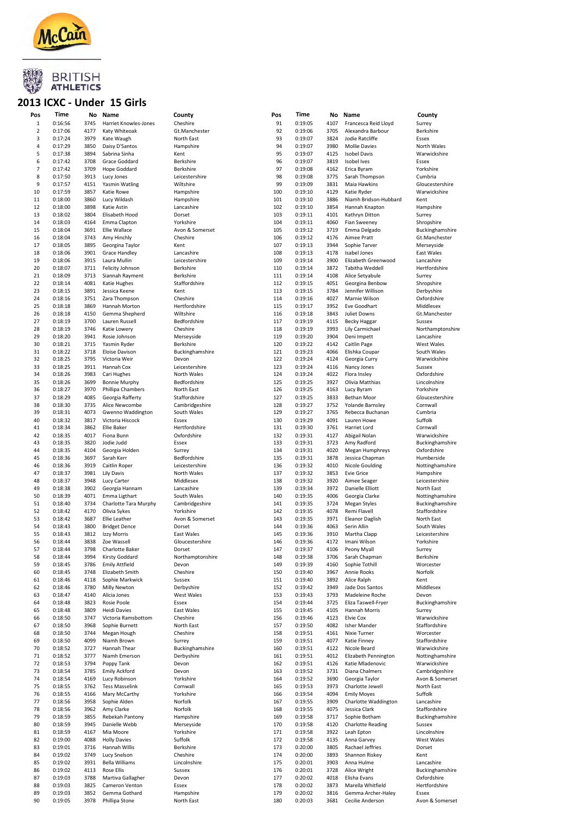

#### 2013 ICXC - Under 15 Girls

| Pos            | Time    | No   | Name                  | County            | Pos | Time    | No   | Name                     | County           |
|----------------|---------|------|-----------------------|-------------------|-----|---------|------|--------------------------|------------------|
| $\,1\,$        | 0:16:56 | 3745 | Harriet Knowles-Jones | Cheshire          | 91  | 0:19:05 | 4107 | Francesca Reid Lloyd     | Surrey           |
| $\overline{2}$ | 0:17:06 | 4177 | Katy Whiteoak         | Gt.Manchester     | 92  | 0:19:06 | 3705 | Alexandra Barbour        | Berkshire        |
| 3              |         |      |                       |                   | 93  |         |      |                          |                  |
|                | 0:17:24 | 3979 | Kate Waugh            | North East        |     | 0:19:07 | 3824 | Jodie Ratcliffe          | Essex            |
| 4              | 0:17:29 | 3850 | Daisy D'Santos        | Hampshire         | 94  | 0:19:07 | 3980 | <b>Mollie Davies</b>     | North Wales      |
| 5              | 0:17:38 | 3894 | Sabrina Sinha         | Kent              | 95  | 0:19:07 | 4125 | <b>Isobel Davis</b>      | Warwickshire     |
| 6              | 0:17:42 | 3708 | Grace Goddard         | Berkshire         | 96  | 0:19:07 | 3819 | Isobel Ives              | Essex            |
| $\overline{7}$ | 0:17:42 | 3709 | Hope Goddard          | Berkshire         | 97  | 0:19:08 | 4162 | Erica Byram              | Yorkshire        |
| 8              | 0:17:50 | 3913 | Lucy Jones            | Leicestershire    | 98  | 0:19:08 | 3775 | Sarah Thompson           | Cumbria          |
|                |         |      |                       |                   |     |         |      |                          |                  |
| 9              | 0:17:57 | 4151 | Yasmin Watling        | Wiltshire         | 99  | 0:19:09 | 3831 | Maia Hawkins             | Gloucestershire  |
| 10             | 0:17:59 | 3857 | Katie Rowe            | Hampshire         | 100 | 0:19:10 | 4129 | Katie Ryder              | Warwickshire     |
| 11             | 0:18:00 | 3860 | Lucy Wildash          | Hampshire         | 101 | 0:19:10 | 3886 | Niamh Bridson-Hubbard    | Kent             |
| 12             | 0:18:00 | 3898 | Katie Astin           | Lancashire        | 102 | 0:19:10 | 3854 | Hannah Knapton           | Hampshire        |
|                |         |      | Elisabeth Hood        |                   |     |         |      |                          |                  |
| 13             | 0:18:02 | 3804 |                       | Dorset            | 103 | 0:19:11 | 4101 | Kathryn Ditton           | Surrey           |
| 14             | 0:18:03 | 4164 | Emma Clapton          | Yorkshire         | 104 | 0:19:11 | 4060 | Fian Sweeney             | Shropshire       |
| 15             | 0:18:04 | 3691 | Ellie Wallace         | Avon & Somerset   | 105 | 0:19:12 | 3719 | Emma Delgado             | Buckinghamshire  |
| 16             | 0:18:04 | 3743 | Amy Hinchly           | Cheshire          | 106 | 0:19:12 | 4176 | Aimee Pratt              | Gt.Manchester    |
| 17             | 0:18:05 | 3895 | Georgina Taylor       | Kent              | 107 | 0:19:13 | 3944 | Sophie Tarver            | Merseyside       |
| 18             | 0:18:06 | 3901 | <b>Grace Handley</b>  | Lancashire        | 108 | 0:19:13 | 4178 | Isabel Jones             | East Wales       |
|                |         |      |                       |                   |     |         |      |                          |                  |
| 19             | 0:18:06 | 3915 | Laura Mullin          | Leicestershire    | 109 | 0:19:14 | 3900 | Elizabeth Greenwood      | Lancashire       |
| 20             | 0:18:07 | 3711 | Felicity Johnson      | Berkshire         | 110 | 0:19:14 | 3872 | Tabitha Weddell          | Hertfordshire    |
| 21             | 0:18:09 | 3713 | Siannah Rayment       | Berkshire         | 111 | 0:19:14 | 4108 | Alice Setyabule          | Surrey           |
| 22             | 0:18:14 | 4081 | Katie Hughes          | Staffordshire     | 112 | 0:19:15 | 4051 | Georgina Benbow          | Shropshire       |
| 23             | 0:18:15 | 3891 | Jessica Keene         | Kent              | 113 | 0:19:15 | 3784 | Jennifer Willison        | Derbyshire       |
|                |         |      |                       |                   |     |         |      |                          |                  |
| 24             | 0:18:16 | 3751 | Zara Thompson         | Cheshire          | 114 | 0:19:16 | 4027 | Marnie Wilson            | Oxfordshire      |
| 25             | 0:18:18 | 3869 | Hannah Morton         | Hertfordshire     | 115 | 0:19:17 | 3952 | Eve Goodhart             | Middlesex        |
| 26             | 0:18:18 | 4150 | Gemma Shepherd        | Wiltshire         | 116 | 0:19:18 | 3843 | <b>Juliet Downs</b>      | Gt.Manchester    |
| 27             | 0:18:19 | 3700 | Lauren Russell        | Bedfordshire      | 117 | 0:19:19 | 4115 | <b>Becky Haggar</b>      | Sussex           |
| 28             | 0:18:19 | 3746 | Katie Lowery          | Cheshire          | 118 | 0:19:19 | 3993 | Lily Carmichael          | Northamptonshire |
|                |         |      |                       |                   |     |         |      |                          |                  |
| 29             | 0:18:20 | 3941 | Rosie Johnson         | Merseyside        | 119 | 0:19:20 | 3904 | Deni Impett              | Lancashire       |
| 30             | 0:18:21 | 3715 | Yasmin Ryder          | Berkshire         | 120 | 0:19:22 | 4142 | Caitlin Page             | West Wales       |
| 31             | 0:18:22 | 3718 | <b>Eloise Davison</b> | Buckinghamshire   | 121 | 0:19:23 | 4066 | Elishka Coupar           | South Wales      |
| 32             | 0:18:25 | 3795 | Victoria Weir         | Devon             | 122 | 0:19:24 | 4124 | Georgia Curry            | Warwickshire     |
| 33             | 0:18:25 | 3911 | Hannah Cox            | Leicestershire    | 123 | 0:19:24 | 4116 | Nancy Jones              | Sussex           |
|                |         |      |                       |                   |     |         |      |                          |                  |
| 34             | 0:18:26 | 3983 | Cari Hughes           | North Wales       | 124 | 0:19:24 | 4022 | Flora Insley             | Oxfordshire      |
| 35             | 0:18:26 | 3699 | <b>Bonnie Murphy</b>  | Bedfordshire      | 125 | 0:19:25 | 3927 | Olivia Matthias          | Lincolnshire     |
| 36             | 0:18:27 | 3970 | Phillipa Chambers     | North East        | 126 | 0:19:25 | 4163 | Lucy Byram               | Yorkshire        |
| 37             | 0:18:29 | 4085 | Georgia Rafferty      | Staffordshire     | 127 | 0:19:25 | 3833 | <b>Bethan Moor</b>       | Gloucestershire  |
| 38             | 0:18:30 | 3735 | Alice Newcombe        | Cambridgeshire    | 128 | 0:19:27 | 3752 | Yolande Barnsley         | Cornwall         |
|                |         |      |                       |                   |     |         |      |                          |                  |
| 39             | 0:18:31 | 4073 | Gwenno Waddington     | South Wales       | 129 | 0:19:27 | 3765 | Rebecca Buchanan         | Cumbria          |
| 40             | 0:18:32 | 3817 | Victoria Hiscock      | Essex             | 130 | 0:19:29 | 4091 | Lauren Howe              | Suffolk          |
| 41             | 0:18:34 | 3862 | <b>Ellie Baker</b>    | Hertfordshire     | 131 | 0:19:30 | 3761 | Harriet Lord             | Cornwall         |
| 42             | 0:18:35 | 4017 | Fiona Bunn            | Oxfordshire       | 132 | 0:19:31 | 4127 | Abigail Nolan            | Warwickshire     |
| 43             | 0:18:35 | 3820 | Jodie Judd            | Essex             | 133 | 0:19:31 | 3723 |                          |                  |
|                |         |      |                       |                   |     |         |      | Amy Radford              | Buckinghamshire  |
| 44             | 0:18:35 | 4104 | Georgia Holden        | Surrey            | 134 | 0:19:31 | 4020 | Megan Humphreys          | Oxfordshire      |
| 45             | 0:18:36 | 3697 | Sarah Kerr            | Bedfordshire      | 135 | 0:19:31 | 3878 | Jessica Chapman          | Humberside       |
| 46             | 0:18:36 | 3919 | Caitlin Roper         | Leicestershire    | 136 | 0:19:32 | 4010 | Nicole Goulding          | Nottinghamshire  |
| 47             | 0:18:37 | 3981 | Lily Davis            | North Wales       | 137 | 0:19:32 | 3853 | <b>Evie Grice</b>        | Hampshire        |
| 48             | 0:18:37 | 3948 |                       | Middlesex         | 138 | 0:19:32 | 3920 | Aimee Seager             | Leicestershire   |
|                |         |      | Lucy Carter           |                   |     |         |      |                          |                  |
| 49             | 0:18:38 | 3902 | Georgia Hannam        | Lancashire        | 139 | 0:19:34 | 3972 | Danielle Elliott         | North East       |
| 50             | 0:18:39 | 4071 | Emma Ligthart         | South Wales       | 140 | 0:19:35 | 4006 | Georgia Clarke           | Nottinghamshire  |
| 51             | 0:18:40 | 3734 | Charlotte Tara Murphy | Cambridgeshire    | 141 | 0:19:35 | 3724 | <b>Megan Styles</b>      | Buckinghamshire  |
| 52             | 0:18:42 | 4170 | Olivia Sykes          | Yorkshire         | 142 | 0:19:35 | 4078 | Remi Flavell             | Staffordshire    |
|                |         | 3687 |                       | Avon & Somerset   | 143 | 0:19:35 |      |                          |                  |
| 53             | 0:18:42 |      | Ellie Leather         |                   |     |         | 3971 | <b>Eleanor Daglish</b>   | North East       |
| 54             | 0:18:43 | 3800 | <b>Bridget Dence</b>  | Dorset            | 144 | 0:19:36 | 4063 | Serin Allin              | South Wales      |
| 55             | 0:18:43 | 3812 | Izzy Morris           | <b>East Wales</b> | 145 | 0:19:36 | 3910 | Martha Clapp             | Leicestershire   |
| 56             | 0:18:44 | 3838 | Zoe Wassell           | Gloucestershire   | 146 | 0:19:36 | 4172 | Imani Wilson             | Yorkshire        |
| 57             | 0:18:44 | 3798 | Charlotte Baker       | Dorset            | 147 | 0:19:37 | 4106 | Peony Myall              | Surrey           |
|                |         |      |                       |                   |     |         |      | Sarah Chapman            | Berkshire        |
| 58             | 0:18:44 | 3994 | Kirsty Goddard        | Northamptonshire  | 148 | 0:19:38 | 3706 |                          |                  |
| 59             | 0:18:45 | 3786 | <b>Emily Attfield</b> | Devon             | 149 | 0:19:39 | 4160 | Sophie Tothill           | Worcester        |
| 60             | 0:18:45 | 3748 | Elizabeth Smith       | Cheshire          | 150 | 0:19:40 | 3967 | Annie Rooks              | Norfolk          |
| 61             | 0:18:46 | 4118 | Sophie Markwick       | Sussex            | 151 | 0:19:40 | 3892 | Alice Ralph              | Kent             |
| 62             | 0:18:46 | 3780 | Milly Newton          | Derbyshire        | 152 | 0:19:42 | 3949 | Jade Dos Santos          | Middlesex        |
|                |         |      |                       |                   |     |         |      |                          |                  |
| 63             | 0:18:47 | 4140 | Alicia Jones          | West Wales        | 153 | 0:19:43 | 3793 | Madeleine Roche          | Devon            |
| 64             | 0:18:48 | 3823 | Rosie Poole           | Essex             | 154 | 0:19:44 | 3725 | Eliza Taswell-Fryer      | Buckinghamshire  |
| 65             | 0:18:48 | 3809 | Heidi Davies          | East Wales        | 155 | 0:19:45 | 4105 | Hannah Morris            | Surrey           |
| 66             | 0:18:50 | 3747 | Victoria Ramsbottom   | Cheshire          | 156 | 0:19:46 | 4123 | <b>Elvie Cox</b>         | Warwickshire     |
| 67             | 0:18:50 | 3968 | Sophie Burnett        | North East        | 157 | 0:19:50 | 4082 | Isher Mander             | Staffordshire    |
| 68             | 0:18:50 | 3744 | Megan Hough           | Cheshire          | 158 | 0:19:51 | 4161 | Nixie Turner             | Worcester        |
| 69             | 0:18:50 | 4099 | Niamh Brown           | Surrey            | 159 | 0:19:51 | 4077 | Katie Finney             | Staffordshire    |
|                |         |      |                       |                   |     |         |      |                          |                  |
| 70             | 0:18:52 | 3727 | Hannah Thear          | Buckinghamshire   | 160 | 0:19:51 | 4122 | Nicole Beard             | Warwickshire     |
| 71             | 0:18:52 | 3777 | Niamh Emerson         | Derbyshire        | 161 | 0:19:51 | 4012 | Elizabeth Pennington     | Nottinghamshire  |
| 72             | 0:18:53 | 3794 | Poppy Tank            | Devon             | 162 | 0:19:51 | 4126 | Katie Mladenovic         | Warwickshire     |
| 73             | 0:18:54 | 3785 | <b>Emily Ackford</b>  | Devon             | 163 | 0:19:52 | 3731 | Diana Chalmers           | Cambridgeshire   |
|                |         |      |                       |                   |     |         |      |                          |                  |
| 74             | 0:18:54 | 4169 | Lucy Robinson         | Yorkshire         | 164 | 0:19:52 | 3690 | Georgia Taylor           | Avon & Somerset  |
| 75             | 0:18:55 | 3762 | <b>Tess Masselink</b> | Cornwall          | 165 | 0:19:53 | 3973 | Charlotte Jewell         | North East       |
| 76             | 0:18:55 | 4166 | Mary McCarthy         | Yorkshire         | 166 | 0:19:54 | 4094 | <b>Emily Moyes</b>       | Suffolk          |
| 77             | 0:18:56 | 3958 | Sophie Alden          | Norfolk           | 167 | 0:19:55 | 3909 | Charlotte Waddington     | Lancashire       |
| 78             | 0:18:56 | 3962 | Amy Clarke            | Norfolk           | 168 | 0:19:55 | 4075 | Jessica Clark            | Staffordshire    |
|                |         |      |                       |                   |     |         |      |                          |                  |
| 79             | 0:18:59 | 3855 | Rebekah Pantony       | Hampshire         | 169 | 0:19:58 | 3717 | Sophie Botham            | Buckinghamshire  |
| 80             | 0:18:59 | 3945 | Danielle Webb         | Merseyside        | 170 | 0:19:58 | 4120 | <b>Charlotte Reading</b> | Sussex           |
| 81             | 0:18:59 | 4167 | Mia Moore             | Yorkshire         | 171 | 0:19:58 | 3922 | Leah Epton               | Lincolnshire     |
| 82             | 0:19:00 | 4088 | <b>Holly Davies</b>   | Suffolk           | 172 | 0:19:58 | 4135 | Anna Garvey              | West Wales       |
| 83             | 0:19:01 | 3716 | Hannah Willis         | Berkshire         | 173 | 0:20:00 | 3805 | Rachael Jeffries         | Dorset           |
|                |         |      |                       |                   |     |         |      |                          |                  |
| 84             | 0:19:02 | 3749 | Lucy Snelson          | Cheshire          | 174 | 0:20:00 | 3893 | Shannon Riskey           | Kent             |
| 85             | 0:19:02 | 3931 | <b>Bella Williams</b> | Lincolnshire      | 175 | 0:20:01 | 3903 | Anna Hulme               | Lancashire       |
| 86             | 0:19:02 | 4113 | Rose Ellis            | Sussex            | 176 | 0:20:01 | 3728 | Alice Wright             | Buckinghamshire  |
| 87             | 0:19:03 | 3788 | Martiva Gallagher     | Devon             | 177 | 0:20:02 | 4018 | Elisha Evans             | Oxfordshire      |
| 88             | 0:19:03 | 3825 | Cameron Venton        | Essex             | 178 | 0:20:02 | 3873 | Marella Whitfield        | Hertfordshire    |
| 89             | 0:19:03 | 3852 | Gemma Gothard         |                   | 179 |         | 3816 |                          | Essex            |
|                |         |      |                       | Hampshire         |     | 0:20:02 |      | Gemma Archer-Haley       |                  |
| 90             | 0:19:05 | 3978 | Phillipa Stone        | North East        | 180 | 0:20:03 | 3681 | Cecilie Anderson         | Avon & Somerset  |
|                |         |      |                       |                   |     |         |      |                          |                  |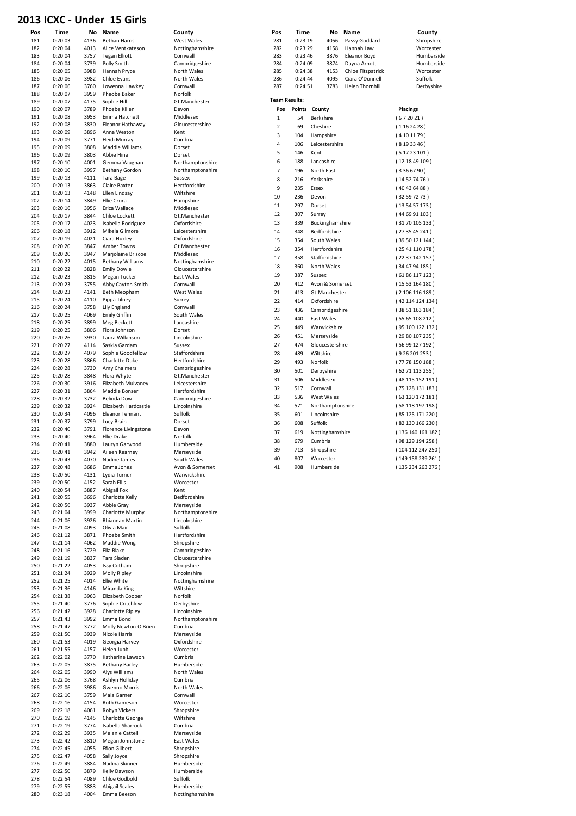#### 2013 ICXC - Under 15 Girls

|            |                    |              | 2013 ICXC - Under 15 Girls                    |                                  |                      |                    |                              |                                     |                                    |
|------------|--------------------|--------------|-----------------------------------------------|----------------------------------|----------------------|--------------------|------------------------------|-------------------------------------|------------------------------------|
| Pos        | <b>Time</b>        |              | No Name                                       | County                           | Pos                  | Time               | No                           | Name                                | County                             |
| 181        | 0:20:03            | 4136         | <b>Bethan Harris</b>                          | West Wales                       | 281                  | 0:23:19            | 4056                         | Passy Goddard                       | Shropshire                         |
| 182        | 0:20:04            | 4013         | Alice Ventkateson                             | Nottinghamshire                  | 282                  | 0:23:29            | 4158                         | Hannah Law                          | Worcester                          |
| 183<br>184 | 0:20:04<br>0:20:04 | 3757<br>3739 | <b>Tegan Elliott</b><br>Polly Smith           | Cornwall<br>Cambridgeshire       | 283<br>284           | 0:23:46<br>0:24:09 | 3876<br>3874                 | <b>Eleanor Boyd</b><br>Dayna Arnott | Humberside<br>Humberside           |
| 185        | 0:20:05            | 3988         | Hannah Pryce                                  | North Wales                      | 285                  | 0:24:38            | 4153                         | Chloe Fitzpatrick                   | Worcester                          |
| 186        | 0:20:06            | 3982         | Chloe Evans                                   | North Wales                      | 286                  | 0:24:44            | 4095                         | Ciara O'Donnell                     | Suffolk                            |
| 187        | 0:20:06            | 3760         | Lowenna Hawkey                                | Cornwall                         | 287                  | 0:24:51            | 3783                         | <b>Helen Thornhill</b>              | Derbyshire                         |
| 188<br>189 | 0:20:07<br>0:20:07 | 3959<br>4175 | Pheobe Baker<br>Sophie Hill                   | Norfolk<br>Gt.Manchester         | <b>Team Results:</b> |                    |                              |                                     |                                    |
| 190        | 0:20:07            | 3789         | Phoebe Killen                                 | Devon                            | Pos                  | Points County      |                              |                                     | <b>Placings</b>                    |
| 191        | 0:20:08            | 3953         | Emma Hatchett                                 | Middlesex                        | $\,1\,$              | 54                 | Berkshire                    |                                     | (672021)                           |
| 192        | 0:20:08            | 3830         | Eleanor Hathaway                              | Gloucestershire                  | $\overline{2}$       | 69                 | Cheshire                     |                                     | (1162428)                          |
| 193<br>194 | 0:20:09            | 3896         | Anna Weston                                   | Kent                             | 3                    | 104                | Hampshire                    |                                     | (4101179)                          |
| 195        | 0:20:09<br>0:20:09 | 3771<br>3808 | Heidi Murray<br>Maddie Williams               | Cumbria<br>Dorset                | 4                    | 106                | Leicestershire               |                                     | (8193346)                          |
| 196        | 0:20:09            | 3803         | Abbie Hine                                    | Dorset                           | 5                    | 146                | Kent                         |                                     | (51723101)                         |
| 197        | 0:20:10            | 4001         | Gemma Vaughan                                 | Northamptonshire                 | 6                    | 188                | Lancashire                   |                                     | (121849109)                        |
| 198        | 0:20:10            | 3997         | <b>Bethany Gordon</b>                         | Northamptonshire                 | 7                    | 196                | North East                   |                                     | (3366790)                          |
| 199<br>200 | 0:20:13<br>0:20:13 | 4111<br>3863 | Tara Bage<br>Claire Baxter                    | Sussex<br>Hertfordshire          | 8                    | 216                | Yorkshire                    |                                     | (14527476)                         |
| 201        | 0:20:13            | 4148         | Ellen Lindsay                                 | Wiltshire                        | 9<br>10              | 235                | Essex                        |                                     | (40436488)                         |
| 202        | 0:20:14            | 3849         | Ellie Czura                                   | Hampshire                        | 11                   | 236<br>297         | Devon<br>Dorset              |                                     | (32597273)<br>(135457173)          |
| 203        | 0:20:16            | 3956         | Erica Wallace                                 | Middlesex                        | 12                   | 307                | Surrey                       |                                     | (446991103)                        |
| 204<br>205 | 0:20:17<br>0:20:17 | 3844<br>4023 | Chloe Lockett<br>Isabella Rodriguez           | Gt.Manchester<br>Oxfordshire     | 13                   | 339                | Buckinghamshire              |                                     | (3170105133)                       |
| 206        | 0:20:18            | 3912         | Mikela Gilmore                                | Leicestershire                   | 14                   | 348                | Bedfordshire                 |                                     | (273545241)                        |
| 207        | 0:20:19            | 4021         | Ciara Huxley                                  | Oxfordshire                      | 15                   | 354                | South Wales                  |                                     | (39 50 121 144)                    |
| 208        | 0:20:20            | 3847         | Amber Towns                                   | Gt.Manchester                    | 16                   | 354                | Hertfordshire                |                                     | (2541110178)                       |
| 209<br>210 | 0:20:20<br>0:20:22 | 3947<br>4015 | Marjolaine Briscoe<br><b>Bethany Williams</b> | Middlesex<br>Nottinghamshire     | 17                   | 358                | Staffordshire                |                                     | (2237142157)                       |
| 211        | 0:20:22            | 3828         | <b>Emily Dowle</b>                            | Gloucestershire                  | 18                   | 360                | North Wales                  |                                     | (344794185)                        |
| 212        | 0:20:23            | 3815         | Megan Tucker                                  | East Wales                       | 19                   | 387                | Sussex                       |                                     | (6186117123)                       |
| 213        | 0:20:23            | 3755         | Abby Cayton-Smith                             | Cornwall                         | 20                   | 412                | Avon & Somerset              |                                     | (1553164180)                       |
| 214<br>215 | 0:20:23<br>0:20:24 | 4141<br>4110 | Beth Meopham<br>Pippa Tilney                  | West Wales<br>Surrey             | 21                   | 413                | Gt.Manchester                |                                     | (2106116189)                       |
| 216        | 0:20:24            | 3758         | Lily England                                  | Cornwall                         | 22                   | 414                | Oxfordshire                  |                                     | (42 114 124 134)                   |
| 217        | 0:20:25            | 4069         | <b>Emily Griffin</b>                          | South Wales                      | 23<br>24             | 436<br>440         | Cambridgeshire<br>East Wales |                                     | (3851163184)<br>(5565108212)       |
| 218        | 0:20:25            | 3899         | Meg Beckett                                   | Lancashire                       | 25                   | 449                | Warwickshire                 |                                     | (95 100 122 132)                   |
| 219        | 0:20:25            | 3806         | Flora Johnson                                 | Dorset                           | 26                   | 451                | Merseyside                   |                                     | (2980107235)                       |
| 220<br>221 | 0:20:26<br>0:20:27 | 3930<br>4114 | Laura Wilkinson<br>Saskia Gardam              | Lincolnshire<br>Sussex           | 27                   | 474                | Gloucestershire              |                                     | (56 99 127 192)                    |
| 222        | 0:20:27            | 4079         | Sophie Goodfellow                             | Staffordshire                    | 28                   | 489                | Wiltshire                    |                                     | (926201253)                        |
| 223        | 0:20:28            | 3866         | Charlotte Duke                                | Hertfordshire                    | 29                   | 493                | Norfolk                      |                                     | (7778150188)                       |
| 224        | 0:20:28            | 3730         | Amy Chalmers                                  | Cambridgeshire                   | 30                   | 501                | Derbyshire                   |                                     | (6271113255)                       |
| 225<br>226 | 0:20:28<br>0:20:30 | 3848<br>3916 | Flora Whyte<br>Elizabeth Mulvaney             | Gt.Manchester<br>Leicestershire  | 31                   | 506                | Middlesex                    |                                     | (48 115 152 191)                   |
| 227        | 0:20:31            | 3864         | Maddie Bonser                                 | Hertfordshire                    | 32                   | 517                | Cornwall                     |                                     | (75128131183)                      |
| 228        | 0:20:32            | 3732         | <b>Belinda Dow</b>                            | Cambridgeshire                   | 33                   | 536                | West Wales                   |                                     | (63120172181)                      |
| 229        | 0:20:32            | 3924         | Elizabeth Hardcastle                          | Lincolnshire                     | 34                   | 571                | Northamptonshire             |                                     | (58 118 197 198)                   |
| 230<br>231 | 0:20:34<br>0:20:37 | 4096<br>3799 | <b>Eleanor Tennant</b><br>Lucy Brain          | Suffolk<br>Dorset                | 35                   | 601                | Lincolnshire                 |                                     | (85 125 171 220)                   |
| 232        | 0:20:40            | 3791         | Florence Livingstone                          | Devon                            | 36                   | 608                | Suffolk                      |                                     | (82130166230)                      |
| 233        | 0:20:40            | 3964         | Ellie Drake                                   | Norfolk                          | 37<br>38             | 619<br>679         | Nottinghamshire<br>Cumbria   |                                     | (136140161182)<br>(98 129 194 258) |
| 234        | 0:20:41            | 3880         | Lauryn Garwood                                | Humberside                       | 39                   | 713                | Shropshire                   |                                     | (104 112 247 250)                  |
| 235<br>236 | 0:20:41<br>0:20:43 | 3942<br>4070 | Aileen Kearney<br>Nadine James                | ivierseyside<br>South Wales      | 40                   | 807                | Worcester                    |                                     | (149 158 239 261)                  |
| 237        | 0:20:48            | 3686         | Emma Jones                                    | Avon & Somerset                  | 41                   | 908                | Humberside                   |                                     | (135 234 263 276)                  |
| 238        | 0:20:50            | 4131         | Lydia Turner                                  | Warwickshire                     |                      |                    |                              |                                     |                                    |
| 239        | 0:20:50            | 4152         | Sarah Ellis                                   | Worcester                        |                      |                    |                              |                                     |                                    |
| 240<br>241 | 0:20:54<br>0:20:55 | 3887<br>3696 | Abigail Fox<br>Charlotte Kelly                | Kent<br>Bedfordshire             |                      |                    |                              |                                     |                                    |
| 242        | 0:20:56            | 3937         | Abbie Gray                                    | Merseyside                       |                      |                    |                              |                                     |                                    |
| 243        | 0:21:04            | 3999         | Charlotte Murphy                              | Northamptonshire                 |                      |                    |                              |                                     |                                    |
| 244        | 0:21:06            | 3926         | Rhiannan Martin                               | Lincolnshire                     |                      |                    |                              |                                     |                                    |
| 245        | 0:21:08            | 4093         | Olivia Mair<br>Phoebe Smith                   | Suffolk<br>Hertfordshire         |                      |                    |                              |                                     |                                    |
| 246<br>247 | 0:21:12<br>0:21:14 | 3871<br>4062 | Maddie Wong                                   | Shropshire                       |                      |                    |                              |                                     |                                    |
| 248        | 0:21:16            | 3729         | Ella Blake                                    | Cambridgeshire                   |                      |                    |                              |                                     |                                    |
| 249        | 0:21:19            | 3837         | Tara Sladen                                   | Gloucestershire                  |                      |                    |                              |                                     |                                    |
| 250        | 0:21:22            | 4053         | <b>Issy Cotham</b>                            | Shropshire                       |                      |                    |                              |                                     |                                    |
| 251<br>252 | 0:21:24<br>0:21:25 | 3929<br>4014 | Molly Ripley<br>Ellie White                   | Lincolnshire<br>Nottinghamshire  |                      |                    |                              |                                     |                                    |
| 253        | 0:21:36            | 4146         | Miranda King                                  | Wiltshire                        |                      |                    |                              |                                     |                                    |
| 254        | 0:21:38            | 3963         | Elizabeth Cooper                              | Norfolk                          |                      |                    |                              |                                     |                                    |
| 255        | 0:21:40            | 3776         | Sophie Critchlow                              | Derbyshire                       |                      |                    |                              |                                     |                                    |
| 256<br>257 | 0:21:42<br>0:21:43 | 3928<br>3992 | Charlotte Ripley<br>Emma Bond                 | Lincolnshire<br>Northamptonshire |                      |                    |                              |                                     |                                    |
| 258        | 0:21:47            | 3772         | Molly Newton-O'Brien                          | Cumbria                          |                      |                    |                              |                                     |                                    |
| 259        | 0:21:50            | 3939         | Nicole Harris                                 | Merseyside                       |                      |                    |                              |                                     |                                    |
| 260        | 0:21:53            | 4019         | Georgia Harvey                                | Oxfordshire                      |                      |                    |                              |                                     |                                    |
| 261<br>262 | 0:21:55<br>0:22:02 | 4157<br>3770 | Helen Jubb<br>Katherine Lawson                | Worcester<br>Cumbria             |                      |                    |                              |                                     |                                    |
| 263        | 0:22:05            | 3875         | <b>Bethany Barley</b>                         | Humberside                       |                      |                    |                              |                                     |                                    |
| 264        | 0:22:05            | 3990         | Alys Williams                                 | North Wales                      |                      |                    |                              |                                     |                                    |
| 265        | 0:22:06            | 3768         | Ashlyn Holliday                               | Cumbria                          |                      |                    |                              |                                     |                                    |
| 266        | 0:22:06            | 3986         | <b>Gwenno Morris</b>                          | North Wales                      |                      |                    |                              |                                     |                                    |
| 267<br>268 | 0:22:10<br>0:22:16 | 3759<br>4154 | Maia Garner<br>Ruth Gameson                   | Cornwall<br>Worcester            |                      |                    |                              |                                     |                                    |
| 269        | 0:22:18            | 4061         | Robyn Vickers                                 | Shropshire                       |                      |                    |                              |                                     |                                    |
| 270        | 0:22:19            | 4145         | Charlotte George                              | Wiltshire                        |                      |                    |                              |                                     |                                    |
| 271        | 0:22:19            | 3774         | Isabella Sharrock                             | Cumbria                          |                      |                    |                              |                                     |                                    |
| 272<br>273 | 0:22:29<br>0:22:42 | 3935<br>3810 | <b>Melanie Cattell</b><br>Megan Johnstone     | Merseyside<br>East Wales         |                      |                    |                              |                                     |                                    |
| 274        | 0:22:45            | 4055         | <b>Ffion Gilbert</b>                          | Shropshire                       |                      |                    |                              |                                     |                                    |
| 275        | 0:22:47            | 4058         | Sally Joyce                                   | Shropshire                       |                      |                    |                              |                                     |                                    |
| 276        | 0:22:49            | 3884         | Nadina Skinner                                | Humberside                       |                      |                    |                              |                                     |                                    |
| 277<br>278 | 0:22:50<br>0:22:54 | 3879<br>4089 | Kelly Dawson<br>Chloe Godbold                 | Humberside<br>Suffolk            |                      |                    |                              |                                     |                                    |
| 279        | 0:22:55            | 3883         | <b>Abigail Scales</b>                         | Humberside                       |                      |                    |                              |                                     |                                    |
| 280        | 0:23:18            | 4004         | Emma Beeson                                   | Nottinghamshire                  |                      |                    |                              |                                     |                                    |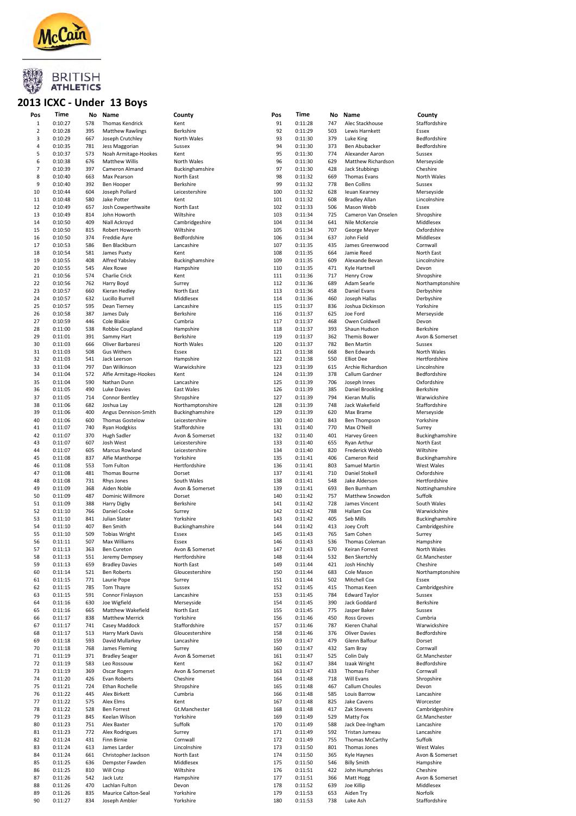

#### 2013 ICXC - Under 13 Boys

| Pos            | Time    | No  | Name                    | County           | Pos | Time    | No  | Name                  | County           |
|----------------|---------|-----|-------------------------|------------------|-----|---------|-----|-----------------------|------------------|
| $\,1\,$        | 0:10:27 | 578 | Thomas Kendrick         | Kent             | 91  | 0:11:28 | 747 | Alec Stackhouse       | Staffordshire    |
| $\overline{2}$ | 0:10:28 | 395 | <b>Matthew Rawlings</b> | Berkshire        | 92  | 0:11:29 | 503 | Lewis Harnkett        | Essex            |
| 3              | 0:10:29 | 667 | Joseph Crutchley        | North Wales      | 93  | 0:11:30 | 379 | Luke King             | Bedfordshire     |
| 4              | 0:10:35 | 781 | Jess Maggorian          | Sussex           | 94  | 0:11:30 | 373 | Ben Abubacker         | Bedfordshire     |
| 5              | 0:10:37 | 573 | Noah Armitage-Hookes    | Kent             | 95  | 0:11:30 | 774 | Alexander Aaron       | Sussex           |
| 6              | 0:10:38 | 676 | <b>Matthew Willis</b>   | North Wales      | 96  | 0:11:30 | 629 | Matthew Richardson    | Merseyside       |
| $\overline{7}$ | 0:10:39 | 397 | Cameron Almand          | Buckinghamshire  | 97  | 0:11:30 | 428 | <b>Jack Stubbings</b> | Cheshire         |
| 8              | 0:10:40 | 663 | Max Pearson             | North East       | 98  | 0:11:32 | 669 | Thomas Evans          | North Wales      |
|                |         |     |                         |                  |     |         |     |                       |                  |
| 9              | 0:10:40 | 392 | Ben Hooper              | Berkshire        | 99  | 0:11:32 | 778 | <b>Ben Collins</b>    | Sussex           |
| 10             | 0:10:44 | 604 | Joseph Pollard          | Leicestershire   | 100 | 0:11:32 | 628 | Ieuan Kearney         | Merseyside       |
| 11             | 0:10:48 | 580 | Jake Potter             | Kent             | 101 | 0:11:32 | 608 | <b>Bradley Allan</b>  | Lincolnshire     |
| 12             | 0:10:49 | 657 | Josh Cowperthwaite      | North East       | 102 | 0:11:33 | 506 | Mason Webb            | Essex            |
| 13             | 0:10:49 | 814 | John Howorth            | Wiltshire        | 103 | 0:11:34 | 725 | Cameron Van Onselen   | Shropshire       |
| 14             | 0:10:50 | 409 | Niall Ackroyd           | Cambridgeshire   | 104 | 0:11:34 | 641 | Nile McKenzie         | Middlesex        |
| 15             | 0:10:50 | 815 | Robert Howorth          | Wiltshire        | 105 | 0:11:34 | 707 | George Meyer          | Oxfordshire      |
| 16             | 0:10:50 | 374 | Freddie Ayre            | Bedfordshire     | 106 | 0:11:34 | 637 | John Field            | Middlesex        |
| 17             | 0:10:53 | 586 | Ben Blackburn           | Lancashire       | 107 | 0:11:35 | 435 | James Greenwood       | Cornwall         |
| 18             | 0:10:54 | 581 | James Puxty             | Kent             | 108 | 0:11:35 | 664 | Jamie Reed            | North East       |
| 19             | 0:10:55 | 408 | Alfred Yabsley          | Buckinghamshire  | 109 | 0:11:35 | 609 | Alexande Bevan        | Lincolnshire     |
| 20             | 0:10:55 | 545 | Alex Rowe               | Hampshire        | 110 | 0:11:35 | 471 | Kyle Hartnell         | Devon            |
| 21             | 0:10:56 | 574 | Charlie Crick           | Kent             | 111 | 0:11:36 | 717 | <b>Henry Crow</b>     | Shropshire       |
| 22             | 0:10:56 | 762 | Harry Boyd              | Surrey           | 112 | 0:11:36 | 689 | Adam Searle           | Northamptonshire |
| 23             | 0:10:57 | 660 | Kieran Hedley           | North East       | 113 | 0:11:36 | 458 | Daniel Evans          | Derbyshire       |
| 24             | 0:10:57 | 632 | Lucillo Burrell         | Middlesex        | 114 | 0:11:36 | 460 | Joseph Hallas         | Derbyshire       |
| 25             | 0:10:57 | 595 | Dean Tierney            | Lancashire       | 115 | 0:11:37 | 836 | Joshua Dickinson      | Yorkshire        |
| 26             | 0:10:58 | 387 | James Daly              | Berkshire        | 116 | 0:11:37 | 625 | Joe Ford              | Merseyside       |
| 27             | 0:10:59 | 446 | Cole Blaikie            | Cumbria          | 117 | 0:11:37 | 468 | Owen Coldwell         | Devon            |
| 28             | 0:11:00 | 538 | Robbie Coupland         | Hampshire        | 118 | 0:11:37 | 393 | Shaun Hudson          | Berkshire        |
| 29             | 0:11:01 | 391 | Sammy Hart              | Berkshire        | 119 | 0:11:37 | 362 | Themis Bower          | Avon & Somerset  |
|                |         |     |                         |                  |     |         |     |                       |                  |
| 30             | 0:11:03 | 666 | Oliver Barbaresi        | North Wales      | 120 | 0:11:37 | 782 | <b>Ben Martin</b>     | Sussex           |
| 31             | 0:11:03 | 508 | <b>Gus Withers</b>      | Essex            | 121 | 0:11:38 | 668 | Ben Edwards           | North Wales      |
| 32             | 0:11:03 | 541 | Jack Leerson            | Hampshire        | 122 | 0:11:38 | 550 | <b>Elliot Dee</b>     | Hertfordshire    |
| 33             | 0:11:04 | 797 | Dan Wilkinson           | Warwickshire     | 123 | 0:11:39 | 615 | Archie Richardson     | Lincolnshire     |
| 34             | 0:11:04 | 572 | Alfie Armitage-Hookes   | Kent             | 124 | 0:11:39 | 378 | Callum Gardner        | Bedfordshire     |
| 35             | 0:11:04 | 590 | Nathan Dunn             | Lancashire       | 125 | 0:11:39 | 706 | Joseph Innes          | Oxfordshire      |
| 36             | 0:11:05 | 490 | <b>Luke Davies</b>      | East Wales       | 126 | 0:11:39 | 385 | Daniel Brookling      | Berkshire        |
| 37             | 0:11:05 | 714 | Connor Bentley          | Shropshire       | 127 | 0:11:39 | 794 | Kieran Mullis         | Warwickshire     |
| 38             | 0:11:06 | 682 | Joshua Lay              | Northamptonshire | 128 | 0:11:39 | 748 | Jack Wakefield        | Staffordshire    |
| 39             | 0:11:06 | 400 | Angus Dennison-Smith    | Buckinghamshire  | 129 | 0:11:39 | 620 | Max Brame             | Merseyside       |
| 40             | 0:11:06 | 600 | <b>Thomas Gostelow</b>  | Leicestershire   | 130 | 0:11:40 | 843 | Ben Thompson          | Yorkshire        |
| 41             | 0:11:07 | 740 | <b>Ryan Hodgkiss</b>    | Staffordshire    | 131 | 0:11:40 | 770 | Max O'Neill           | Surrey           |
| 42             | 0:11:07 | 370 | Hugh Sadler             | Avon & Somerset  | 132 | 0:11:40 | 401 | Harvey Green          | Buckinghamshire  |
| 43             | 0:11:07 | 607 | Josh West               | Leicestershire   | 133 | 0:11:40 | 655 | Ryan Arthur           | North East       |
| 44             | 0:11:07 | 605 | Marcus Rowland          | Leicestershire   | 134 | 0:11:40 | 820 | Frederick Webb        | Wiltshire        |
| 45             | 0:11:08 | 837 | Alfie Manthorpe         | Yorkshire        | 135 | 0:11:41 | 406 | Cameron Reid          | Buckinghamshire  |
| 46             | 0:11:08 | 553 | Tom Fulton              | Hertfordshire    | 136 | 0:11:41 | 803 | Samuel Martin         | West Wales       |
| 47             | 0:11:08 | 481 | Thomas Bourne           | Dorset           | 137 | 0:11:41 | 710 | Daniel Stokell        | Oxfordshire      |
| 48             | 0:11:08 | 731 | Rhys Jones              | South Wales      | 138 | 0:11:41 | 548 | Jake Alderson         | Hertfordshire    |
| 49             | 0:11:09 | 368 | Aiden Noble             | Avon & Somerset  | 139 | 0:11:41 | 693 | Ben Burnham           | Nottinghamshire  |
| 50             | 0:11:09 | 487 | Dominic Willmore        | Dorset           | 140 | 0:11:42 | 757 | Matthew Snowdon       | Suffolk          |
| 51             | 0:11:09 | 388 |                         |                  | 141 | 0:11:42 | 728 | James Vincent         | South Wales      |
|                |         |     | <b>Harry Digby</b>      | Berkshire        |     |         |     |                       |                  |
| 52             | 0:11:10 | 766 | Daniel Cooke            | Surrey           | 142 | 0:11:42 | 788 | Hallam Cox            | Warwickshire     |
| 53             | 0:11:10 | 841 | Julian Slater           | Yorkshire        | 143 | 0:11:42 | 405 | Seb Mills             | Buckinghamshire  |
| 54             | 0:11:10 | 407 | Ben Smith               | Buckinghamshire  | 144 | 0:11:42 | 413 | Joey Croft            | Cambridgeshire   |
| 55             | 0:11:10 | 509 | <b>Tobias Wright</b>    | Essex            | 145 | 0:11:43 | 765 | Sam Cohen             | Surrey           |
| 56             | 0:11:11 | 507 | Max Williams            | Essex            | 146 | 0:11:43 | 536 | <b>Thomas Coleman</b> | Hampshire        |
| 57             | 0:11:13 | 363 | <b>Ben Cureton</b>      | Avon & Somerset  | 147 | 0:11:43 | 670 | Keiran Forrest        | North Wales      |
| 58             | 0:11:13 | 551 | Jeremy Dempsey          | Hertfordshire    | 148 | 0:11:44 | 532 | <b>Ben Skertchly</b>  | Gt.Manchester    |
| 59             | 0:11:13 | 659 | <b>Bradley Davies</b>   | North East       | 149 | 0:11:44 | 421 | Josh Hinchly          | Cheshire         |
| 60             | 0:11:14 | 521 | <b>Ben Roberts</b>      | Gloucestershire  | 150 | 0:11:44 | 683 | Cole Mason            | Northamptonshire |
| 61             | 0:11:15 | 771 | Laurie Pope             | Surrey           | 151 | 0:11:44 | 502 | Mitchell Cox          | Essex            |
| 62             | 0:11:15 | 785 | Tom Thayre              | Sussex           | 152 | 0:11:45 | 415 | Thomas Keen           | Cambridgeshire   |
| 63             | 0:11:15 | 591 | Connor Finlayson        | Lancashire       | 153 | 0:11:45 | 784 | <b>Edward Taylor</b>  | Sussex           |
| 64             | 0:11:16 | 630 | Joe Wigfield            | Merseyside       | 154 | 0:11:45 | 390 | Jack Goddard          | Berkshire        |
| 65             | 0:11:16 | 665 | Matthew Wakefield       | North East       | 155 | 0:11:45 | 775 | Jasper Baker          | Sussex           |
| 66             | 0:11:17 | 838 | <b>Matthew Merrick</b>  | Yorkshire        | 156 | 0:11:46 | 450 | Ross Groves           | Cumbria          |
| 67             | 0:11:17 | 741 | Casey Maddock           | Staffordshire    | 157 | 0:11:46 | 787 | Kieren Chahal         | Warwickshire     |
| 68             | 0:11:17 | 513 | Harry Mark Davis        | Gloucestershire  | 158 | 0:11:46 | 376 | <b>Oliver Davies</b>  | Bedfordshire     |
| 69             | 0:11:18 | 593 | David Mullarkey         | Lancashire       | 159 | 0:11:47 | 479 | Glenn Balfour         | Dorset           |
| 70             | 0:11:18 | 768 | James Fleming           | Surrey           | 160 | 0:11:47 | 432 | Sam Bray              | Cornwall         |
| 71             | 0:11:19 | 371 | <b>Bradley Seager</b>   | Avon & Somerset  | 161 | 0:11:47 | 525 | Colin Daly            | Gt.Manchester    |
| 72             | 0:11:19 | 583 | Leo Rossouw             | Kent             | 162 | 0:11:47 | 384 | Izaak Wright          | Bedfordshire     |
| 73             | 0:11:19 | 369 | Oscar Rogers            | Avon & Somerset  | 163 | 0:11:47 | 433 | Thomas Fisher         | Cornwall         |
| 74             | 0:11:20 | 426 | Evan Roberts            | Cheshire         | 164 | 0:11:48 | 718 | Will Evans            | Shropshire       |
| 75             | 0:11:21 | 724 | Ethan Rochelle          | Shropshire       | 165 | 0:11:48 | 467 | Callum Choules        | Devon            |
|                |         |     |                         |                  |     |         |     |                       |                  |
| 76             | 0:11:22 | 445 | Alex Birkett            | Cumbria          | 166 | 0:11:48 | 585 | Louis Barrow          | Lancashire       |
| 77             | 0:11:22 | 575 | Alex Elms               | Kent             | 167 | 0:11:48 | 825 | Jake Cavens           | Worcester        |
| 78             | 0:11:22 | 528 | <b>Ben Forrest</b>      | Gt.Manchester    | 168 | 0:11:48 | 417 | Zak Stevens           | Cambridgeshire   |
| 79             | 0:11:23 | 845 | Keelan Wilson           | Yorkshire        | 169 | 0:11:49 | 529 | Matty Fox             | Gt.Manchester    |
| 80             | 0:11:23 | 751 | Alex Baxter             | Suffolk          | 170 | 0:11:49 | 588 | Jack Dee-Ingham       | Lancashire       |
| 81             | 0:11:23 | 772 | Alex Rodrigues          | Surrey           | 171 | 0:11:49 | 592 | Tristan Jumeau        | Lancashire       |
| 82             | 0:11:24 | 431 | Finn Birnie             | Cornwall         | 172 | 0:11:49 | 755 | Thomas McCarthy       | Suffolk          |
| 83             | 0:11:24 | 613 | James Larder            | Lincolnshire     | 173 | 0:11:50 | 801 | Thomas Jones          | West Wales       |
| 84             | 0:11:24 | 661 | Christopher Jackson     | North East       | 174 | 0:11:50 | 365 | Kyle Haynes           | Avon & Somerset  |
| 85             | 0:11:25 | 636 | Dempster Fawden         | Middlesex        | 175 | 0:11:50 | 546 | <b>Billy Smith</b>    | Hampshire        |
| 86             | 0:11:25 | 810 | Will Crisp              | Wiltshire        | 176 | 0:11:51 | 422 | John Humphries        | Cheshire         |
| 87             | 0:11:26 | 542 | Jack Lutz               | Hampshire        | 177 | 0:11:51 | 366 | Matt Hogg             | Avon & Somerset  |
| 88             | 0:11:26 | 470 | Lachlan Fulton          | Devon            | 178 | 0:11:52 | 639 | Joe Killip            | Middlesex        |
| 89             | 0:11:26 | 835 | Maurice Calton-Seal     | Yorkshire        | 179 | 0:11:53 | 653 | Aiden Try             | Norfolk          |
| 90             | 0:11:27 | 834 | Joseph Ambler           | Yorkshire        | 180 | 0:11:53 | 738 | Luke Ash              | Staffordshire    |
|                |         |     |                         |                  |     |         |     |                       |                  |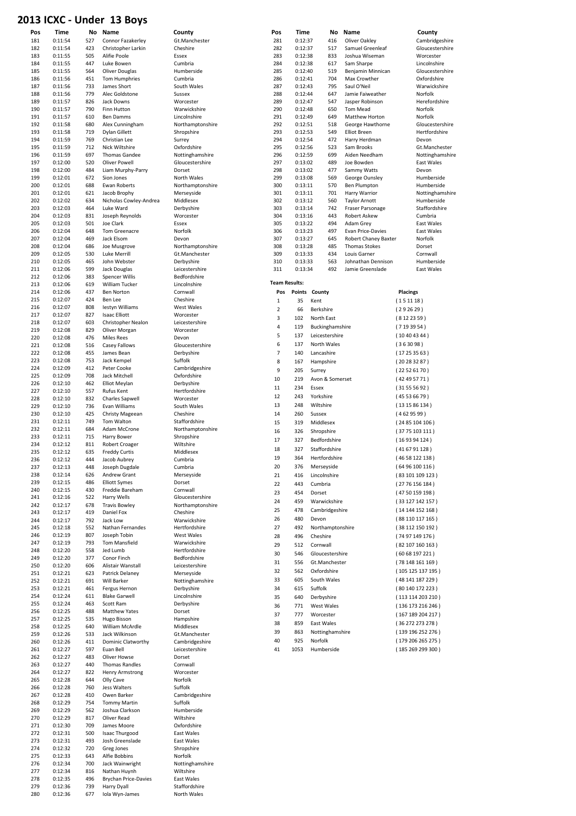#### 2013 ICXC - Under 13 Boys

| כבטג | ינגר    | - Uliuci | כּפְטַט כּב                 |                  |                |                      |         |                  |                             |                 |                   |
|------|---------|----------|-----------------------------|------------------|----------------|----------------------|---------|------------------|-----------------------------|-----------------|-------------------|
| Pos  | Time    |          | No Name                     | County           | Pos            |                      | Time    | No               | Name                        |                 | County            |
| 181  | 0:11:54 | 527      | Connor Fazakerley           | Gt.Manchester    | 281            |                      | 0:12:37 | 416              | Oliver Oakley               |                 | Cambridgeshire    |
| 182  | 0:11:54 | 423      | Christopher Larkin          | Cheshire         | 282            |                      | 0:12:37 | 517              | Samuel Greenleaf            |                 | Gloucestershire   |
| 183  | 0:11:55 | 505      | Alifie Poole                | Essex            | 283            |                      | 0:12:38 | 833              | Joshua Wiseman              |                 | Worcester         |
| 184  | 0:11:55 | 447      | Luke Bowen                  | Cumbria          | 284            |                      | 0:12:38 | 617              | Sam Sharpe                  |                 | Lincolnshire      |
| 185  | 0:11:55 | 564      | Oliver Douglas              | Humberside       | 285            |                      | 0:12:40 | 519              | Benjamin Minnican           |                 | Gloucestershire   |
| 186  | 0:11:56 | 451      | <b>Tom Humphries</b>        | Cumbria          | 286            |                      | 0:12:41 | 704              | Max Crowther                |                 | Oxfordshire       |
| 187  | 0:11:56 | 733      | James Short                 | South Wales      | 287            |                      | 0:12:43 | 795              | Saul O'Neil                 |                 | Warwickshire      |
| 188  | 0:11:56 | 779      | Alec Goldstone              | Sussex           | 288            |                      | 0:12:44 | 647              | Jamie Faiweather            |                 | Norfolk           |
| 189  | 0:11:57 | 826      | Jack Downs                  | Worcester        | 289            |                      | 0:12:47 | 547              | Jasper Robinson             |                 | Herefordshire     |
| 190  | 0:11:57 | 790      | Finn Hutton                 | Warwickshire     | 290            |                      | 0:12:48 | 650              | Tom Mead                    |                 | Norfolk           |
| 191  | 0:11:57 | 610      | <b>Ben Damms</b>            | Lincolnshire     | 291            |                      | 0:12:49 | 649              | Matthew Horton              |                 | Norfolk           |
| 192  | 0:11:58 | 680      | Alex Cunningham             | Northamptonshire | 292            |                      | 0:12:51 | 518              | George Hawthorne            |                 | Gloucestershire   |
| 193  | 0:11:58 | 719      | Dylan Gillett               | Shropshire       | 293            |                      | 0:12:53 | 549              | <b>Elliot Breen</b>         |                 | Hertfordshire     |
| 194  | 0:11:59 | 769      | Christian Lee               | Surrey           | 294            |                      | 0:12:54 | 472              | Harry Herdman               |                 | Devon             |
| 195  | 0:11:59 | 712      | Nick Wiltshire              | Oxfordshire      | 295            |                      | 0:12:56 | 523              | Sam Brooks                  |                 | Gt.Manchester     |
| 196  | 0:11:59 | 697      | <b>Thomas Gandee</b>        | Nottinghamshire  | 296            |                      | 0:12:59 | 699              | Aiden Needham               |                 | Nottinghamshire   |
| 197  | 0:12:00 | 520      | <b>Oliver Powell</b>        | Gloucestershire  | 297            |                      | 0:13:02 | 489              | Joe Bowden                  |                 | East Wales        |
| 198  | 0:12:00 | 484      | Liam Murphy-Parry           | Dorset           | 298            |                      | 0:13:02 | 477              | Sammy Watts                 |                 | Devon             |
| 199  | 0:12:01 | 672      | Sion Jones                  | North Wales      | 299            |                      | 0:13:08 | 569              | George Ounsley              |                 | Humberside        |
| 200  | 0:12:01 | 688      | Ewan Roberts                | Northamptonshire | 300            |                      | 0:13:11 | 570              | <b>Ben Plumpton</b>         |                 | Humberside        |
| 201  | 0:12:01 | 621      | Jacob Brophy                | Merseyside       | 301            |                      | 0:13:11 | 701              | Harry Warrior               |                 | Nottinghamshire   |
| 202  | 0:12:02 | 634      | Nicholas Cowley-Andrea      | Middlesex        | 302            |                      | 0:13:12 | 560              | <b>Taylor Arnott</b>        |                 | Humberside        |
| 203  | 0:12:03 | 464      | Luke Ward                   | Derbyshire       | 303            |                      | 0:13:14 | 742              | Fraser Parsonage            |                 | Staffordshire     |
| 204  | 0:12:03 | 831      | Joseph Reynolds             | Worcester        | 304            |                      | 0:13:16 | 443              | Robert Askew                |                 | Cumbria           |
| 205  | 0:12:03 | 501      | Joe Clark                   | Essex            | 305            |                      | 0:13:22 | 494              | Adam Grey                   |                 | East Wales        |
| 206  | 0:12:04 | 648      | Tom Greenacre               | Norfolk          | 306            |                      | 0:13:23 | 497              | Evan Price-Davies           |                 | East Wales        |
| 207  | 0:12:04 | 469      | Jack Elsom                  | Devon            | 307            |                      | 0:13:27 | 645              | <b>Robert Chaney Baxter</b> |                 | Norfolk           |
| 208  | 0:12:04 | 686      | Joe Musgrove                | Northamptonshire | 308            |                      | 0:13:28 | 485              | <b>Thomas Stokes</b>        |                 | Dorset            |
| 209  | 0:12:05 | 530      | <b>Luke Merrill</b>         | Gt.Manchester    | 309            |                      | 0:13:33 | 434              | Louis Garner                |                 | Cornwall          |
| 210  | 0:12:05 | 465      | John Webster                | Derbyshire       | 310            |                      | 0:13:33 | 563              | Johnathan Dennison          |                 | Humberside        |
| 211  | 0:12:06 | 599      | Jack Douglas                | Leicestershire   | 311            |                      | 0:13:34 | 492              | Jamie Greenslade            |                 | <b>East Wales</b> |
| 212  | 0:12:06 | 383      | <b>Spencer Willis</b>       | Bedfordshire     |                |                      |         |                  |                             |                 |                   |
| 213  | 0:12:06 | 619      | William Tucker              | Lincolnshire     |                | <b>Team Results:</b> |         |                  |                             |                 |                   |
| 214  | 0:12:06 | 437      | <b>Ben Norton</b>           | Cornwall         |                | Pos<br>Points        |         | County           |                             | <b>Placings</b> |                   |
| 215  | 0:12:07 | 424      | Ben Lee                     | Cheshire         | $\mathbf 1$    | 35                   |         | Kent             |                             | (151118)        |                   |
| 216  | 0:12:07 | 808      | lestyn Williams             | West Wales       | $\overline{2}$ | 66                   |         | Berkshire        |                             | (292629)        |                   |
| 217  | 0:12:07 | 827      | <b>Isaac Elliott</b>        | Worcester        |                |                      |         |                  |                             |                 |                   |
| 218  | 0:12:07 | 603      | Christopher Nealon          | Leicestershire   | 3              | 102                  |         | North East       |                             | (8122359)       |                   |
| 219  | 0:12:08 | 829      | Oliver Morgan               | Worcester        | 4              | 119                  |         | Buckinghamshire  |                             | (7193954)       |                   |
| 220  | 0:12:08 | 476      | <b>Miles Rees</b>           | Devon            | 5              | 137                  |         | Leicestershire   |                             | (10404344)      |                   |
| 221  | 0:12:08 | 516      | Casey Fallows               | Gloucestershire  | 6              | 137                  |         | North Wales      |                             | (363098)        |                   |
| 222  | 0:12:08 | 455      | James Bean                  | Derbyshire       | $\overline{7}$ | 140                  |         | Lancashire       |                             | (17253563)      |                   |
| 223  | 0:12:08 | 753      | Jack Kempel                 | Suffolk          | 8              | 167                  |         | Hampshire        |                             | (20283287)      |                   |
| 224  | 0:12:09 | 412      | Peter Cooke                 | Cambridgeshire   | 9              | 205                  |         | Surrey           |                             | (22526170)      |                   |
| 225  | 0:12:09 | 708      | Jack Mitchell               | Oxfordshire      |                |                      |         |                  |                             |                 |                   |
| 226  | 0:12:10 | 462      | Elliot Meylan               | Derbyshire       | 10             | 219                  |         | Avon & Somerset  |                             | (42495771)      |                   |
| 227  | 0:12:10 | 557      | Rufus Kent                  | Hertfordshire    | 11             | 234                  |         | Essex            |                             | (31555692)      |                   |
| 228  | 0:12:10 | 832      | <b>Charles Sapwell</b>      | Worcester        | 12             | 243                  |         | Yorkshire        |                             | (45536679)      |                   |
| 229  | 0:12:10 | 736      | Evan Williams               | South Wales      | 13             | 248                  |         | Wiltshire        |                             | (131586134)     |                   |
| 230  | 0:12:10 | 425      | Christy Mageean             | Cheshire         | 14             | 260                  |         | Sussex           |                             | (4629599)       |                   |
| 231  | 0:12:11 | 749      | Tom Walton                  | Staffordshire    | 15             | 319                  |         | Middlesex        |                             | (2485104106)    |                   |
| 232  | 0:12:11 | 684      | Adam McCrone                | Northamptonshire | 16             | 326                  |         | Shropshire       |                             |                 |                   |
| 233  | 0:12:11 | 715      | Harry Bower                 | Shropshire       |                |                      |         |                  |                             | (3775103111)    |                   |
| 234  | 0:12:12 | 811      | <b>Robert Croager</b>       | Wiltshire        | 17             | 327                  |         | Bedfordshire     |                             | (169394124)     |                   |
| 235  | 0:12:12 | 635      | <b>Freddy Curtis</b>        | Middlesex        | 18             | 327                  |         | Staffordshire    |                             | (416791128)     |                   |
| 236  | 0:12:12 | 444      | Jacob Aubrey                | Cumbria          | 19             | 364                  |         | Hertfordshire    |                             |                 | (46 58 122 138 )  |
| 237  | 0:12:13 | 448      | Joseph Dugdale              | Cumbria          | 20             | 376                  |         | Merseyside       |                             |                 | (6496100116)      |
| 238  | 0:12:14 | 626      | Andrew Grant                | Merseyside       | 21             | 416                  |         | Lincolnshire     |                             |                 | (83101109123)     |
| 239  | 0:12:15 | 486      | <b>Elliott Symes</b>        | Dorset           | 22             | 443                  |         | Cumbria          |                             |                 | (2776156184)      |
| 240  | 0:12:15 | 430      | Freddie Bareham             | Cornwall         |                |                      |         |                  |                             |                 |                   |
| 241  | 0:12:16 | 522      | Harry Wells                 | Gloucestershire  | 23             | 454                  |         | Dorset           |                             |                 | (4750159198)      |
| 242  | 0:12:17 | 678      | <b>Travis Bowley</b>        | Northamptonshire | 24             | 459                  |         | Warwickshire     |                             |                 | (33 127 142 157)  |
| 243  | 0:12:17 | 419      | Daniel Fox                  | Cheshire         | 25             | 478                  |         | Cambridgeshire   |                             |                 | (14144152168)     |
| 244  | 0:12:17 | 792      | Jack Low                    | Warwickshire     | 26             | 480                  |         | Devon            |                             |                 | (88 110 117 165)  |
| 245  | 0:12:18 | 552      | Nathan Fernandes            | Hertfordshire    | 27             | 492                  |         | Northamptonshire |                             |                 | (38 112 150 192)  |
| 246  | 0:12:19 | 807      | Joseph Tobin                | West Wales       | 28             | 496                  |         | Cheshire         |                             |                 | (7497149176)      |
| 247  | 0:12:19 | 793      | <b>Tom Mansfield</b>        | Warwickshire     | 29             | 512                  |         | Cornwall         |                             |                 | (82107160163)     |
| 248  | 0:12:20 | 558      | Jed Lumb                    | Hertfordshire    | 30             | 546                  |         | Gloucestershire  |                             |                 | (6068197221)      |
| 249  | 0:12:20 | 377      | Conor Finch                 | Bedfordshire     | 31             | 556                  |         | Gt.Manchester    |                             |                 |                   |
| 250  | 0:12:20 | 606      | Alistair Wanstall           | Leicestershire   |                |                      |         |                  |                             |                 | (78148161169)     |
| 251  | 0:12:21 | 623      | Patrick Delaney             | Merseyside       | 32             | 562                  |         | Oxfordshire      |                             |                 | (105 125 137 195) |
| 252  | 0:12:21 | 691      | Will Barker                 | Nottinghamshire  | 33             | 605                  |         | South Wales      |                             |                 | (48 141 187 229)  |
| 253  | 0:12:21 | 461      | Fergus Hernon               | Derbyshire       | 34             | 615                  |         | Suffolk          |                             |                 | (80 140 172 223)  |
| 254  | 0:12:24 | 611      | <b>Blake Garwell</b>        | Lincolnshire     | 35             | 640                  |         | Derbyshire       |                             |                 | (113 114 203 210) |
| 255  | 0:12:24 | 463      | Scott Ram                   | Derbyshire       | 36             | 771                  |         | West Wales       |                             |                 | (136 173 216 246) |
| 256  | 0:12:25 | 488      | <b>Matthew Yates</b>        | Dorset           | 37             | 777                  |         | Worcester        |                             |                 | (167 189 204 217) |
| 257  | 0:12:25 | 535      | Hugo Bisson                 | Hampshire        | 38             | 859                  |         | East Wales       |                             |                 | (36272273278)     |
| 258  | 0:12:25 | 640      | William McArdle             | Middlesex        |                |                      |         |                  |                             |                 |                   |
| 259  | 0:12:26 | 533      | Jack Wilkinson              | Gt.Manchester    | 39             | 863                  |         | Nottinghamshire  |                             |                 | (139 196 252 276) |
| 260  | 0:12:26 | 411      | Dominic Clatworthy          | Cambridgeshire   | 40             | 925                  |         | Norfolk          |                             |                 | (179 206 265 275) |
| 261  | 0:12:27 | 597      | Euan Bell                   | Leicestershire   | 41             | 1053                 |         | Humberside       |                             |                 | (185269299300)    |
| 262  | 0:12:27 | 483      | Oliver Howse                | Dorset           |                |                      |         |                  |                             |                 |                   |
| 263  | 0:12:27 | 440      | Thomas Randles              | Cornwall         |                |                      |         |                  |                             |                 |                   |
| 264  | 0:12:27 | 822      | <b>Henry Armstrong</b>      | Worcester        |                |                      |         |                  |                             |                 |                   |
| 265  | 0:12:28 | 644      | Olly Cave                   | Norfolk          |                |                      |         |                  |                             |                 |                   |
| 266  | 0:12:28 | 760      | Jess Walters                | Suffolk          |                |                      |         |                  |                             |                 |                   |
| 267  | 0:12:28 | 410      | Owen Barker                 | Cambridgeshire   |                |                      |         |                  |                             |                 |                   |
| 268  | 0:12:29 | 754      | <b>Tommy Martin</b>         | Suffolk          |                |                      |         |                  |                             |                 |                   |
| 269  | 0:12:29 | 562      | Joshua Clarkson             | Humberside       |                |                      |         |                  |                             |                 |                   |
| 270  | 0:12:29 | 817      | Oliver Read                 | Wiltshire        |                |                      |         |                  |                             |                 |                   |
| 271  | 0:12:30 | 709      | James Moore                 | Oxfordshire      |                |                      |         |                  |                             |                 |                   |
| 272  | 0:12:31 | 500      | Isaac Thurgood              | East Wales       |                |                      |         |                  |                             |                 |                   |
| 273  | 0:12:31 | 493      | Josh Greenslade             | East Wales       |                |                      |         |                  |                             |                 |                   |
| 274  | 0:12:32 | 720      | Greg Jones                  | Shropshire       |                |                      |         |                  |                             |                 |                   |
| 275  | 0:12:33 | 643      | Alfie Bobbins               | Norfolk          |                |                      |         |                  |                             |                 |                   |
| 276  | 0:12:34 | 700      | Jack Wainwright             | Nottinghamshire  |                |                      |         |                  |                             |                 |                   |
| 277  | 0:12:34 | 816      | Nathan Huynh                | Wiltshire        |                |                      |         |                  |                             |                 |                   |
| 278  | 0:12:35 | 496      | <b>Brychan Price-Davies</b> | East Wales       |                |                      |         |                  |                             |                 |                   |
| 279  | 0:12:36 | 739      | Harry Dyall                 | Staffordshire    |                |                      |         |                  |                             |                 |                   |
| 280  | 0:12:36 | 677      | Iola Wyn-James              | North Wales      |                |                      |         |                  |                             |                 |                   |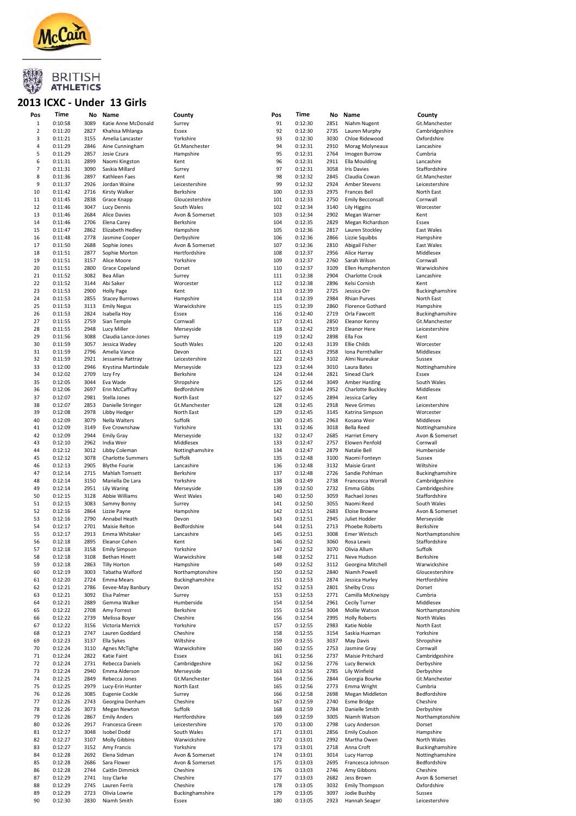

# **2013 BRITISH<br>2013 ICXC - Under 13 Girls**

| Pos     | Time    | No   | Name                     | County           | Pos | Time    | No   | Name                    | County           |
|---------|---------|------|--------------------------|------------------|-----|---------|------|-------------------------|------------------|
| $\,1\,$ | 0:10:58 | 3089 | Katie Anne McDonald      | Surrey           | 91  | 0:12:30 | 2851 | Niahm Nugent            | Gt.Manchester    |
| 2       | 0:11:20 | 2827 | Khahisa Mhlanga          | Essex            | 92  | 0:12:30 | 2735 | Lauren Murphy           | Cambridgeshire   |
|         |         |      |                          |                  |     |         |      |                         |                  |
| 3       | 0:11:21 | 3155 | Amelia Lancaster         | Yorkshire        | 93  | 0:12:30 | 3030 | Chloe Ridewood          | Oxfordshire      |
| 4       | 0:11:29 | 2846 | Aine Cunningham          | Gt.Manchester    | 94  | 0:12:31 | 2910 | Morag Molyneaux         | Lancashire       |
| 5       | 0:11:29 | 2857 | Josie Czura              | Hampshire        | 95  | 0:12:31 | 2764 | Imogen Burrow           | Cumbria          |
| 6       | 0:11:31 | 2899 | Naomi Kingston           | Kent             | 96  | 0:12:31 | 2911 | <b>Ella Moulding</b>    | Lancashire       |
|         |         |      |                          |                  |     |         |      |                         |                  |
| 7       | 0:11:31 | 3090 | Saskia Millard           | Surrey           | 97  | 0:12:31 | 3058 | <b>Iris Davies</b>      | Staffordshire    |
| 8       | 0:11:36 | 2897 | Kathleen Faes            | Kent             | 98  | 0:12:32 | 2845 | Claudia Cowan           | Gt.Manchester    |
| 9       | 0:11:37 | 2926 | Jordan Waine             | Leicestershire   | 99  | 0:12:32 | 2924 | <b>Amber Stevens</b>    | Leicestershire   |
| 10      | 0:11:42 | 2716 | Kirsty Walker            | Berkshire        | 100 | 0:12:33 | 2975 | <b>Frances Bell</b>     | North East       |
|         |         |      |                          |                  |     |         |      |                         |                  |
| 11      | 0:11:45 | 2838 | Grace Knapp              | Gloucestershire  | 101 | 0:12:33 | 2750 | <b>Emily Becconsall</b> | Cornwall         |
| 12      | 0:11:46 | 3047 | <b>Lucy Dennis</b>       | South Wales      | 102 | 0:12:34 | 3140 | <b>Lily Higgins</b>     | Worcester        |
| 13      | 0:11:46 | 2684 | <b>Alice Davies</b>      | Avon & Somerset  | 103 | 0:12:34 | 2902 | Megan Warner            | Kent             |
| 14      | 0:11:46 | 2706 | Elena Carey              | Berkshire        | 104 | 0:12:35 | 2829 | Megan Richardson        | Essex            |
| 15      | 0:11:47 | 2862 | Elizabeth Hedley         |                  | 105 | 0:12:36 | 2817 |                         | East Wales       |
|         |         |      |                          | Hampshire        |     |         |      | Lauren Stockley         |                  |
| 16      | 0:11:48 | 2778 | Jasmine Cooper           | Derbyshire       | 106 | 0:12:36 | 2866 | Lizzie Squibbs          | Hampshire        |
| 17      | 0:11:50 | 2688 | Sophie Jones             | Avon & Somerset  | 107 | 0:12:36 | 2810 | Abigail Fisher          | East Wales       |
| 18      | 0:11:51 | 2877 | Sophie Morton            | Hertfordshire    | 108 | 0:12:37 | 2956 | Alice Harray            | Middlesex        |
| 19      |         | 3157 |                          |                  | 109 |         | 2760 |                         |                  |
|         | 0:11:51 |      | Alice Moore              | Yorkshire        |     | 0:12:37 |      | Sarah Wilson            | Cornwall         |
| 20      | 0:11:51 | 2800 | Grace Copeland           | Dorset           | 110 | 0:12:37 | 3109 | Ellen Humpherston       | Warwickshire     |
| 21      | 0:11:52 | 3082 | Bea Allan                | Surrey           | 111 | 0:12:38 | 2904 | <b>Charlotte Crook</b>  | Lancashire       |
| 22      | 0:11:52 | 3144 | Abi Saker                | Worcester        | 112 | 0:12:38 | 2896 | Kelsi Cornish           | Kent             |
|         |         |      |                          |                  | 113 |         | 2725 |                         |                  |
| 23      | 0:11:53 | 2900 | <b>Holly Page</b>        | Kent             |     | 0:12:39 |      | Jessica Orr             | Buckinghamshire  |
| 24      | 0:11:53 | 2855 | <b>Stacey Burrows</b>    | Hampshire        | 114 | 0:12:39 | 2984 | <b>Rhian Purves</b>     | North East       |
| 25      | 0:11:53 | 3113 | <b>Emily Negus</b>       | Warwickshire     | 115 | 0:12:39 | 2860 | <b>Florence Gothard</b> | Hampshire        |
| 26      | 0:11:53 | 2824 | Isabella Hoy             | Essex            | 116 | 0:12:40 | 2719 | Orla Fawcett            | Buckinghamshire  |
|         |         |      |                          |                  |     |         |      |                         |                  |
| 27      | 0:11:55 | 2759 | Sian Temple              | Cornwall         | 117 | 0:12:41 | 2850 | Eleanor Kenny           | Gt.Manchester    |
| 28      | 0:11:55 | 2948 | Lucy Miller              | Merseyside       | 118 | 0:12:42 | 2919 | <b>Eleanor Here</b>     | Leicestershire   |
| 29      | 0:11:56 | 3088 | Claudia Lance-Jones      | Surrey           | 119 | 0:12:42 | 2898 | Ella Fox                | Kent             |
| 30      | 0:11:59 | 3057 | Jessica Wadey            | South Wales      | 120 | 0:12:43 | 3139 | <b>Ellie Childs</b>     | Worcester        |
|         |         |      |                          |                  |     |         |      |                         |                  |
| 31      | 0:11:59 | 2796 | Amelia Vance             | Devon            | 121 | 0:12:43 | 2958 | Iona Pernthaller        | Middlesex        |
| 32      | 0:11:59 | 2921 | Jessamie Rattray         | Leicestershire   | 122 | 0:12:43 | 3102 | Almi Nureukar           | Sussex           |
| 33      | 0:12:00 | 2946 | Krystina Martindale      | Merseyside       | 123 | 0:12:44 | 3010 | Laura Bates             | Nottinghamshire  |
| 34      | 0:12:02 | 2709 | Izzy Fry                 | Berkshire        | 124 | 0:12:44 | 2821 | Sinead Clark            | Essex            |
|         |         |      |                          |                  |     |         |      |                         |                  |
| 35      | 0:12:05 | 3044 | Eva Wade                 | Shropshire       | 125 | 0:12:44 | 3049 | <b>Amber Harding</b>    | South Wales      |
| 36      | 0:12:06 | 2697 | Erin McCaffray           | Bedfordshire     | 126 | 0:12:44 | 2952 | Charlotte Buckley       | Middlesex        |
| 37      | 0:12:07 | 2981 | Stella Jones             | North East       | 127 | 0:12:45 | 2894 | Jessica Carley          | Kent             |
| 38      | 0:12:07 | 2853 |                          |                  | 128 | 0:12:45 | 2918 | <b>Neve Grimes</b>      | Leicestershire   |
|         |         |      | Danielle Stringer        | Gt.Manchester    |     |         |      |                         |                  |
| 39      | 0:12:08 | 2978 | Libby Hedger             | North East       | 129 | 0:12:45 | 3145 | Katrina Simpson         | Worcester        |
| 40      | 0:12:09 | 3079 | Nella Walters            | Suffolk          | 130 | 0:12:45 | 2963 | Kosana Weir             | Middlesex        |
| 41      | 0:12:09 | 3149 | Eve Crownshaw            | Yorkshire        | 131 | 0:12:46 | 3018 | Bella Reed              | Nottinghamshire  |
| 42      | 0:12:09 | 2944 |                          |                  | 132 | 0:12:47 | 2685 |                         | Avon & Somerset  |
|         |         |      | <b>Emily Gray</b>        | Merseyside       |     |         |      | <b>Harriet Emery</b>    |                  |
| 43      | 0:12:10 | 2962 | India Weir               | Middlesex        | 133 | 0:12:47 | 2757 | Elowen Penfold          | Cornwall         |
| 44      | 0:12:12 | 3012 | Libby Coleman            | Nottinghamshire  | 134 | 0:12:47 | 2879 | Natalie Bell            | Humberside       |
| 45      | 0:12:12 | 3078 | <b>Charlotte Summers</b> | Suffolk          | 135 | 0:12:48 | 3100 | Naomi Fonteyn           | Sussex           |
|         |         |      |                          |                  |     |         |      |                         |                  |
| 46      | 0:12:13 | 2905 | <b>Blythe Fourie</b>     | Lancashire       | 136 | 0:12:48 | 3132 | <b>Maisie Grant</b>     | Wiltshire        |
| 47      | 0:12:14 | 2715 | Mahlah Tomsett           | Berkshire        | 137 | 0:12:48 | 2726 | Sandie Pohlman          | Buckinghamshire  |
| 48      | 0:12:14 | 3150 | Mariella De Lara         | Yorkshire        | 138 | 0:12:49 | 2738 | Francesca Worrall       | Cambridgeshire   |
| 49      | 0:12:14 | 2951 | Lily Waring              | Merseyside       | 139 | 0:12:50 | 2732 | Emma Gibbs              | Cambridgeshire   |
|         |         |      |                          |                  |     |         |      |                         |                  |
| 50      | 0:12:15 | 3128 | Abbie Williams           | West Wales       | 140 | 0:12:50 | 3059 | Rachael Jones           | Staffordshire    |
| 51      | 0:12:15 | 3083 | Sammy Bonny              | Surrey           | 141 | 0:12:50 | 3055 | Naomi Reed              | South Wales      |
| 52      | 0:12:16 | 2864 | Lizzie Payne             | Hampshire        | 142 | 0:12:51 | 2683 | Eloise Browne           | Avon & Somerset  |
| 53      | 0:12:16 | 2790 | Annabel Heath            | Devon            | 143 | 0:12:51 | 2945 | Juliet Hodder           | Merseyside       |
|         |         |      |                          |                  |     |         |      |                         |                  |
| 54      | 0:12:17 | 2701 | <b>Maisie Relton</b>     | Bedfordshire     | 144 | 0:12:51 | 2713 | <b>Phoebe Roberts</b>   | Berkshire        |
| 55      | 0:12:17 | 2913 | Emma Whitaker            | Lancashire       | 145 | 0:12:51 | 3008 | <b>Emer Wintsch</b>     | Northamptonshire |
| 56      | 0:12:18 | 2895 | Eleanor Cohen            | Kent             | 146 | 0:12:52 | 3060 | Rosa Lewis              | Staffordshire    |
| 57      | 0:12:18 |      | <b>Emily Simpson</b>     | Yorkshire        | 147 | 0:12:52 | 3070 | Olivia Allum            | Suffolk          |
|         |         | 3158 |                          |                  |     |         |      |                         |                  |
| 58      | 0:12:18 | 3108 | <b>Bethan Hinett</b>     | Warwickshire     | 148 | 0:12:52 | 2711 | Neve Hudson             | Berkshire        |
| 59      | 0:12:18 | 2863 | <b>Tilly Horton</b>      | Hampshire        | 149 | 0:12:52 | 3112 | Georgina Mitchell       | Warwickshire     |
| 60      | 0:12:19 | 3003 | Tabatha Walford          | Northamptonshire | 150 | 0:12:52 | 2840 | Niamh Powell            | Gloucestershire  |
| 61      | 0:12:20 | 2724 | Emma Mears               |                  | 151 | 0:12:53 | 2874 | Jessica Hurley          | Hertfordshire    |
|         |         |      |                          | Buckinghamshire  |     |         |      |                         |                  |
| 62      | 0:12:21 | 2786 | Eevee-May Banbury        | Devon            | 152 | 0:12:53 | 2801 | <b>Shelby Cross</b>     | Dorset           |
| 63      | 0:12:21 | 3092 | Elsa Palmer              | Surrey           | 153 | 0:12:53 | 2771 | Camilla McKneispy       | Cumbria          |
| 64      | 0:12:21 | 2889 | Gemma Walker             | Humberside       | 154 | 0:12:54 | 2961 | <b>Cecily Turner</b>    | Middlesex        |
| 65      | 0:12:22 | 2708 | Amy Forrest              | Berkshire        | 155 | 0:12:54 | 3004 | Mollie Watson           | Northamptonshire |
|         |         |      |                          |                  |     |         |      |                         |                  |
| 66      | 0:12:22 | 2739 | Melissa Boyer            | Cheshire         | 156 | 0:12:54 | 2995 | <b>Holly Roberts</b>    | North Wales      |
| 67      | 0:12:22 | 3156 | Victoria Merrick         | Yorkshire        | 157 | 0:12:55 | 2983 | Katie Noble             | North East       |
| 68      | 0:12:23 | 2747 | Lauren Goddard           | Cheshire         | 158 | 0:12:55 | 3154 | Saskia Huxman           | Yorkshire        |
| 69      | 0:12:23 | 3137 | Ella Sykes               | Wiltshire        | 159 | 0:12:55 | 3037 | May Davis               | Shropshire       |
|         |         |      |                          |                  |     |         |      |                         |                  |
| 70      | 0:12:24 | 3110 | Agnes McTighe            | Warwickshire     | 160 | 0:12:55 | 2753 | Jasmine Gray            | Cornwall         |
| 71      | 0:12:24 | 2822 | Katie Faint              | Essex            | 161 | 0:12:56 | 2737 | Maisie Pritchard        | Cambridgeshire   |
| 72      | 0:12:24 | 2731 | Rebecca Daniels          | Cambridgeshire   | 162 | 0:12:56 | 2776 | Lucy Berwick            | Derbyshire       |
|         |         |      |                          |                  |     |         |      |                         |                  |
| 73      | 0:12:24 | 2940 | Emma Alderson            | Merseyside       | 163 | 0:12:56 | 2785 | Lily Winfield           | Derbyshire       |
| 74      | 0:12:25 | 2849 | Rebecca Jones            | Gt.Manchester    | 164 | 0:12:56 | 2844 | Georgia Bourke          | Gt.Manchester    |
| 75      | 0:12:25 | 2979 | Lucy-Erin Hunter         | North East       | 165 | 0:12:56 | 2773 | Emma Wright             | Cumbria          |
|         |         |      |                          |                  |     |         | 2698 |                         | Bedfordshire     |
| 76      | 0:12:26 | 3085 | Eugenie Cockle           | Surrey           | 166 | 0:12:58 |      | Megan Middleton         |                  |
| 77      | 0:12:26 | 2743 | Georgina Denham          | Cheshire         | 167 | 0:12:59 | 2740 | <b>Esme Bridge</b>      | Cheshire         |
| 78      | 0:12:26 | 3073 | <b>Megan Newton</b>      | Suffolk          | 168 | 0:12:59 | 2784 | Danielle Smith          | Derbyshire       |
| 79      | 0:12:26 | 2867 | <b>Emily Anders</b>      | Hertfordshire    | 169 | 0:12:59 | 3005 | Niamh Watson            | Northamptonshire |
|         |         |      |                          |                  |     |         |      |                         |                  |
| 80      | 0:12:26 | 2917 | Francesca Green          | Leicestershire   | 170 | 0:13:00 | 2798 | Lucy Anderson           | Dorset           |
| 81      | 0:12:27 | 3048 | Isobel Dodd              | South Wales      | 171 | 0:13:01 | 2856 | <b>Emily Coulson</b>    | Hampshire        |
| 82      | 0:12:27 | 3107 | <b>Molly Gibbins</b>     | Warwickshire     | 172 | 0:13:01 | 2992 | Martha Owen             | North Wales      |
| 83      | 0:12:27 | 3152 | Amy Francis              | Yorkshire        | 173 | 0:13:01 | 2718 | Anna Croft              | Buckinghamshire  |
|         |         |      |                          |                  |     |         |      |                         |                  |
| 84      | 0:12:28 | 2692 | Elena Sidman             | Avon & Somerset  | 174 | 0:13:01 | 3014 | Lucy Harrop             | Nottinghamshire  |
| 85      | 0:12:28 | 2686 | Sara Flower              | Avon & Somerset  | 175 | 0:13:03 | 2695 | Francesca Johnson       | Bedfordshire     |
| 86      | 0:12:28 | 2744 | Caitlin Dimmick          | Cheshire         | 176 | 0:13:03 | 2746 | Amy Gibbons             | Cheshire         |
| 87      | 0:12:29 |      |                          |                  |     |         |      |                         |                  |
|         |         | 2741 | <b>Issy Clarke</b>       | Cheshire         | 177 | 0:13:03 | 2682 | Jess Brown              | Avon & Somerset  |
| 88      | 0:12:29 | 2745 | Lauren Ferris            | Cheshire         | 178 | 0:13:05 | 3032 | <b>Emily Thompson</b>   | Oxfordshire      |
| 89      | 0:12:29 | 2723 | Olivia Lowrie            | Buckinghamshire  | 179 | 0:13:05 | 3097 | Jodie Bushby            | Sussex           |
| 90      | 0:12:30 | 2830 | Niamh Smith              | Essex            | 180 | 0:13:05 | 2923 | Hannah Seager           | Leicestershire   |
|         |         |      |                          |                  |     |         |      |                         |                  |